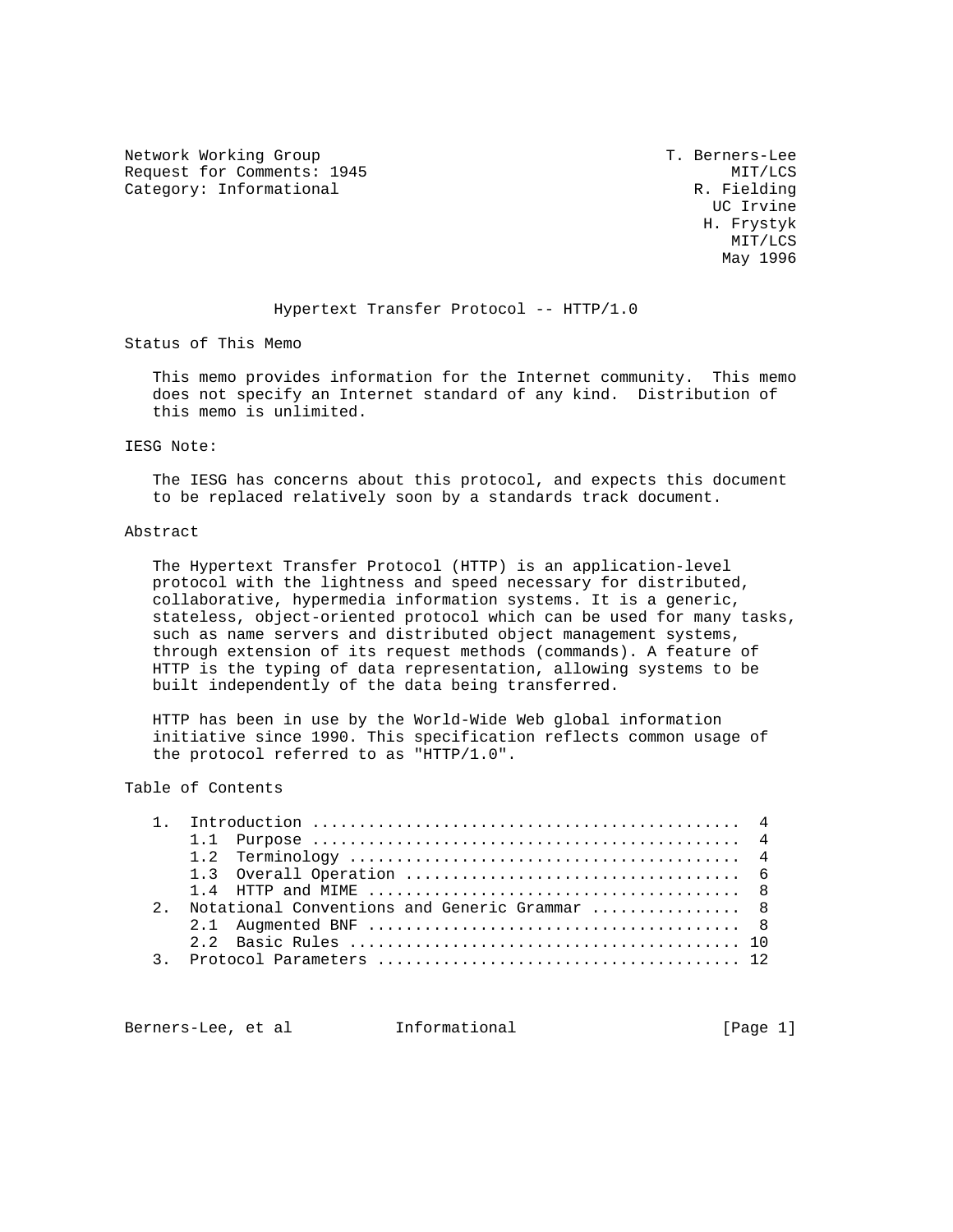Network Working Group T. Berners-Lee Request for Comments: 1945<br>Category: Informational MIT/LCS Category: Informational Category: Informational

 UC Irvine H. Frystyk MIT/LCS May 1996

### Hypertext Transfer Protocol -- HTTP/1.0

Status of This Memo

 This memo provides information for the Internet community. This memo does not specify an Internet standard of any kind. Distribution of this memo is unlimited.

### IESG Note:

 The IESG has concerns about this protocol, and expects this document to be replaced relatively soon by a standards track document.

## Abstract

 The Hypertext Transfer Protocol (HTTP) is an application-level protocol with the lightness and speed necessary for distributed, collaborative, hypermedia information systems. It is a generic, stateless, object-oriented protocol which can be used for many tasks, such as name servers and distributed object management systems, through extension of its request methods (commands). A feature of HTTP is the typing of data representation, allowing systems to be built independently of the data being transferred.

 HTTP has been in use by the World-Wide Web global information initiative since 1990. This specification reflects common usage of the protocol referred to as "HTTP/1.0".

## Table of Contents

| 2. Notational Conventions and Generic Grammar  8 |  |
|--------------------------------------------------|--|
|                                                  |  |
|                                                  |  |
|                                                  |  |

Berners-Lee, et al informational [Page 1]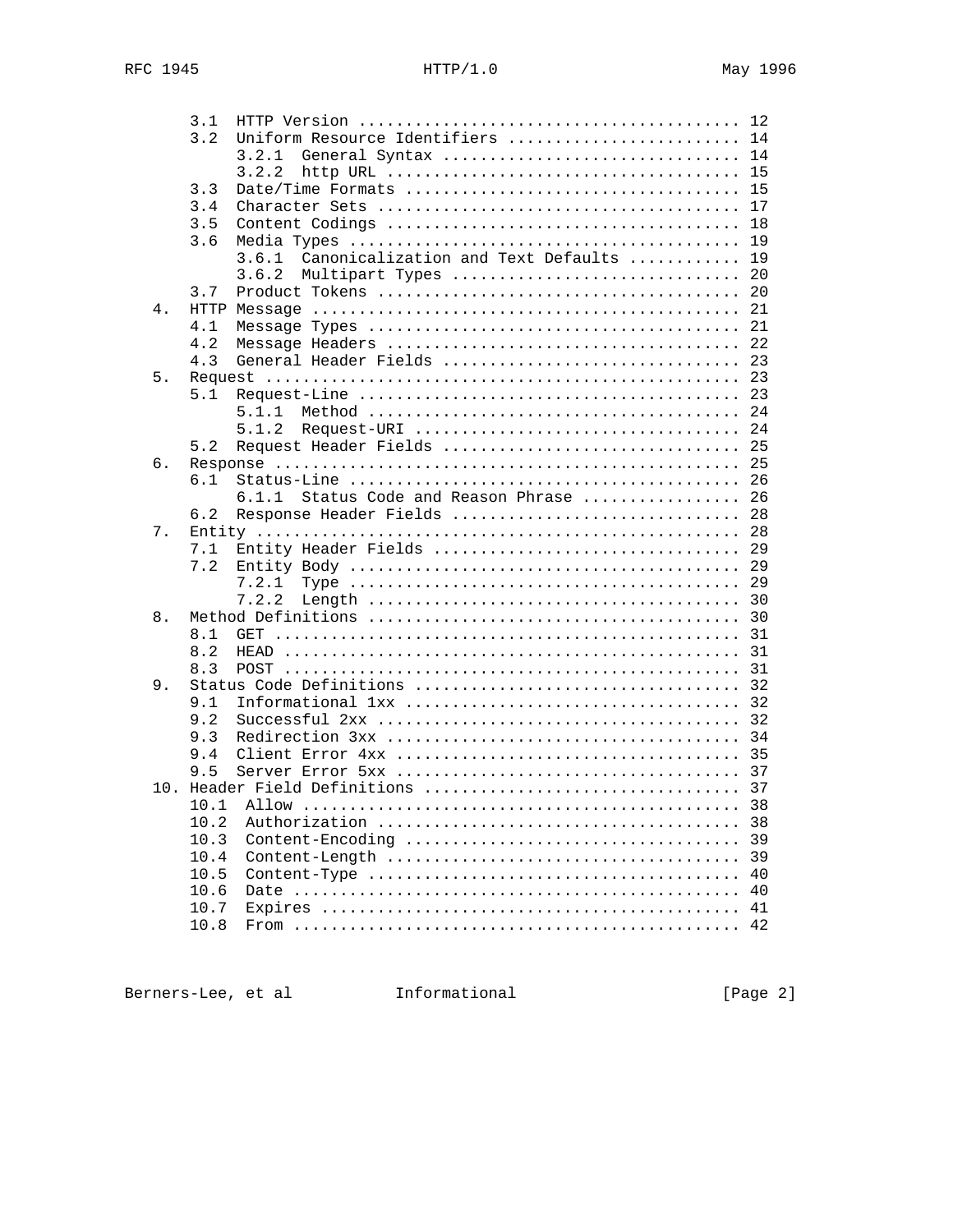|    | 3.1  | 12                                                |  |
|----|------|---------------------------------------------------|--|
|    | 3.2  | Uniform Resource Identifiers<br>14                |  |
|    |      | 3.2.1<br>General Syntax<br>14                     |  |
|    |      | 3.2.2<br>15                                       |  |
|    | 3.3  | 15                                                |  |
|    | 3.4  | 17                                                |  |
|    | 3.5  | 18                                                |  |
|    | 3.6  | 19                                                |  |
|    |      | Canonicalization and Text Defaults<br>3.6.1<br>19 |  |
|    |      | 3.6.2<br>Multipart Types<br>20                    |  |
|    | 3.7  |                                                   |  |
| 4. |      |                                                   |  |
|    | 4.1  |                                                   |  |
|    | 4.2  | 22                                                |  |
|    | 4.3  | General Header Fields<br>23                       |  |
| 5. |      | 23                                                |  |
|    | 5.1  |                                                   |  |
|    |      |                                                   |  |
|    |      | 5.1.2                                             |  |
|    | 5.2  | Request Header Fields  25                         |  |
| б. |      | 25                                                |  |
|    | 6.1  | 26                                                |  |
|    |      | Status Code and Reason Phrase<br>26<br>6.1.1      |  |
|    | 6.2  | Response Header Fields  28                        |  |
| 7. |      |                                                   |  |
|    | 7.1  | Entity Header Fields<br>29                        |  |
|    | 7.2  | 29                                                |  |
|    |      | 7.2.1<br>29                                       |  |
|    |      | 7.2.2                                             |  |
| 8. |      |                                                   |  |
|    | 8.1  |                                                   |  |
|    | 8.2  |                                                   |  |
|    | 8.3  |                                                   |  |
| 9. |      |                                                   |  |
|    | 9.1  |                                                   |  |
|    | 9.2  |                                                   |  |
|    | 9.3  |                                                   |  |
|    | 9.4  |                                                   |  |
|    | 9.5  |                                                   |  |
|    |      |                                                   |  |
|    | 10.1 | Allow                                             |  |
|    | 10.2 | 38                                                |  |
|    | 10.3 | Content-Encoding<br>39                            |  |
|    | 10.4 | 39                                                |  |
|    | 10.5 | 40                                                |  |
|    | 10.6 | 40                                                |  |
|    | 10.7 |                                                   |  |
|    |      | 41                                                |  |
|    | 10.8 | 42                                                |  |

Berners-Lee, et al informational [Page 2]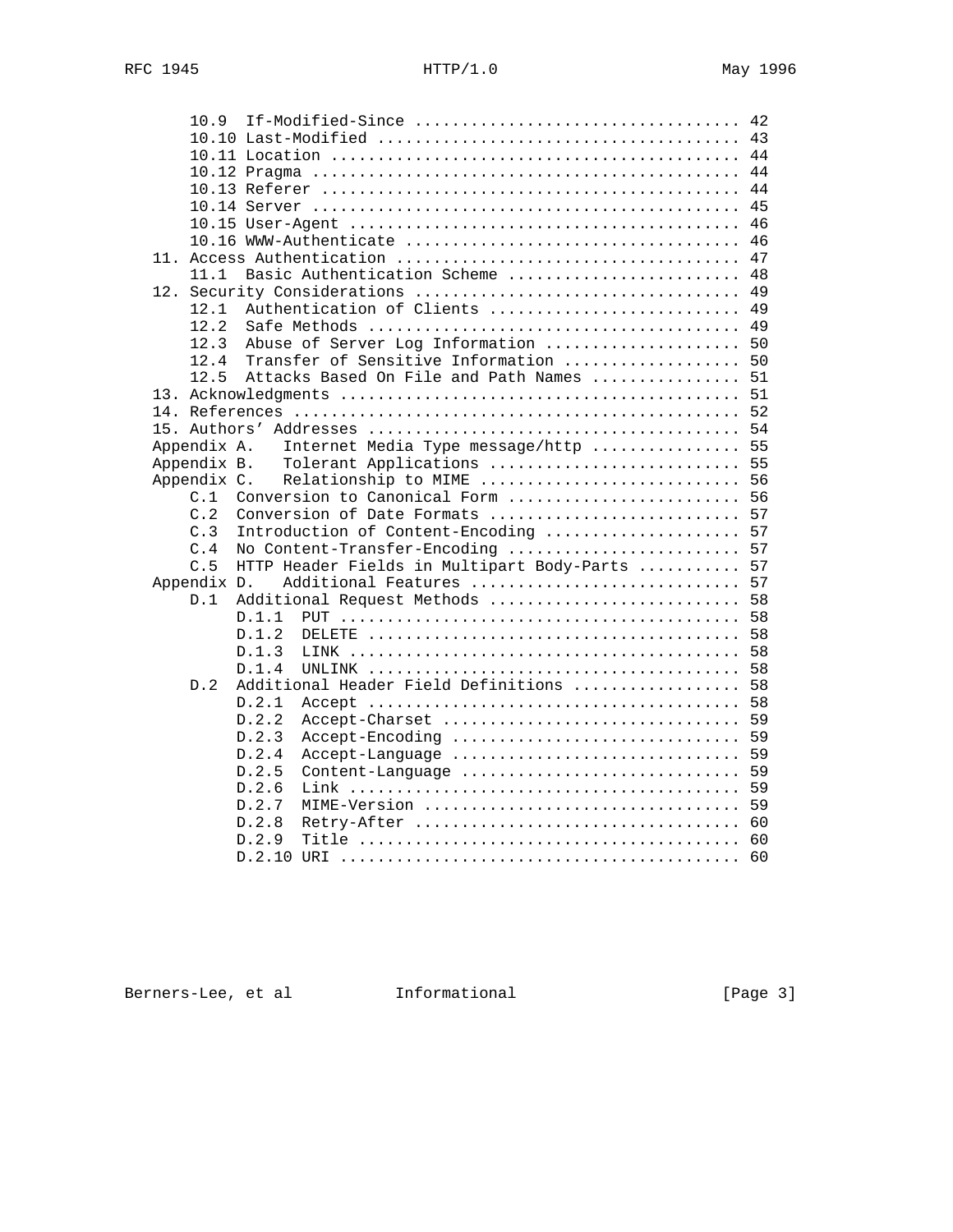| 10.9        |       | If-Modified-Since  42                          |    |
|-------------|-------|------------------------------------------------|----|
|             |       |                                                |    |
|             |       |                                                |    |
|             |       |                                                |    |
|             |       |                                                | 44 |
|             |       |                                                |    |
|             |       |                                                |    |
|             |       |                                                | 46 |
|             |       |                                                | 47 |
| 11.1        |       | Basic Authentication Scheme  48                |    |
|             |       |                                                |    |
| 12.1        |       | Authentication of Clients                      | 49 |
| 12.2        |       |                                                |    |
| 12.3        |       | Abuse of Server Log Information  50            |    |
| 12.4        |       | Transfer of Sensitive Information  50          |    |
| 12.5        |       | Attacks Based On File and Path Names  51       |    |
|             |       |                                                |    |
|             |       |                                                |    |
|             |       |                                                |    |
| Appendix A. |       | Internet Media Type message/http  55           |    |
| Appendix B. |       | Tolerant Applications  55                      |    |
| Appendix C. |       | Relationship to MIME  56                       |    |
| C.1         |       | Conversion to Canonical Form  56               |    |
| C.2         |       | Conversion of Date Formats  57                 |    |
| C.3         |       | Introduction of Content-Encoding  57           |    |
| C.4         |       | No Content-Transfer-Encoding  57               |    |
| C.5         |       | HTTP Header Fields in Multipart Body-Parts  57 |    |
| Appendix D. |       | Additional Features  57                        |    |
| D.1         |       | Additional Request Methods  58                 |    |
|             | D.1.1 |                                                |    |
|             | D.1.2 |                                                |    |
|             | D.1.3 |                                                | 58 |
|             | D.1.4 |                                                |    |
| D.2         |       | Additional Header Field Definitions  58        |    |
|             | D.2.1 |                                                |    |
|             | D.2.2 | Accept-Charset  59                             |    |
|             | D.2.3 | Accept-Encoding  59                            |    |
|             | D.2.4 | Accept-Language  59                            |    |
|             | D.2.5 | Content-Language  59                           |    |
|             | D.2.6 |                                                |    |
|             | D.2.7 | MIME-Version  59                               |    |
|             | D.2.8 |                                                |    |
|             | D.2.9 |                                                |    |
|             |       |                                                |    |
|             |       |                                                |    |

Berners-Lee, et al informational informational [Page 3]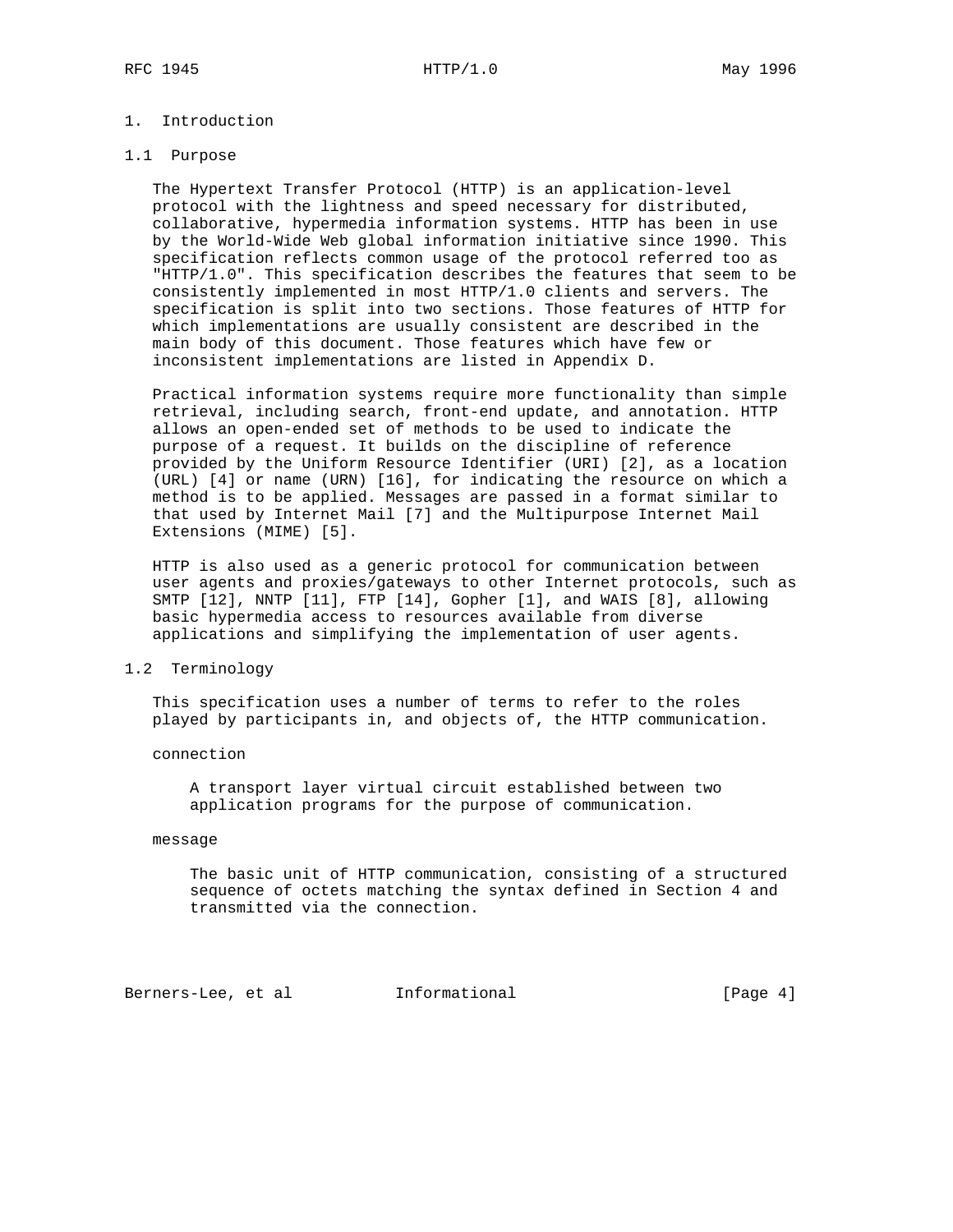## 1. Introduction

### 1.1 Purpose

 The Hypertext Transfer Protocol (HTTP) is an application-level protocol with the lightness and speed necessary for distributed, collaborative, hypermedia information systems. HTTP has been in use by the World-Wide Web global information initiative since 1990. This specification reflects common usage of the protocol referred too as "HTTP/1.0". This specification describes the features that seem to be consistently implemented in most HTTP/1.0 clients and servers. The specification is split into two sections. Those features of HTTP for which implementations are usually consistent are described in the main body of this document. Those features which have few or inconsistent implementations are listed in Appendix D.

 Practical information systems require more functionality than simple retrieval, including search, front-end update, and annotation. HTTP allows an open-ended set of methods to be used to indicate the purpose of a request. It builds on the discipline of reference provided by the Uniform Resource Identifier (URI) [2], as a location (URL) [4] or name (URN) [16], for indicating the resource on which a method is to be applied. Messages are passed in a format similar to that used by Internet Mail [7] and the Multipurpose Internet Mail Extensions (MIME) [5].

 HTTP is also used as a generic protocol for communication between user agents and proxies/gateways to other Internet protocols, such as SMTP [12], NNTP [11], FTP [14], Gopher [1], and WAIS [8], allowing basic hypermedia access to resources available from diverse applications and simplifying the implementation of user agents.

## 1.2 Terminology

 This specification uses a number of terms to refer to the roles played by participants in, and objects of, the HTTP communication.

### connection

 A transport layer virtual circuit established between two application programs for the purpose of communication.

### message

 The basic unit of HTTP communication, consisting of a structured sequence of octets matching the syntax defined in Section 4 and transmitted via the connection.

Berners-Lee, et al informational [Page 4]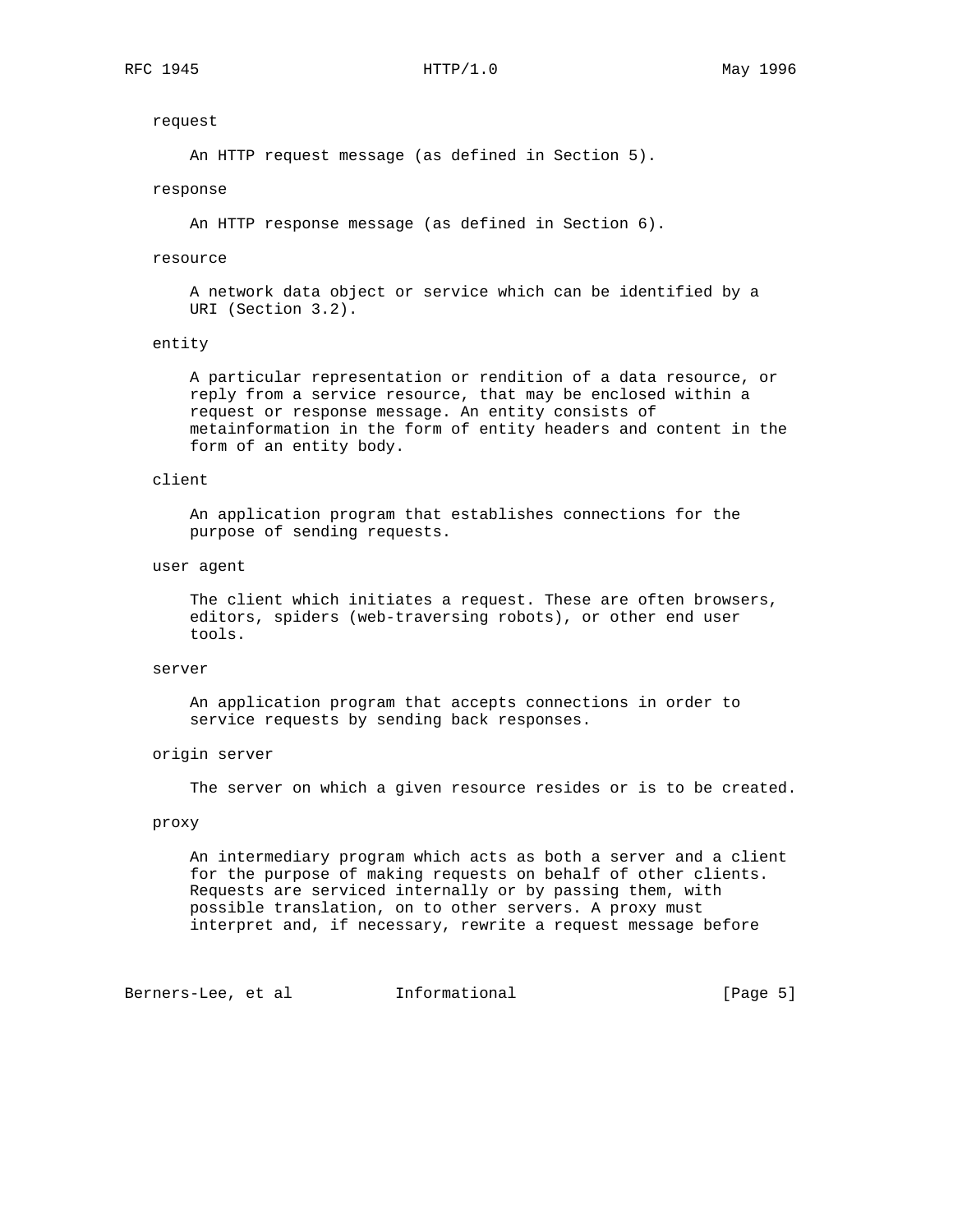### request

An HTTP request message (as defined in Section 5).

### response

An HTTP response message (as defined in Section 6).

### resource

 A network data object or service which can be identified by a URI (Section 3.2).

### entity

 A particular representation or rendition of a data resource, or reply from a service resource, that may be enclosed within a request or response message. An entity consists of metainformation in the form of entity headers and content in the form of an entity body.

## client

 An application program that establishes connections for the purpose of sending requests.

### user agent

 The client which initiates a request. These are often browsers, editors, spiders (web-traversing robots), or other end user tools.

### server

 An application program that accepts connections in order to service requests by sending back responses.

### origin server

The server on which a given resource resides or is to be created.

### proxy

 An intermediary program which acts as both a server and a client for the purpose of making requests on behalf of other clients. Requests are serviced internally or by passing them, with possible translation, on to other servers. A proxy must interpret and, if necessary, rewrite a request message before

Berners-Lee, et al informational [Page 5]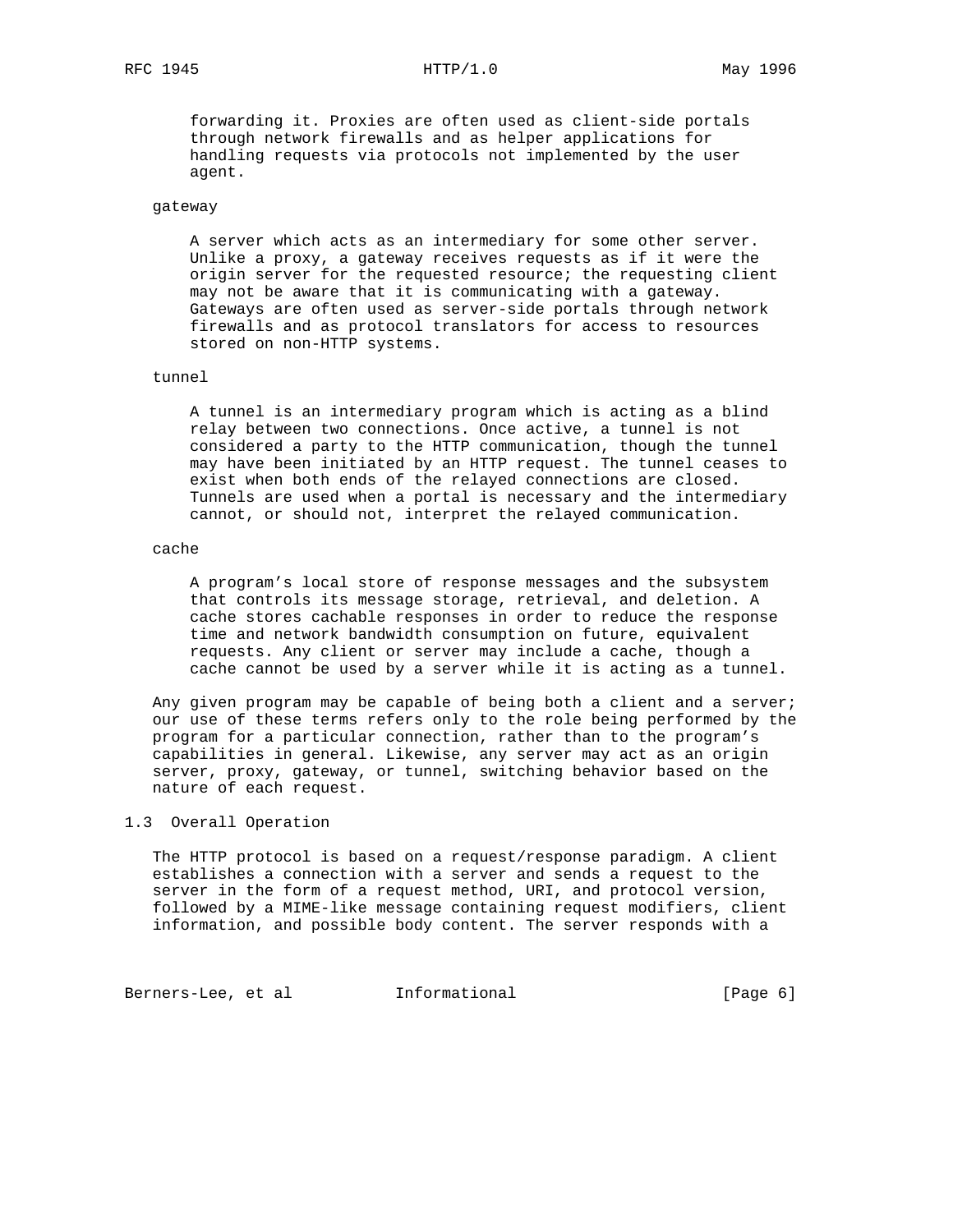forwarding it. Proxies are often used as client-side portals through network firewalls and as helper applications for handling requests via protocols not implemented by the user agent.

## gateway

 A server which acts as an intermediary for some other server. Unlike a proxy, a gateway receives requests as if it were the origin server for the requested resource; the requesting client may not be aware that it is communicating with a gateway. Gateways are often used as server-side portals through network firewalls and as protocol translators for access to resources stored on non-HTTP systems.

### tunnel

 A tunnel is an intermediary program which is acting as a blind relay between two connections. Once active, a tunnel is not considered a party to the HTTP communication, though the tunnel may have been initiated by an HTTP request. The tunnel ceases to exist when both ends of the relayed connections are closed. Tunnels are used when a portal is necessary and the intermediary cannot, or should not, interpret the relayed communication.

### cache

 A program's local store of response messages and the subsystem that controls its message storage, retrieval, and deletion. A cache stores cachable responses in order to reduce the response time and network bandwidth consumption on future, equivalent requests. Any client or server may include a cache, though a cache cannot be used by a server while it is acting as a tunnel.

Any given program may be capable of being both a client and a server; our use of these terms refers only to the role being performed by the program for a particular connection, rather than to the program's capabilities in general. Likewise, any server may act as an origin server, proxy, gateway, or tunnel, switching behavior based on the nature of each request.

## 1.3 Overall Operation

 The HTTP protocol is based on a request/response paradigm. A client establishes a connection with a server and sends a request to the server in the form of a request method, URI, and protocol version, followed by a MIME-like message containing request modifiers, client information, and possible body content. The server responds with a

Berners-Lee, et al informational (Page 6)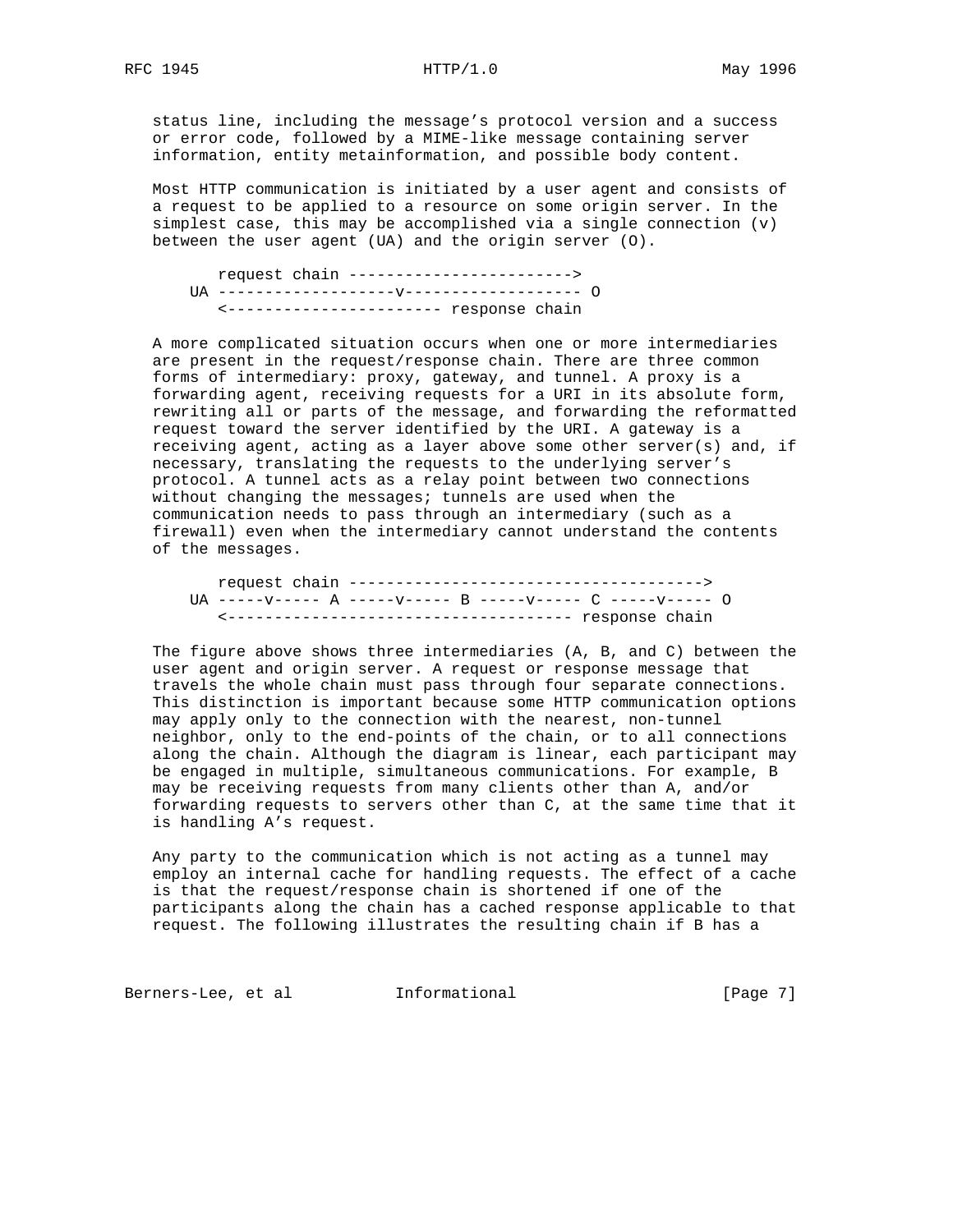status line, including the message's protocol version and a success or error code, followed by a MIME-like message containing server information, entity metainformation, and possible body content.

 Most HTTP communication is initiated by a user agent and consists of a request to be applied to a resource on some origin server. In the simplest case, this may be accomplished via a single connection (v) between the user agent (UA) and the origin server (O).

 request chain ------------------------> UA -------------------v------------------- O <----------------------- response chain

 A more complicated situation occurs when one or more intermediaries are present in the request/response chain. There are three common forms of intermediary: proxy, gateway, and tunnel. A proxy is a forwarding agent, receiving requests for a URI in its absolute form, rewriting all or parts of the message, and forwarding the reformatted request toward the server identified by the URI. A gateway is a receiving agent, acting as a layer above some other server(s) and, if necessary, translating the requests to the underlying server's protocol. A tunnel acts as a relay point between two connections without changing the messages; tunnels are used when the communication needs to pass through an intermediary (such as a firewall) even when the intermediary cannot understand the contents of the messages.

| $UA$ ----- $y$ ----- $A$ ----- $y$ ----- $B$ ----- $y$ ----- $C$ ----- $y$ ----- $O$ |  |
|--------------------------------------------------------------------------------------|--|
|                                                                                      |  |

 The figure above shows three intermediaries (A, B, and C) between the user agent and origin server. A request or response message that travels the whole chain must pass through four separate connections. This distinction is important because some HTTP communication options may apply only to the connection with the nearest, non-tunnel neighbor, only to the end-points of the chain, or to all connections along the chain. Although the diagram is linear, each participant may be engaged in multiple, simultaneous communications. For example, B may be receiving requests from many clients other than A, and/or forwarding requests to servers other than C, at the same time that it is handling A's request.

 Any party to the communication which is not acting as a tunnel may employ an internal cache for handling requests. The effect of a cache is that the request/response chain is shortened if one of the participants along the chain has a cached response applicable to that request. The following illustrates the resulting chain if B has a

Berners-Lee, et al informational informational [Page 7]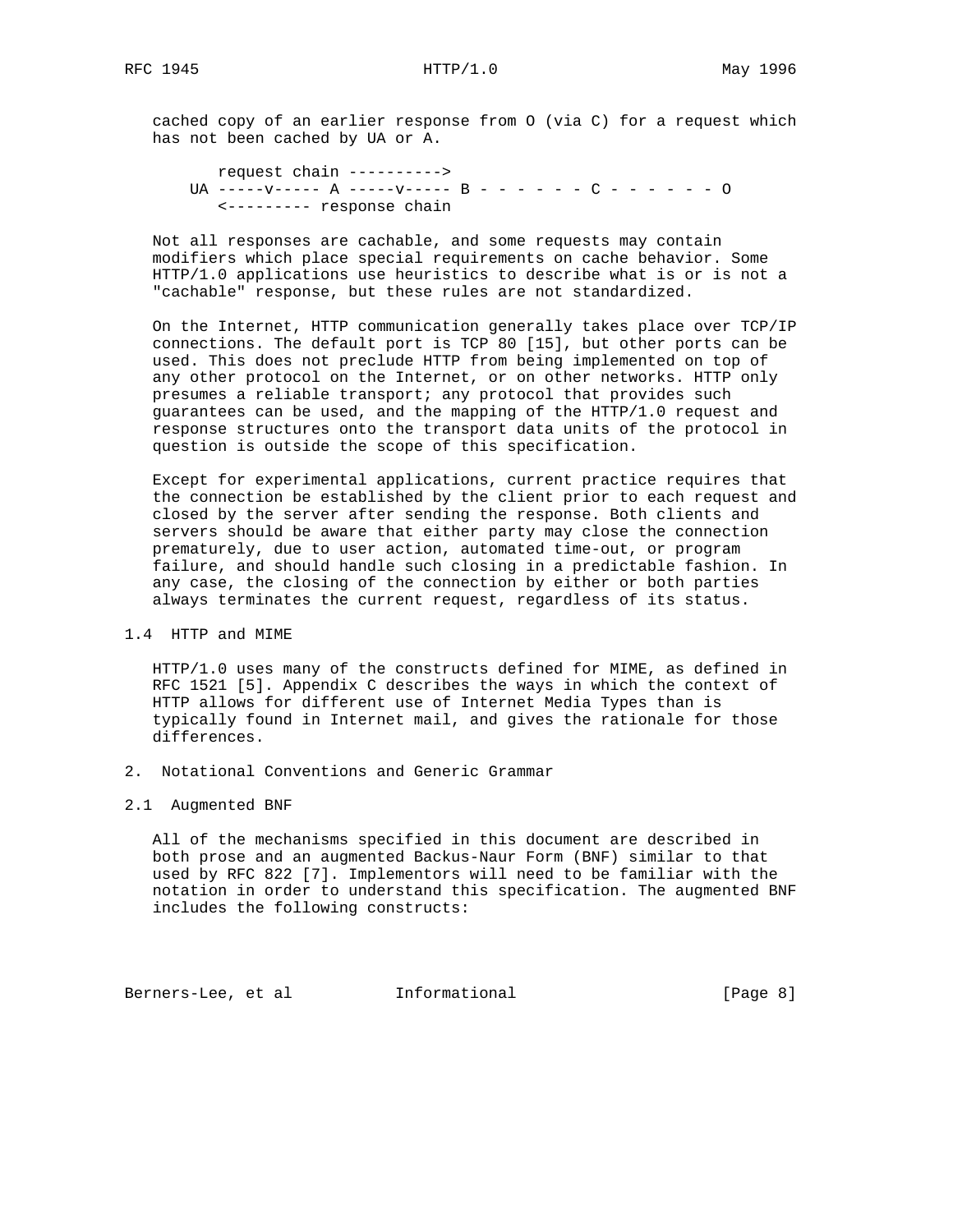cached copy of an earlier response from O (via C) for a request which has not been cached by UA or A.

 request chain ----------> UA -----v----- A -----v----- B - - - - - - C - - - - - - O <--------- response chain

 Not all responses are cachable, and some requests may contain modifiers which place special requirements on cache behavior. Some HTTP/1.0 applications use heuristics to describe what is or is not a "cachable" response, but these rules are not standardized.

 On the Internet, HTTP communication generally takes place over TCP/IP connections. The default port is TCP 80 [15], but other ports can be used. This does not preclude HTTP from being implemented on top of any other protocol on the Internet, or on other networks. HTTP only presumes a reliable transport; any protocol that provides such guarantees can be used, and the mapping of the HTTP/1.0 request and response structures onto the transport data units of the protocol in question is outside the scope of this specification.

 Except for experimental applications, current practice requires that the connection be established by the client prior to each request and closed by the server after sending the response. Both clients and servers should be aware that either party may close the connection prematurely, due to user action, automated time-out, or program failure, and should handle such closing in a predictable fashion. In any case, the closing of the connection by either or both parties always terminates the current request, regardless of its status.

1.4 HTTP and MIME

 HTTP/1.0 uses many of the constructs defined for MIME, as defined in RFC 1521 [5]. Appendix C describes the ways in which the context of HTTP allows for different use of Internet Media Types than is typically found in Internet mail, and gives the rationale for those differences.

- 2. Notational Conventions and Generic Grammar
- 2.1 Augmented BNF

 All of the mechanisms specified in this document are described in both prose and an augmented Backus-Naur Form (BNF) similar to that used by RFC 822 [7]. Implementors will need to be familiar with the notation in order to understand this specification. The augmented BNF includes the following constructs:

Berners-Lee, et al informational [Page 8]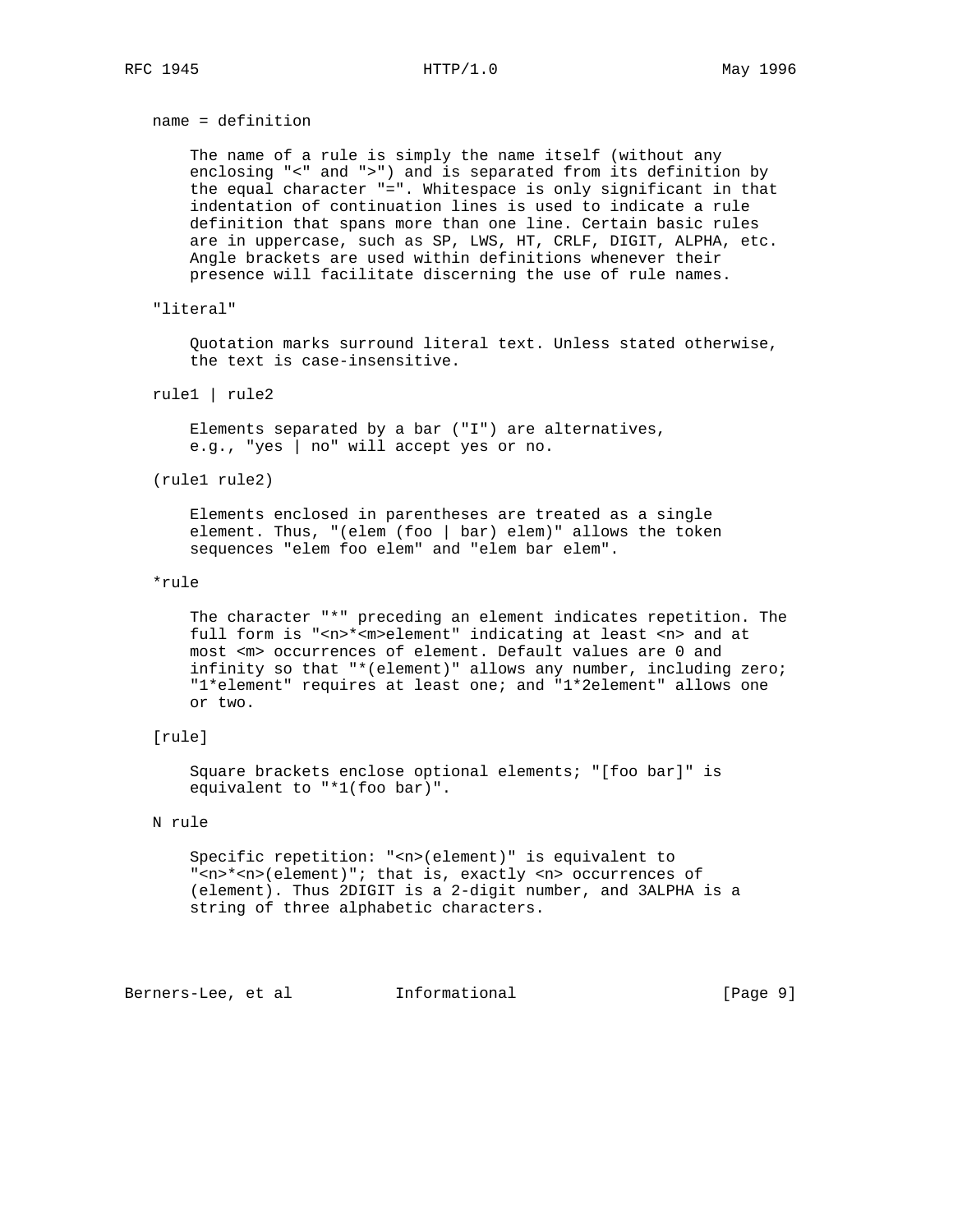name = definition

 The name of a rule is simply the name itself (without any enclosing "<" and ">") and is separated from its definition by the equal character "=". Whitespace is only significant in that indentation of continuation lines is used to indicate a rule definition that spans more than one line. Certain basic rules are in uppercase, such as SP, LWS, HT, CRLF, DIGIT, ALPHA, etc. Angle brackets are used within definitions whenever their presence will facilitate discerning the use of rule names.

# "literal"

 Quotation marks surround literal text. Unless stated otherwise, the text is case-insensitive.

rule1 | rule2

 Elements separated by a bar ("I") are alternatives, e.g., "yes | no" will accept yes or no.

(rule1 rule2)

 Elements enclosed in parentheses are treated as a single element. Thus, "(elem (foo | bar) elem)" allows the token sequences "elem foo elem" and "elem bar elem".

### \*rule

 The character "\*" preceding an element indicates repetition. The full form is "<n>\*<m>element" indicating at least <n> and at most <m> occurrences of element. Default values are 0 and infinity so that "\*(element)" allows any number, including zero; "1\*element" requires at least one; and "1\*2element" allows one or two.

## [rule]

 Square brackets enclose optional elements; "[foo bar]" is equivalent to "\*1(foo bar)".

## N rule

 Specific repetition: "<n>(element)" is equivalent to "<n>\*<n>(element)"; that is, exactly <n> occurrences of (element). Thus 2DIGIT is a 2-digit number, and 3ALPHA is a string of three alphabetic characters.

Berners-Lee, et al informational [Page 9]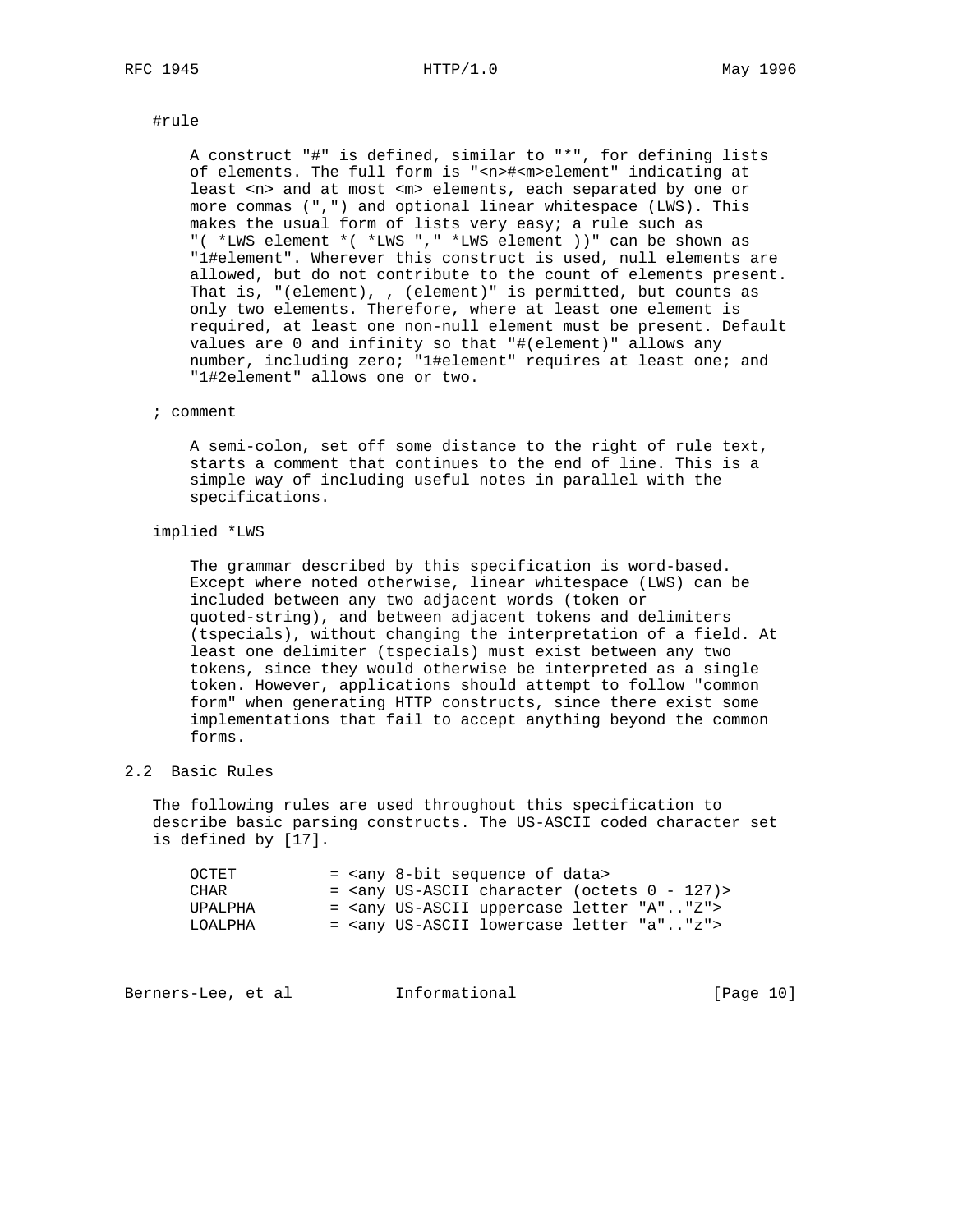### #rule

 A construct "#" is defined, similar to "\*", for defining lists of elements. The full form is "<n>#<m>element" indicating at least <n> and at most <m> elements, each separated by one or more commas (",") and optional linear whitespace (LWS). This makes the usual form of lists very easy; a rule such as "( \*LWS element \*( \*LWS "," \*LWS element ))" can be shown as "1#element". Wherever this construct is used, null elements are allowed, but do not contribute to the count of elements present. That is, "(element), , (element)" is permitted, but counts as only two elements. Therefore, where at least one element is required, at least one non-null element must be present. Default values are 0 and infinity so that "#(element)" allows any number, including zero; "1#element" requires at least one; and "1#2element" allows one or two.

### ; comment

 A semi-colon, set off some distance to the right of rule text, starts a comment that continues to the end of line. This is a simple way of including useful notes in parallel with the specifications.

## implied \*LWS

 The grammar described by this specification is word-based. Except where noted otherwise, linear whitespace (LWS) can be included between any two adjacent words (token or quoted-string), and between adjacent tokens and delimiters (tspecials), without changing the interpretation of a field. At least one delimiter (tspecials) must exist between any two tokens, since they would otherwise be interpreted as a single token. However, applications should attempt to follow "common form" when generating HTTP constructs, since there exist some implementations that fail to accept anything beyond the common forms.

# 2.2 Basic Rules

 The following rules are used throughout this specification to describe basic parsing constructs. The US-ASCII coded character set is defined by [17].

| OCTET   |  | $=$ <any 8-bit="" data="" of="" sequence=""></any>                       |  |  |
|---------|--|--------------------------------------------------------------------------|--|--|
| CHAR    |  | $=$ <any (octets="" <math="" character="" us-ascii="">0 - 127)&gt;</any> |  |  |
| UPALPHA |  | = <any "a""z"="" letter="" uppercase="" us-ascii=""></any>               |  |  |
| LOALPHA |  | = <any "a""z"="" letter="" lowercase="" us-ascii=""></any>               |  |  |

| [Page 10]<br>Informational<br>Berners-Lee, et al |  |
|--------------------------------------------------|--|
|--------------------------------------------------|--|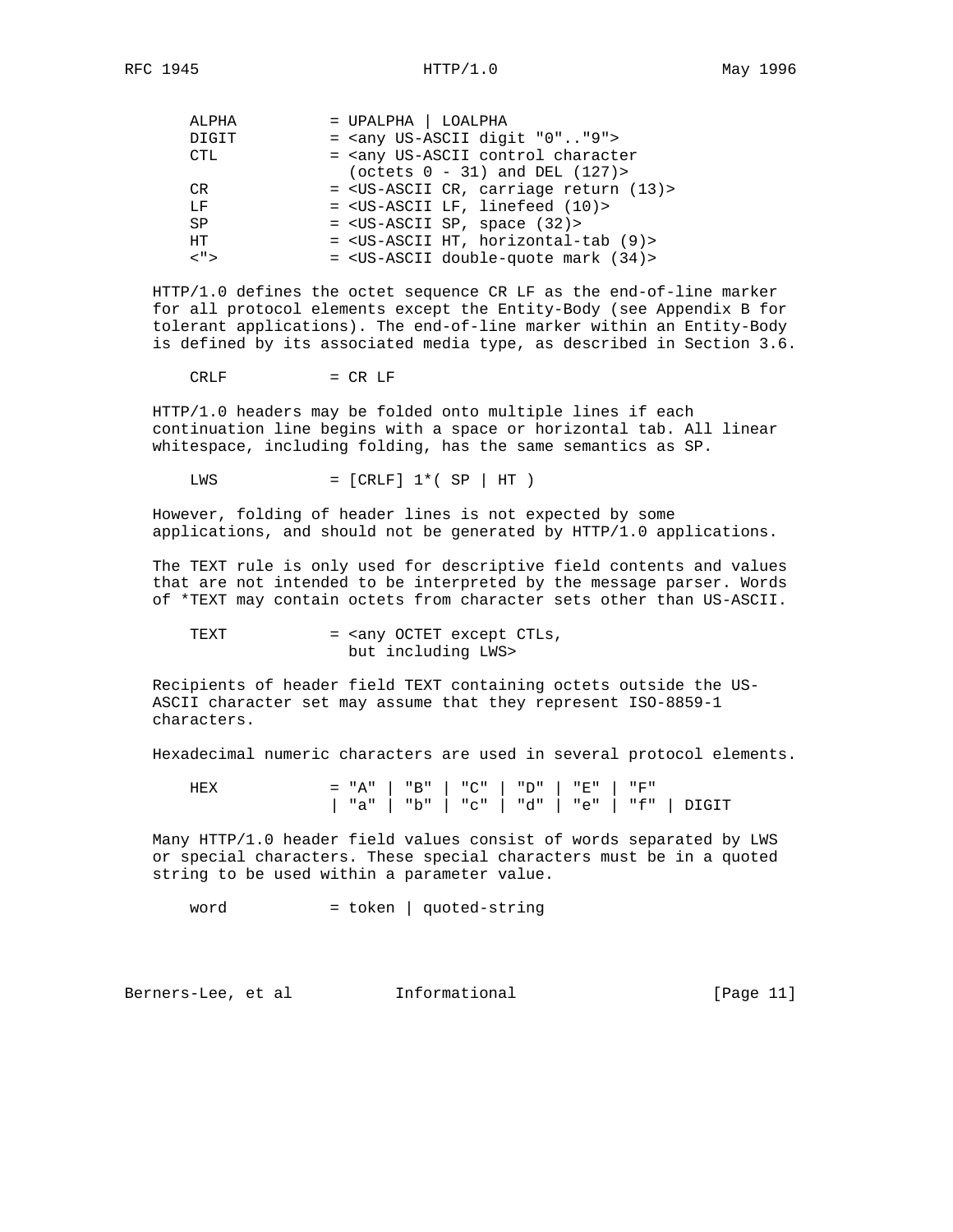| ALPHA        | $= UPALPHA$   LOALPHA                                               |
|--------------|---------------------------------------------------------------------|
| DIGIT        | = <any "0""9"="" digit="" us-ascii=""></any>                        |
| <b>CTL</b>   | = <any character<="" control="" td="" us-ascii=""></any>            |
|              | (octets $0 - 31$ ) and DEL $(127)$ >                                |
| CR.          | = < US-ASCII CR, carriage return (13)>                              |
| LF           | = <us-ascii (10)="" lf,="" linefeed=""></us-ascii>                  |
| SP           | $=$ <us-ascii <math="" sp,="" space="">(32)&gt;</us-ascii>          |
| HT.          | = < US-ASCII HT, horizontal-tab (9) >                               |
| $\langle$ "> | $=$ <us-ascii <math="" double-quote="" mark="">(34) &gt;</us-ascii> |

 HTTP/1.0 defines the octet sequence CR LF as the end-of-line marker for all protocol elements except the Entity-Body (see Appendix B for tolerant applications). The end-of-line marker within an Entity-Body is defined by its associated media type, as described in Section 3.6.

 $CRLF$  =  $CRLF$ 

 HTTP/1.0 headers may be folded onto multiple lines if each continuation line begins with a space or horizontal tab. All linear whitespace, including folding, has the same semantics as SP.

LWS  $= [CRLF] 1*(SP | HT)$ 

 However, folding of header lines is not expected by some applications, and should not be generated by HTTP/1.0 applications.

 The TEXT rule is only used for descriptive field contents and values that are not intended to be interpreted by the message parser. Words of \*TEXT may contain octets from character sets other than US-ASCII.

TEXT = <any OCTET except CTLs, but including LWS>

 Recipients of header field TEXT containing octets outside the US- ASCII character set may assume that they represent ISO-8859-1 characters.

Hexadecimal numeric characters are used in several protocol elements.

 HEX = "A" | "B" | "C" | "D" | "E" | "F" | "a" | "b" | "c" | "d" | "e" | "f" | DIGIT

 Many HTTP/1.0 header field values consist of words separated by LWS or special characters. These special characters must be in a quoted string to be used within a parameter value.

word = token | quoted-string

Berners-Lee, et al informational [Page 11]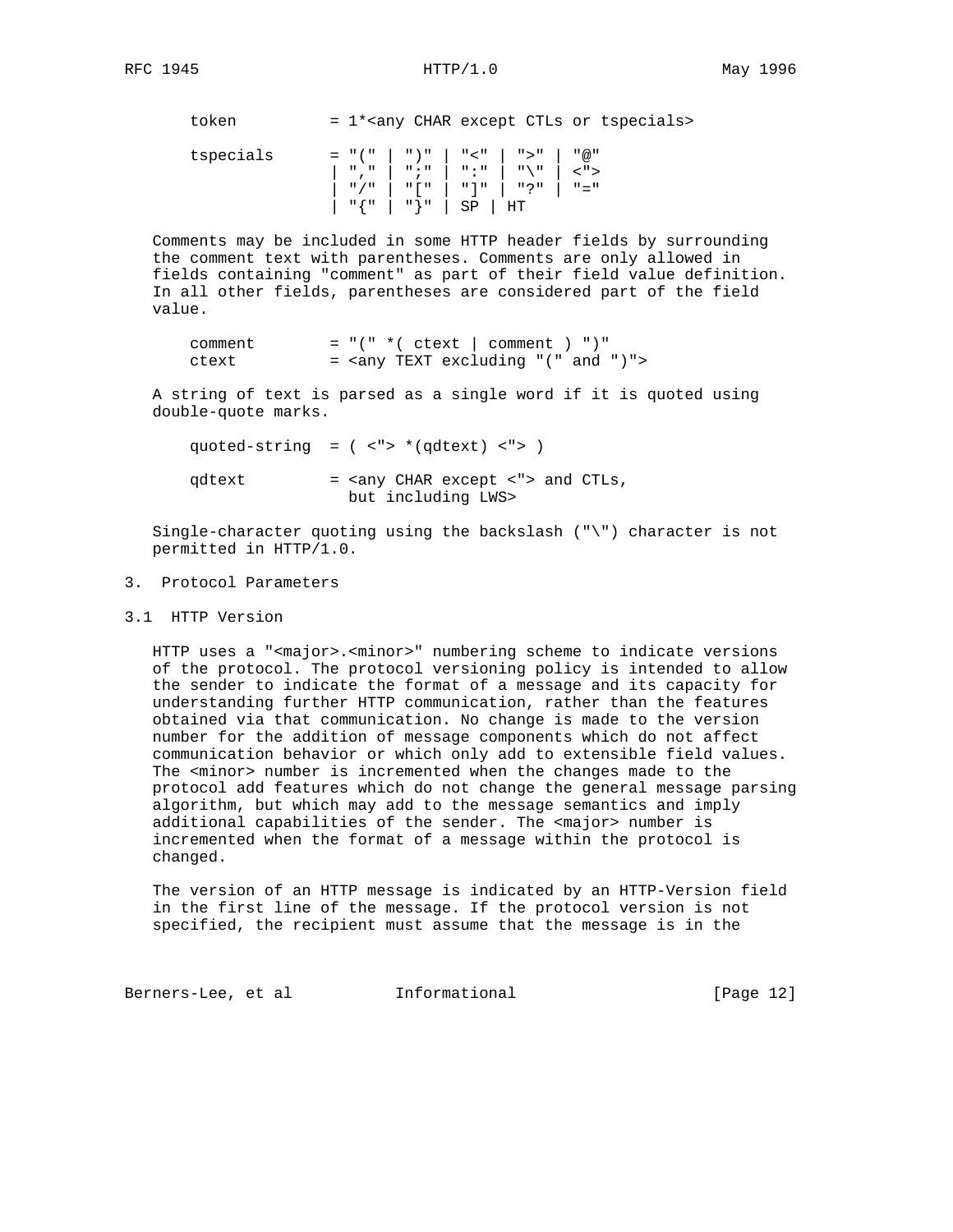token = 1\*<any CHAR except CTLs or tspecials>

tspecials = "(" | ")" | "<" | ">" | "@" | "," | ";" | ":" | "\" | <"> | "/" | "[" | "]" | "?" | "=" | "{" | "}" | SP | HT

 Comments may be included in some HTTP header fields by surrounding the comment text with parentheses. Comments are only allowed in fields containing "comment" as part of their field value definition. In all other fields, parentheses are considered part of the field value.

| comment |  |  | $=$ "(" *( ctext   comment ) ")"                          |  |  |
|---------|--|--|-----------------------------------------------------------|--|--|
| ctext   |  |  | $=$ <any "("="" ")"="" and="" excluding="" text=""></any> |  |  |

but including LWS>

 A string of text is parsed as a single word if it is quoted using double-quote marks.

 quoted-string = ( <"> \*(qdtext) <"> ) qdtext = <any CHAR except <"> and CTLs,

 Single-character quoting using the backslash ("\") character is not permitted in HTTP/1.0.

### 3. Protocol Parameters

## 3.1 HTTP Version

 HTTP uses a "<major>.<minor>" numbering scheme to indicate versions of the protocol. The protocol versioning policy is intended to allow the sender to indicate the format of a message and its capacity for understanding further HTTP communication, rather than the features obtained via that communication. No change is made to the version number for the addition of message components which do not affect communication behavior or which only add to extensible field values. The <minor> number is incremented when the changes made to the protocol add features which do not change the general message parsing algorithm, but which may add to the message semantics and imply additional capabilities of the sender. The <major> number is incremented when the format of a message within the protocol is changed.

 The version of an HTTP message is indicated by an HTTP-Version field in the first line of the message. If the protocol version is not specified, the recipient must assume that the message is in the

Berners-Lee, et al Informational [Page 12]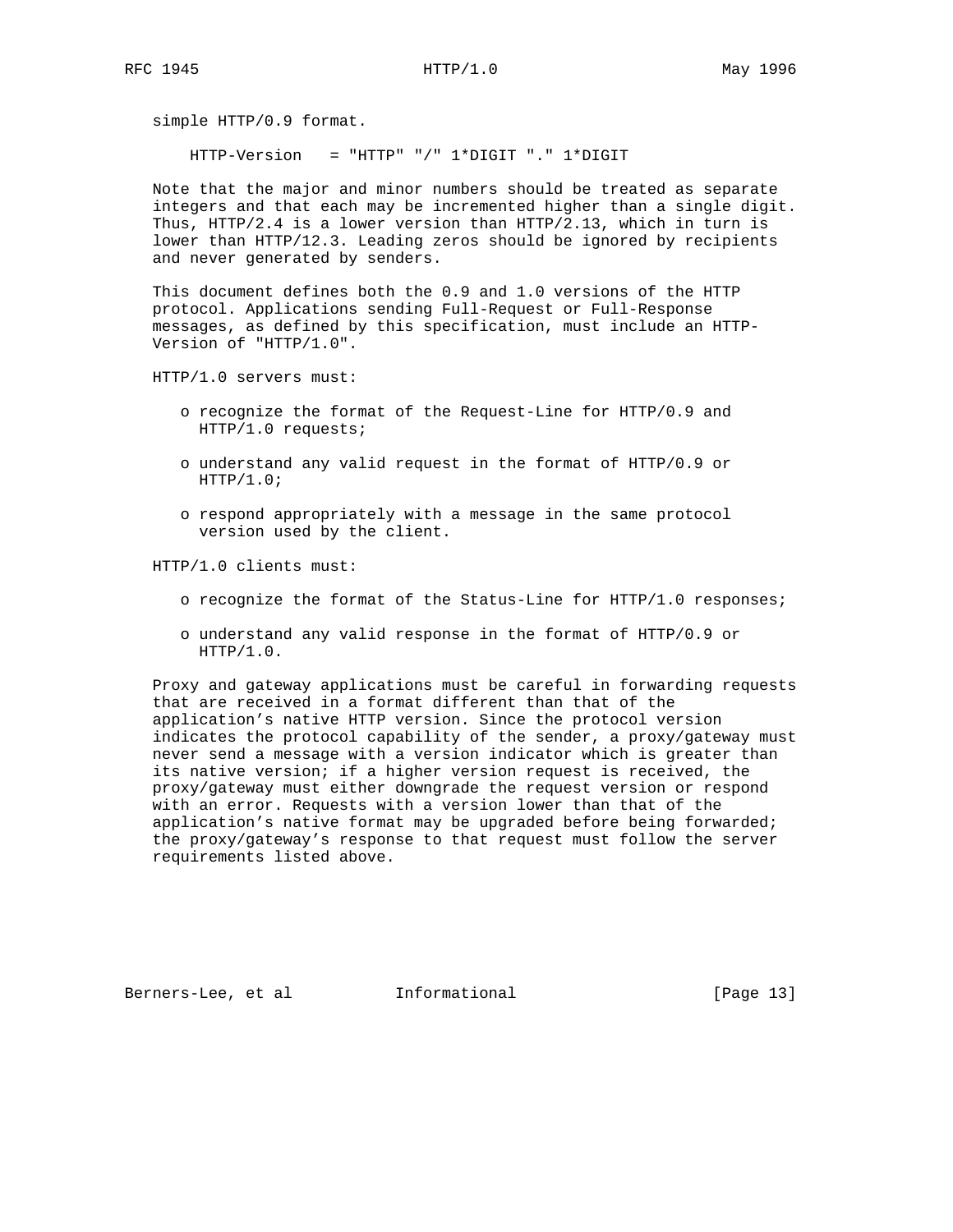simple HTTP/0.9 format.

HTTP-Version = "HTTP" "/" 1\*DIGIT "." 1\*DIGIT

 Note that the major and minor numbers should be treated as separate integers and that each may be incremented higher than a single digit. Thus, HTTP/2.4 is a lower version than HTTP/2.13, which in turn is lower than HTTP/12.3. Leading zeros should be ignored by recipients and never generated by senders.

 This document defines both the 0.9 and 1.0 versions of the HTTP protocol. Applications sending Full-Request or Full-Response messages, as defined by this specification, must include an HTTP- Version of "HTTP/1.0".

HTTP/1.0 servers must:

- o recognize the format of the Request-Line for HTTP/0.9 and HTTP/1.0 requests;
- o understand any valid request in the format of HTTP/0.9 or HTTP/1.0;
- o respond appropriately with a message in the same protocol version used by the client.

HTTP/1.0 clients must:

- o recognize the format of the Status-Line for HTTP/1.0 responses;
- o understand any valid response in the format of HTTP/0.9 or HTTP/1.0.

 Proxy and gateway applications must be careful in forwarding requests that are received in a format different than that of the application's native HTTP version. Since the protocol version indicates the protocol capability of the sender, a proxy/gateway must never send a message with a version indicator which is greater than its native version; if a higher version request is received, the proxy/gateway must either downgrade the request version or respond with an error. Requests with a version lower than that of the application's native format may be upgraded before being forwarded; the proxy/gateway's response to that request must follow the server requirements listed above.

Berners-Lee, et al informational [Page 13]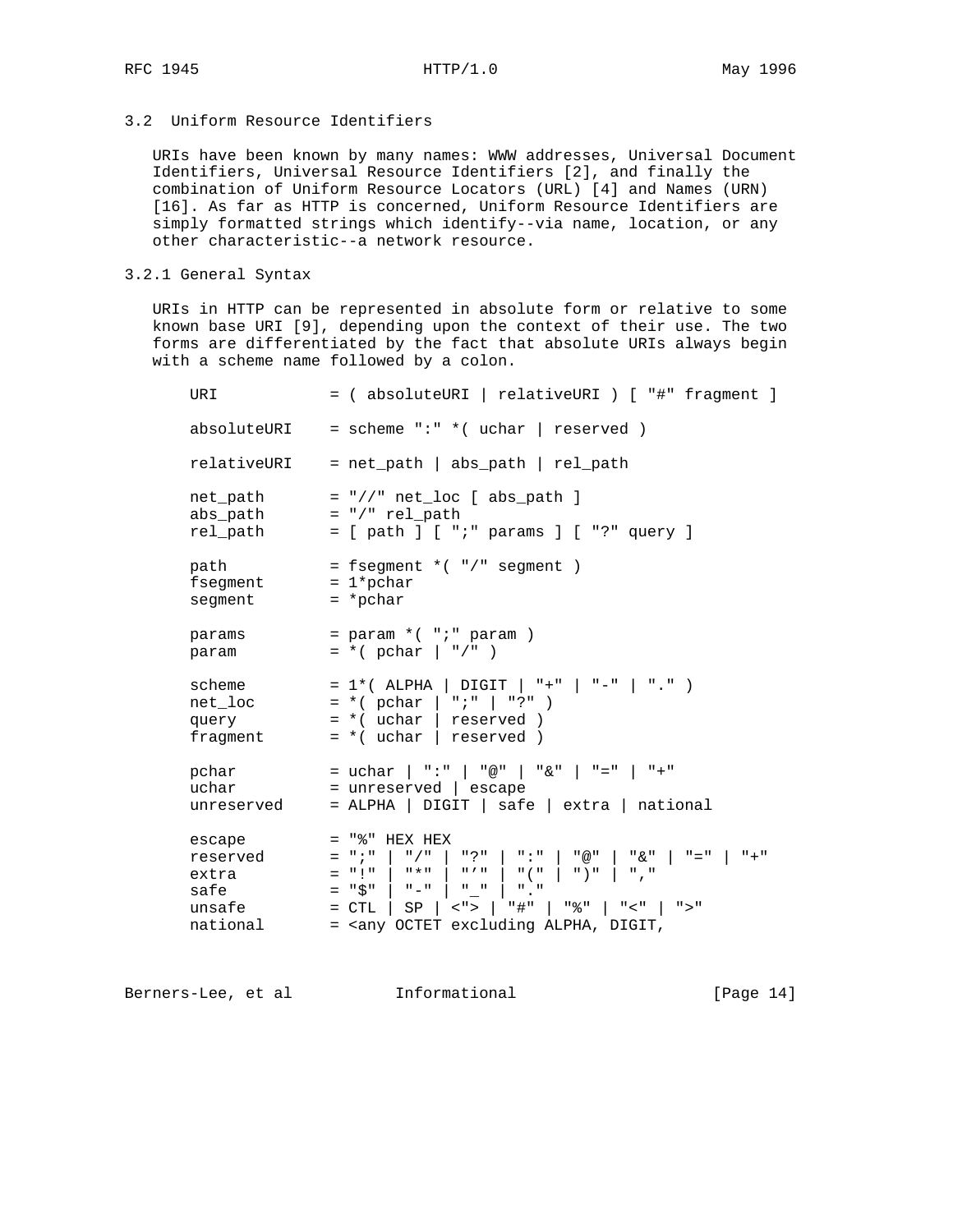# 3.2 Uniform Resource Identifiers

 URIs have been known by many names: WWW addresses, Universal Document Identifiers, Universal Resource Identifiers [2], and finally the combination of Uniform Resource Locators (URL) [4] and Names (URN) [16]. As far as HTTP is concerned, Uniform Resource Identifiers are simply formatted strings which identify--via name, location, or any other characteristic--a network resource.

3.2.1 General Syntax

 URIs in HTTP can be represented in absolute form or relative to some known base URI [9], depending upon the context of their use. The two forms are differentiated by the fact that absolute URIs always begin with a scheme name followed by a colon.

| URI                                                       | = ( absoluteURI   relativeURI ) [ "#" fragment ]                                                                                                                                                                                                                                                                                                                                    |
|-----------------------------------------------------------|-------------------------------------------------------------------------------------------------------------------------------------------------------------------------------------------------------------------------------------------------------------------------------------------------------------------------------------------------------------------------------------|
| absoluteURI                                               | = scheme ":" $*($ uchar   reserved )                                                                                                                                                                                                                                                                                                                                                |
| relativeURI                                               | = net_path   abs_path   rel_path                                                                                                                                                                                                                                                                                                                                                    |
| net path<br>abs_path<br>rel_path                          | $=$ "//" net_loc [ abs_path ]<br>= "/" rel_path<br>= [ path ] [ ";" params ] [ "?" query ]                                                                                                                                                                                                                                                                                          |
| path<br>$f^{segment} = 1 * pchar$<br>segment $=$ *pchar   | = fsegment *( "/" segment )                                                                                                                                                                                                                                                                                                                                                         |
| params<br>param                                           | $=$ param $*($ ";" param $)$<br>$= *$ (pchar   "/" )                                                                                                                                                                                                                                                                                                                                |
| scheme<br>net_loc<br>query<br>fragment                    | = 1*( ALPHA   DIGIT   "+"   "-"   "." )<br>$=$ *( pchar   ";"   "?" )<br>$= *$ (uchar   reserved )<br>$= *$ (uchar   reserved )                                                                                                                                                                                                                                                     |
| pchar<br>uchar<br>unreserved                              | = uchar   ":"   "@"   "&"   "="   "+"<br>$=$ unreserved $ $ escape<br>$=$ ALPHA   DIGIT   safe   extra   national                                                                                                                                                                                                                                                                   |
| escape<br>reserved<br>extra<br>safe<br>unsafe<br>national | $=$ "%" HEX HEX<br>" ? "   " : "   " @ "   " & "   " = "<br>$=$ "; "<br>$\mathbb{F}/\mathbb{F}$  <br>$" + "$<br>$=$ "!"   "*"   "'"   "("   ")"   ","<br>$=$ " $\zeta$ "   " $-$ "   " "<br>$\ ^{\rm n}$ . $\ ^{\rm n}$<br>$SP   < ">$   $"$   $"$   $"$   $"$ $"$   $"$ $"$   $"$ $"$   $"$ $"$<br>$=$ $CTL$ $ $<br>= <any alpha,="" digit,<="" excluding="" octet="" td=""></any> |

Berners-Lee, et al Informational [Page 14]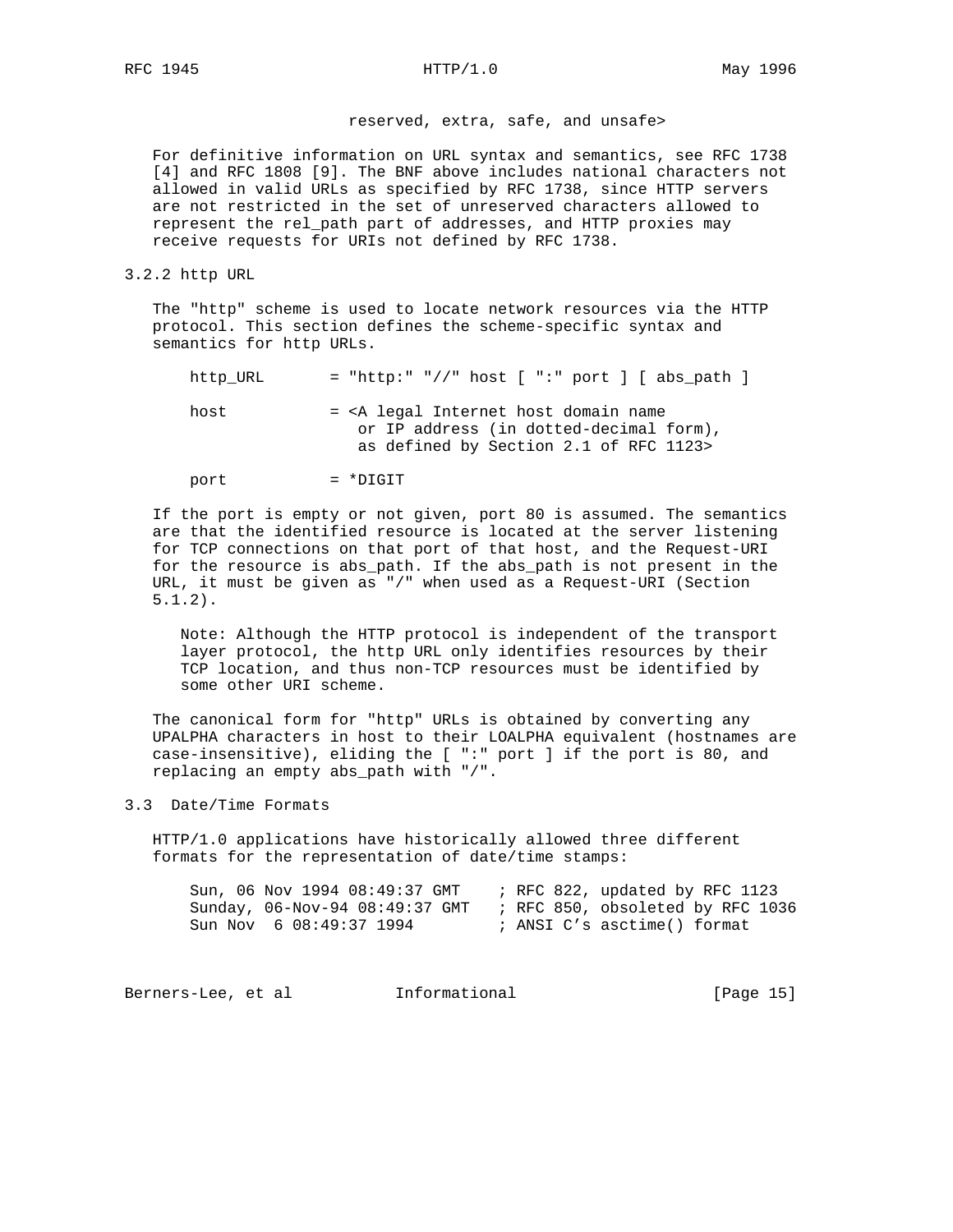reserved, extra, safe, and unsafe>

 For definitive information on URL syntax and semantics, see RFC 1738 [4] and RFC 1808 [9]. The BNF above includes national characters not allowed in valid URLs as specified by RFC 1738, since HTTP servers are not restricted in the set of unreserved characters allowed to represent the rel\_path part of addresses, and HTTP proxies may receive requests for URIs not defined by RFC 1738.

3.2.2 http URL

 The "http" scheme is used to locate network resources via the HTTP protocol. This section defines the scheme-specific syntax and semantics for http URLs.

| http URL | = "http:" "//" host [ ":" port ] [ abs_path ]                                                                                                    |
|----------|--------------------------------------------------------------------------------------------------------------------------------------------------|
| host     | = <a domain="" host="" internet="" legal="" name<br="">or IP address (in dotted-decimal form),<br/>as defined by Section 2.1 of RFC 1123&gt;</a> |
| port     | $= *DTGIT$                                                                                                                                       |

 If the port is empty or not given, port 80 is assumed. The semantics are that the identified resource is located at the server listening for TCP connections on that port of that host, and the Request-URI for the resource is abs\_path. If the abs\_path is not present in the URL, it must be given as "/" when used as a Request-URI (Section 5.1.2).

 Note: Although the HTTP protocol is independent of the transport layer protocol, the http URL only identifies resources by their TCP location, and thus non-TCP resources must be identified by some other URI scheme.

 The canonical form for "http" URLs is obtained by converting any UPALPHA characters in host to their LOALPHA equivalent (hostnames are case-insensitive), eliding the [ ":" port ] if the port is 80, and replacing an empty abs\_path with "/".

3.3 Date/Time Formats

 HTTP/1.0 applications have historically allowed three different formats for the representation of date/time stamps:

| Sun, 06 Nov 1994 08:49:37 GMT  | ; RFC 822, updated by RFC 1123   |
|--------------------------------|----------------------------------|
| Sunday, 06-Nov-94 08:49:37 GMT | ; RFC 850, obsoleted by RFC 1036 |
| Sun Nov 6 08:49:37 1994        | ; ANSI C's asctime() format      |

Berners-Lee, et al **Informational** [Page 15]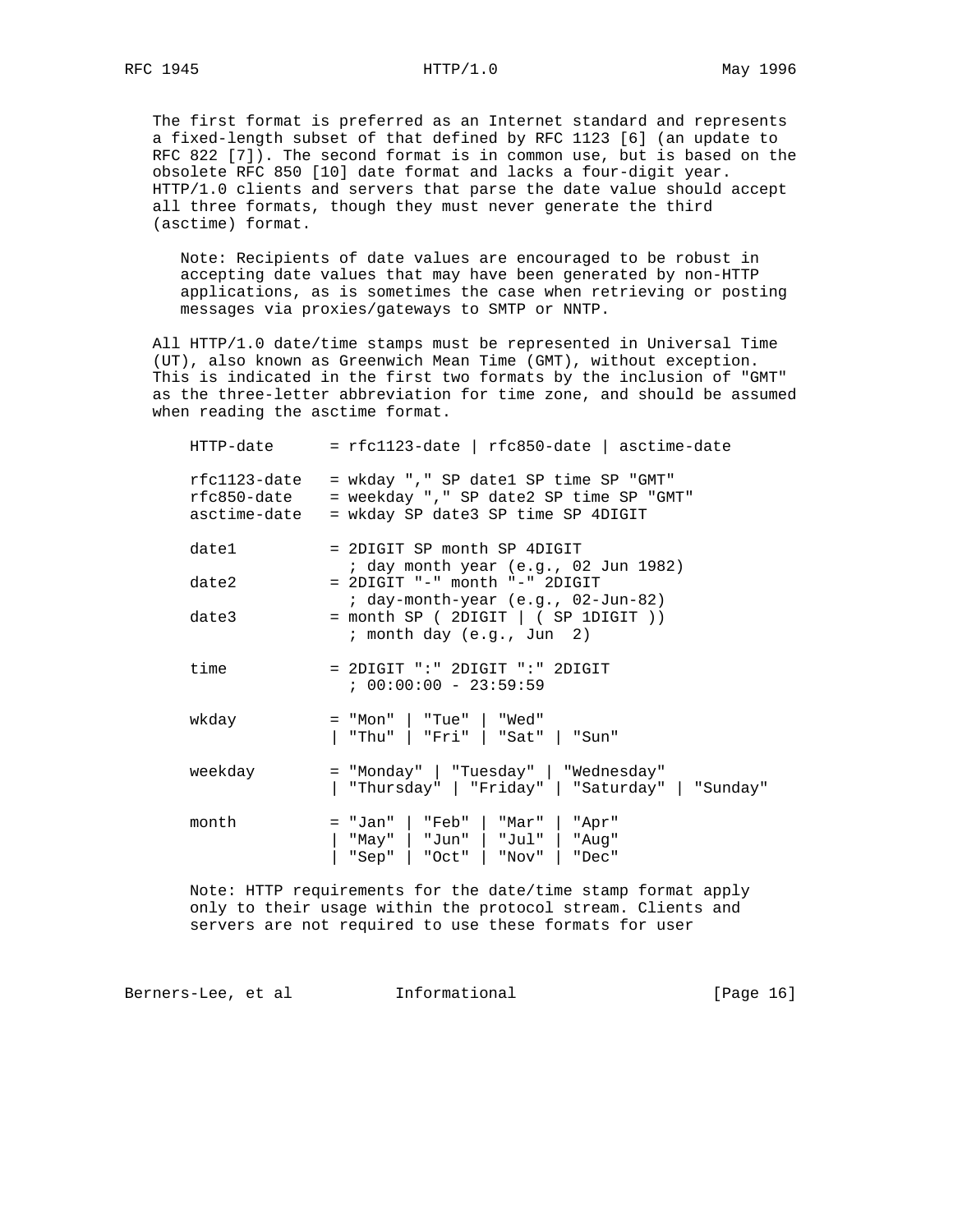The first format is preferred as an Internet standard and represents a fixed-length subset of that defined by RFC 1123 [6] (an update to RFC 822 [7]). The second format is in common use, but is based on the obsolete RFC 850 [10] date format and lacks a four-digit year. HTTP/1.0 clients and servers that parse the date value should accept all three formats, though they must never generate the third (asctime) format.

 Note: Recipients of date values are encouraged to be robust in accepting date values that may have been generated by non-HTTP applications, as is sometimes the case when retrieving or posting messages via proxies/gateways to SMTP or NNTP.

 All HTTP/1.0 date/time stamps must be represented in Universal Time (UT), also known as Greenwich Mean Time (GMT), without exception. This is indicated in the first two formats by the inclusion of "GMT" as the three-letter abbreviation for time zone, and should be assumed when reading the asctime format.

| HTTP-date                                   | $=$ rfc1123-date   rfc850-date   asctime-date                                                                           |
|---------------------------------------------|-------------------------------------------------------------------------------------------------------------------------|
| rfc1123-date<br>rfc850-date<br>asctime-date | = wkday ", " SP datel SP time SP "GMT"<br>= weekday "," SP date2 SP time SP "GMT"<br>= wkday SP date3 SP time SP 4DIGIT |
| date1                                       | = 2DIGIT SP month SP 4DIGIT<br>; day month year $(e,q, 02$ Jun 1982)                                                    |
| date2                                       | = 2DIGIT "-" month "-" 2DIGIT<br>; day-month-year $(e,q, 02-Jun-82)$                                                    |
| date3                                       | $=$ month SP ( 2DIGIT   ( SP 1DIGIT ))<br>; month day $(e.g., Jun 2)$                                                   |
| time                                        | $= 2$ DIGIT ":" $2$ DIGIT ":" $2$ DIGIT<br>$: 00:00:00 - 23:59:59$                                                      |
| wkday                                       | = "Mon"   "Tue"   "Wed"<br>  "Thu"   "Fri"   "Sat"   "Sun"                                                              |
| weekday                                     | = "Monday"   "Tuesday"   "Wednesday"<br>  "Thursday"   "Friday"   "Saturday"   "Sunday"                                 |
| month                                       | = "Jan"   "Feb"   "Mar"   "Apr"<br>"May"   "Jun"   "Jul"   "Aug"<br>"Sep"   "Oct"   "Nov"   "Dec"                       |

 Note: HTTP requirements for the date/time stamp format apply only to their usage within the protocol stream. Clients and servers are not required to use these formats for user

Berners-Lee, et al informational [Page 16]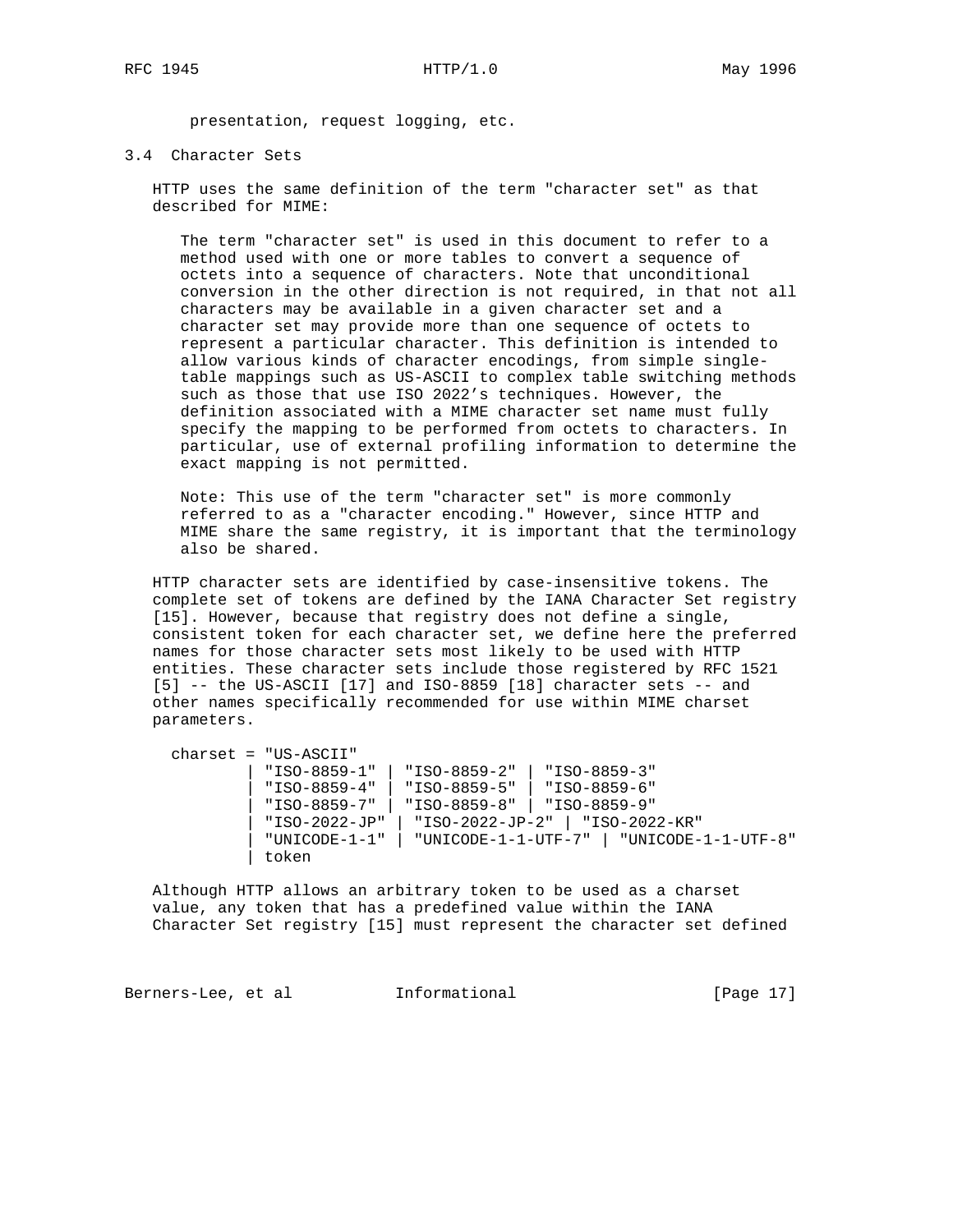presentation, request logging, etc.

### 3.4 Character Sets

 HTTP uses the same definition of the term "character set" as that described for MIME:

 The term "character set" is used in this document to refer to a method used with one or more tables to convert a sequence of octets into a sequence of characters. Note that unconditional conversion in the other direction is not required, in that not all characters may be available in a given character set and a character set may provide more than one sequence of octets to represent a particular character. This definition is intended to allow various kinds of character encodings, from simple single table mappings such as US-ASCII to complex table switching methods such as those that use ISO 2022's techniques. However, the definition associated with a MIME character set name must fully specify the mapping to be performed from octets to characters. In particular, use of external profiling information to determine the exact mapping is not permitted.

 Note: This use of the term "character set" is more commonly referred to as a "character encoding." However, since HTTP and MIME share the same registry, it is important that the terminology also be shared.

 HTTP character sets are identified by case-insensitive tokens. The complete set of tokens are defined by the IANA Character Set registry [15]. However, because that registry does not define a single, consistent token for each character set, we define here the preferred names for those character sets most likely to be used with HTTP entities. These character sets include those registered by RFC 1521 [5] -- the US-ASCII [17] and ISO-8859 [18] character sets -- and other names specifically recommended for use within MIME charset parameters.

| $charge = "US-ASCII"$ |                             |                                           |
|-----------------------|-----------------------------|-------------------------------------------|
| "ISO-8859-1"          | "ISO-8859-2"                | "ISO-8859-3"                              |
| "ISO-8859-4"          | "ISO-8859-5"                | "ISO-8859-6"                              |
| "ISO-8859-7"          | "ISO-8859-8"   "ISO-8859-9" |                                           |
| "ISO-2022-JP"         |                             | "ISO-2022-JP-2"   "ISO-2022-KR"           |
| "UNICODE-1-1"         |                             | "UNICODE-1-1-UTF-7"   "UNICODE-1-1-UTF-8" |
| token                 |                             |                                           |

 Although HTTP allows an arbitrary token to be used as a charset value, any token that has a predefined value within the IANA Character Set registry [15] must represent the character set defined

Berners-Lee, et al informational [Page 17]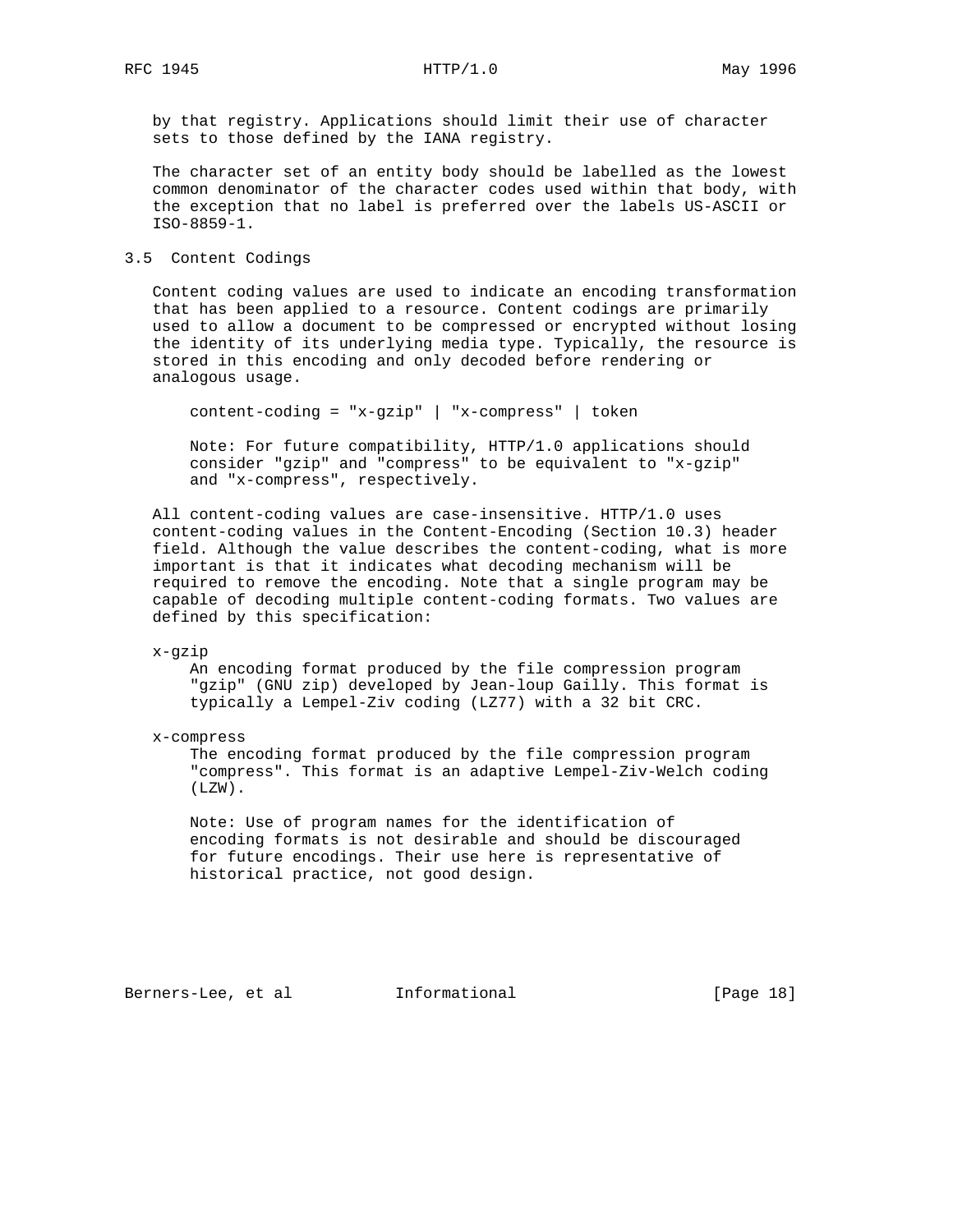by that registry. Applications should limit their use of character sets to those defined by the IANA registry.

 The character set of an entity body should be labelled as the lowest common denominator of the character codes used within that body, with the exception that no label is preferred over the labels US-ASCII or ISO-8859-1.

## 3.5 Content Codings

 Content coding values are used to indicate an encoding transformation that has been applied to a resource. Content codings are primarily used to allow a document to be compressed or encrypted without losing the identity of its underlying media type. Typically, the resource is stored in this encoding and only decoded before rendering or analogous usage.

content-coding = "x-gzip" | "x-compress" | token

 Note: For future compatibility, HTTP/1.0 applications should consider "gzip" and "compress" to be equivalent to "x-gzip" and "x-compress", respectively.

 All content-coding values are case-insensitive. HTTP/1.0 uses content-coding values in the Content-Encoding (Section 10.3) header field. Although the value describes the content-coding, what is more important is that it indicates what decoding mechanism will be required to remove the encoding. Note that a single program may be capable of decoding multiple content-coding formats. Two values are defined by this specification:

### x-gzip

 An encoding format produced by the file compression program "gzip" (GNU zip) developed by Jean-loup Gailly. This format is typically a Lempel-Ziv coding (LZ77) with a 32 bit CRC.

x-compress

 The encoding format produced by the file compression program "compress". This format is an adaptive Lempel-Ziv-Welch coding (LZW).

 Note: Use of program names for the identification of encoding formats is not desirable and should be discouraged for future encodings. Their use here is representative of historical practice, not good design.

Berners-Lee, et al **Informational** [Page 18]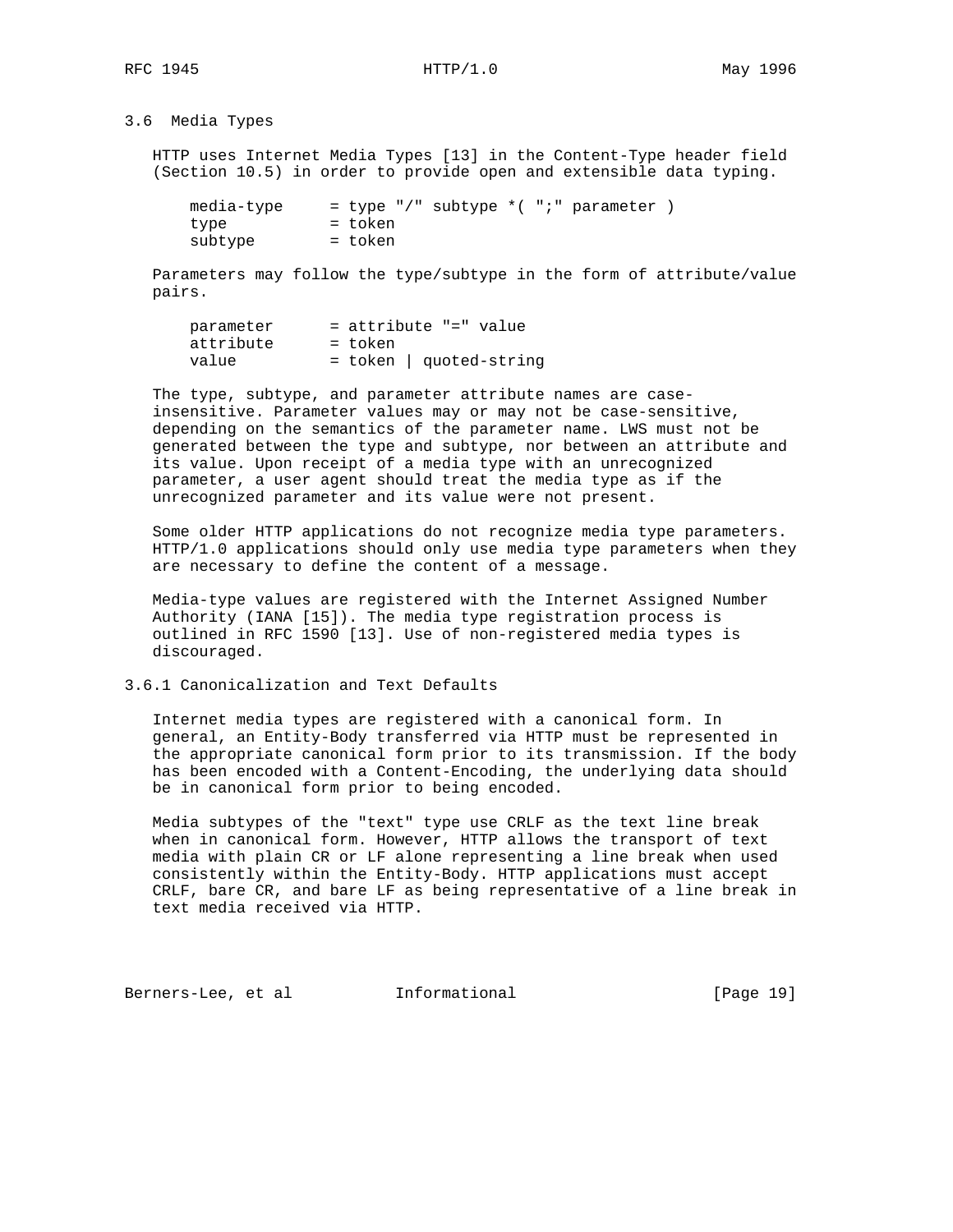3.6 Media Types

 HTTP uses Internet Media Types [13] in the Content-Type header field (Section 10.5) in order to provide open and extensible data typing.

| media-type | = type "/" subtype $*($ ";" parameter ) |
|------------|-----------------------------------------|
| type       | = token                                 |
| subtype    | = token                                 |

 Parameters may follow the type/subtype in the form of attribute/value pairs.

| parameter | = attribute "=" value     |
|-----------|---------------------------|
| attribute | = token                   |
| value     | $=$ token   quoted-string |

 The type, subtype, and parameter attribute names are case insensitive. Parameter values may or may not be case-sensitive, depending on the semantics of the parameter name. LWS must not be generated between the type and subtype, nor between an attribute and its value. Upon receipt of a media type with an unrecognized parameter, a user agent should treat the media type as if the unrecognized parameter and its value were not present.

 Some older HTTP applications do not recognize media type parameters. HTTP/1.0 applications should only use media type parameters when they are necessary to define the content of a message.

 Media-type values are registered with the Internet Assigned Number Authority (IANA [15]). The media type registration process is outlined in RFC 1590 [13]. Use of non-registered media types is discouraged.

## 3.6.1 Canonicalization and Text Defaults

 Internet media types are registered with a canonical form. In general, an Entity-Body transferred via HTTP must be represented in the appropriate canonical form prior to its transmission. If the body has been encoded with a Content-Encoding, the underlying data should be in canonical form prior to being encoded.

 Media subtypes of the "text" type use CRLF as the text line break when in canonical form. However, HTTP allows the transport of text media with plain CR or LF alone representing a line break when used consistently within the Entity-Body. HTTP applications must accept CRLF, bare CR, and bare LF as being representative of a line break in text media received via HTTP.

Berners-Lee, et al Informational [Page 19]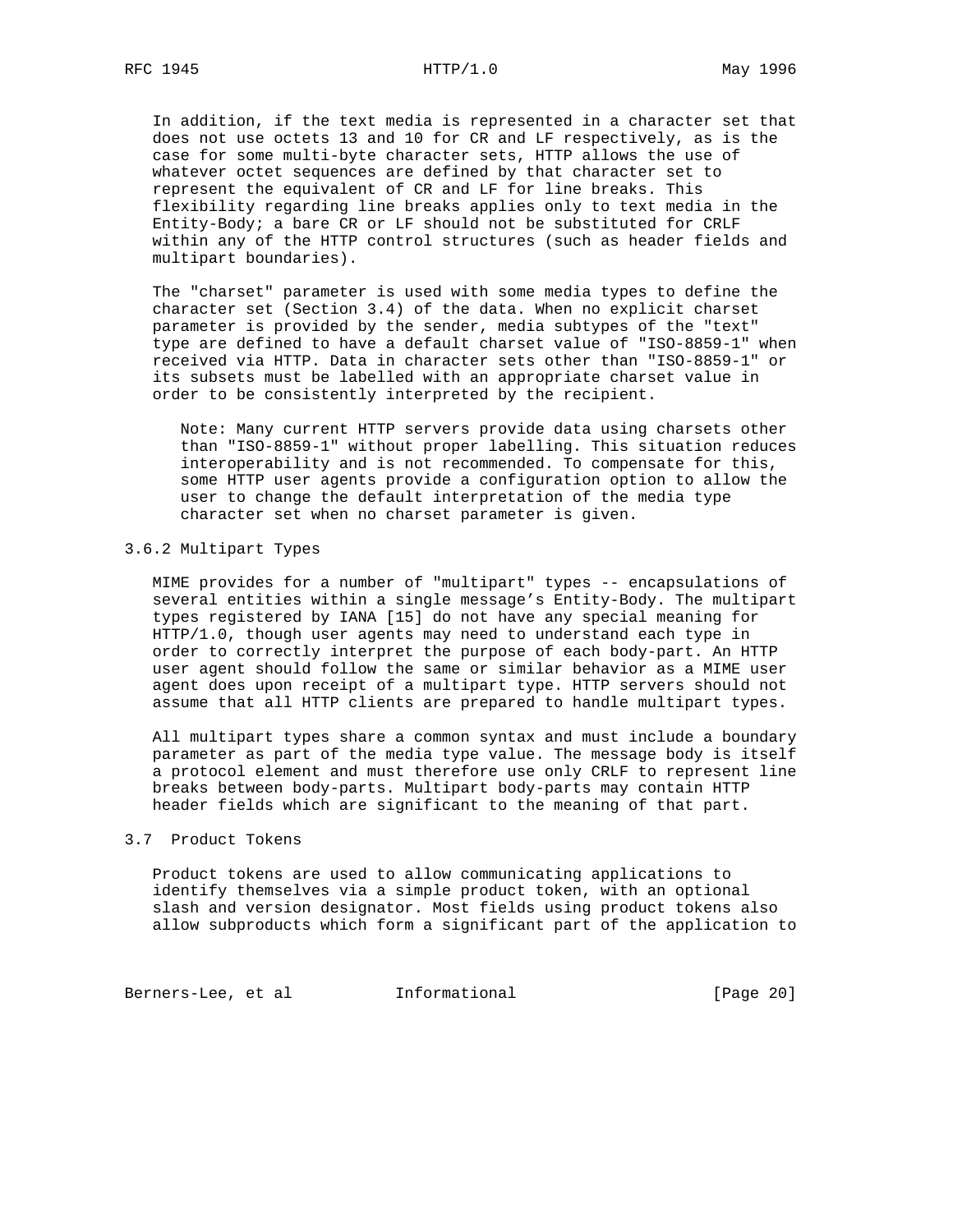In addition, if the text media is represented in a character set that does not use octets 13 and 10 for CR and LF respectively, as is the case for some multi-byte character sets, HTTP allows the use of whatever octet sequences are defined by that character set to represent the equivalent of CR and LF for line breaks. This flexibility regarding line breaks applies only to text media in the Entity-Body; a bare CR or LF should not be substituted for CRLF within any of the HTTP control structures (such as header fields and multipart boundaries).

 The "charset" parameter is used with some media types to define the character set (Section 3.4) of the data. When no explicit charset parameter is provided by the sender, media subtypes of the "text" type are defined to have a default charset value of "ISO-8859-1" when received via HTTP. Data in character sets other than "ISO-8859-1" or its subsets must be labelled with an appropriate charset value in order to be consistently interpreted by the recipient.

 Note: Many current HTTP servers provide data using charsets other than "ISO-8859-1" without proper labelling. This situation reduces interoperability and is not recommended. To compensate for this, some HTTP user agents provide a configuration option to allow the user to change the default interpretation of the media type character set when no charset parameter is given.

### 3.6.2 Multipart Types

 MIME provides for a number of "multipart" types -- encapsulations of several entities within a single message's Entity-Body. The multipart types registered by IANA [15] do not have any special meaning for HTTP/1.0, though user agents may need to understand each type in order to correctly interpret the purpose of each body-part. An HTTP user agent should follow the same or similar behavior as a MIME user agent does upon receipt of a multipart type. HTTP servers should not assume that all HTTP clients are prepared to handle multipart types.

 All multipart types share a common syntax and must include a boundary parameter as part of the media type value. The message body is itself a protocol element and must therefore use only CRLF to represent line breaks between body-parts. Multipart body-parts may contain HTTP header fields which are significant to the meaning of that part.

## 3.7 Product Tokens

 Product tokens are used to allow communicating applications to identify themselves via a simple product token, with an optional slash and version designator. Most fields using product tokens also allow subproducts which form a significant part of the application to

Berners-Lee, et al **Informational** [Page 20]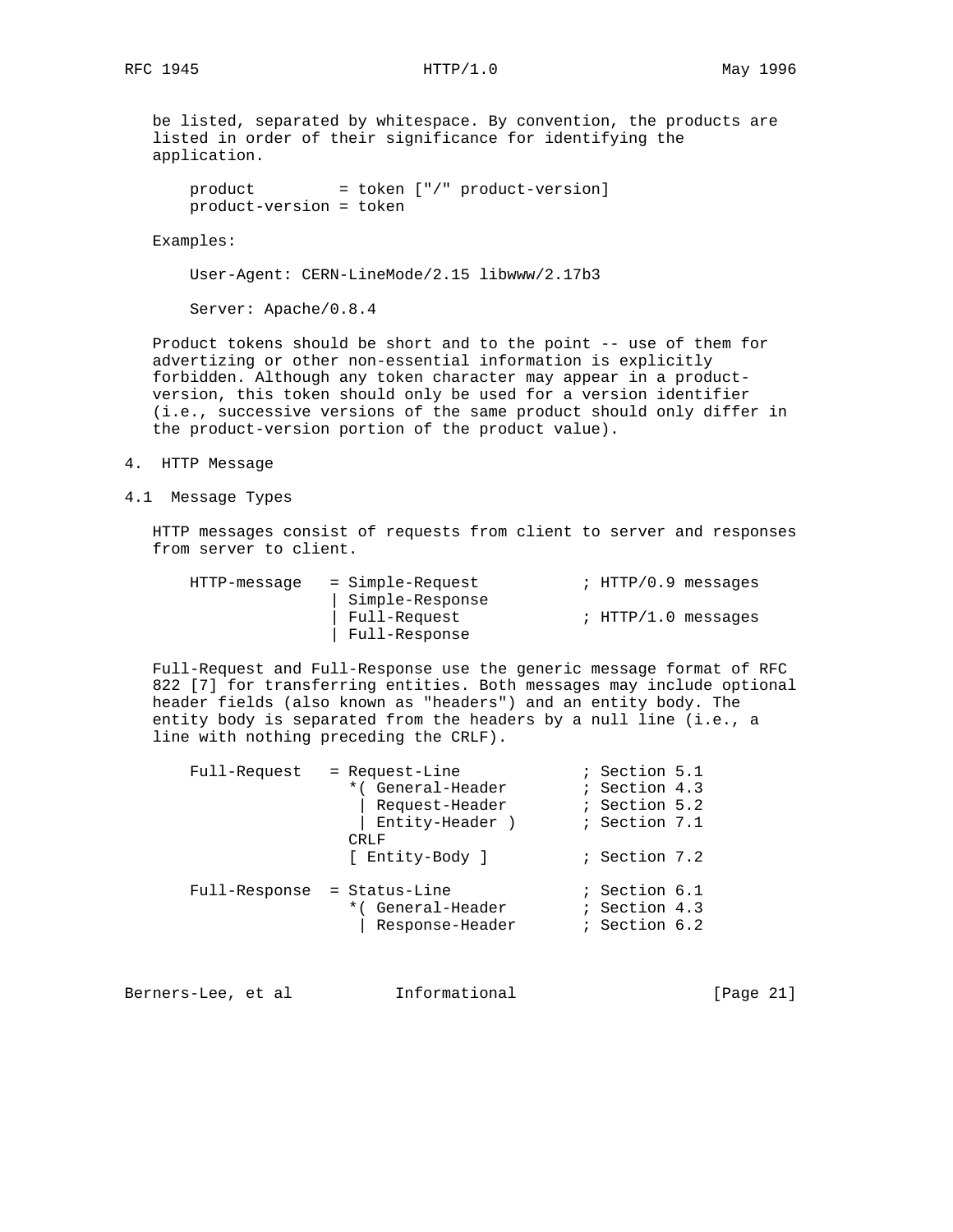be listed, separated by whitespace. By convention, the products are listed in order of their significance for identifying the application.

product = token ["/" product-version] product-version = token

Examples:

User-Agent: CERN-LineMode/2.15 libwww/2.17b3

Server: Apache/0.8.4

 Product tokens should be short and to the point -- use of them for advertizing or other non-essential information is explicitly forbidden. Although any token character may appear in a product version, this token should only be used for a version identifier (i.e., successive versions of the same product should only differ in the product-version portion of the product value).

- 4. HTTP Message
- 4.1 Message Types

 HTTP messages consist of requests from client to server and responses from server to client.

| HTTP-message | = Simple-Request | $:$ HTTP/0.9 messages |
|--------------|------------------|-----------------------|
|              | Simple-Response  |                       |
|              | Full-Request     | $:$ HTTP/1.0 messages |
|              | Full-Response    |                       |

 Full-Request and Full-Response use the generic message format of RFC 822 [7] for transferring entities. Both messages may include optional header fields (also known as "headers") and an entity body. The entity body is separated from the headers by a null line (i.e., a line with nothing preceding the CRLF).

| Full-Request  | = Request-Line    | ; Section 5.1 |
|---------------|-------------------|---------------|
|               | *(General-Header  | ; Section 4.3 |
|               | Request-Header    | ; Section 5.2 |
|               | Entity-Header )   | ; Section 7.1 |
|               | CRLF              |               |
|               | [ Entity-Body ]   | ; Section 7.2 |
| Full-Response | $=$ Status-Line   | ; Section 6.1 |
|               | *( General-Header | ; Section 4.3 |
|               | Response-Header   | ; Section 6.2 |

Berners-Lee, et al informational [Page 21]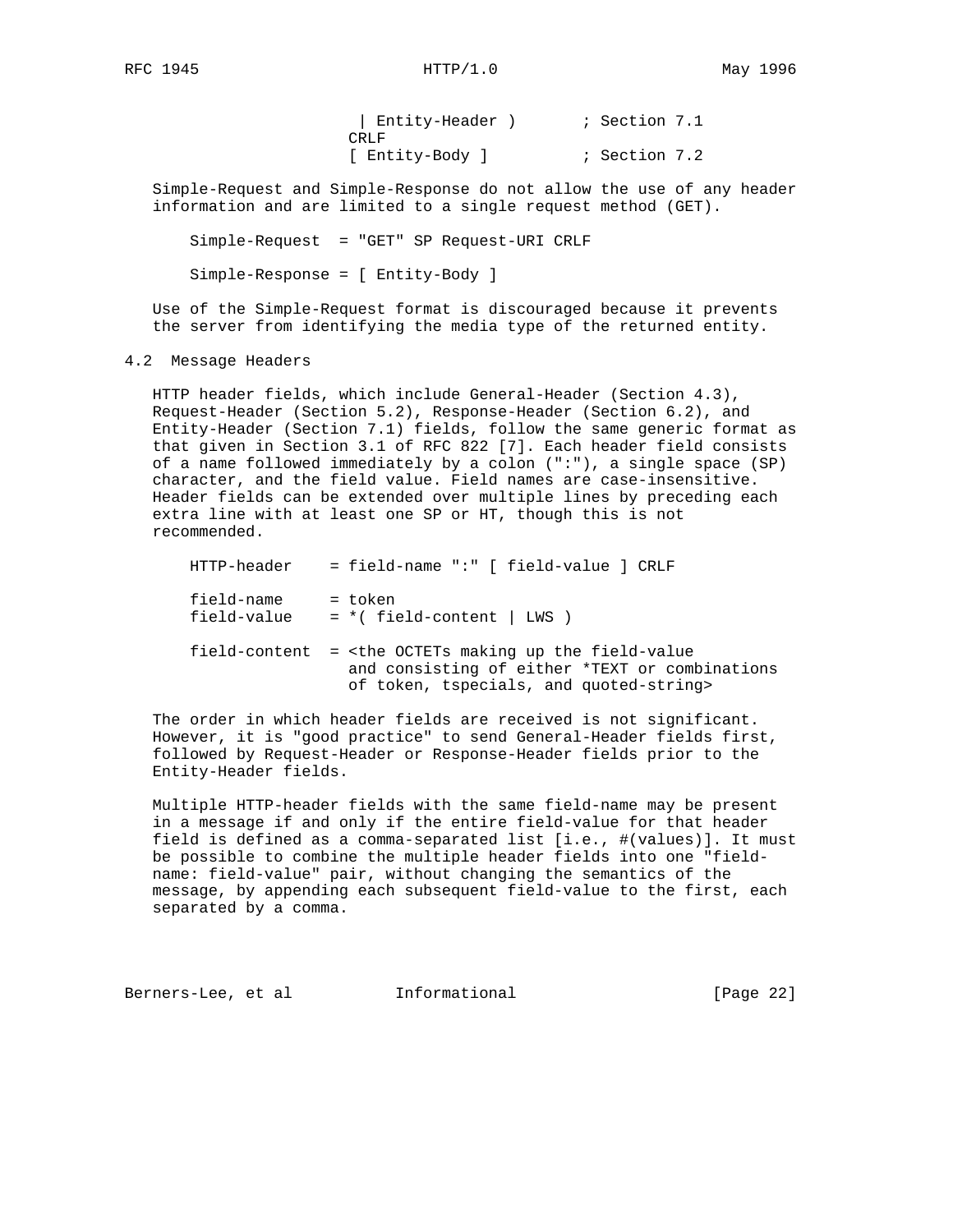| Entity-Header ) ; Section 7.1 CRLF

[ Entity-Body ]  $\qquad \qquad ;$  Section 7.2

 Simple-Request and Simple-Response do not allow the use of any header information and are limited to a single request method (GET).

 Simple-Request = "GET" SP Request-URI CRLF Simple-Response = [ Entity-Body ]

 Use of the Simple-Request format is discouraged because it prevents the server from identifying the media type of the returned entity.

4.2 Message Headers

 HTTP header fields, which include General-Header (Section 4.3), Request-Header (Section 5.2), Response-Header (Section 6.2), and Entity-Header (Section 7.1) fields, follow the same generic format as that given in Section 3.1 of RFC 822 [7]. Each header field consists of a name followed immediately by a colon (":"), a single space (SP) character, and the field value. Field names are case-insensitive. Header fields can be extended over multiple lines by preceding each extra line with at least one SP or HT, though this is not recommended.

|                           | HTTP-header = field-name ":" [ field-value ] CRLF                                                                                                                           |
|---------------------------|-----------------------------------------------------------------------------------------------------------------------------------------------------------------------------|
| field-name<br>field-value | = token<br>$= *$ (field-content   LWS )                                                                                                                                     |
|                           | field-content = <the field-value<br="" making="" octets="" the="" up="">and consisting of either *TEXT or combinations<br/>of token, tspecials, and quoted-string&gt;</the> |

 The order in which header fields are received is not significant. However, it is "good practice" to send General-Header fields first, followed by Request-Header or Response-Header fields prior to the Entity-Header fields.

 Multiple HTTP-header fields with the same field-name may be present in a message if and only if the entire field-value for that header field is defined as a comma-separated list [i.e., #(values)]. It must be possible to combine the multiple header fields into one "field name: field-value" pair, without changing the semantics of the message, by appending each subsequent field-value to the first, each separated by a comma.

Berners-Lee, et al Informational [Page 22]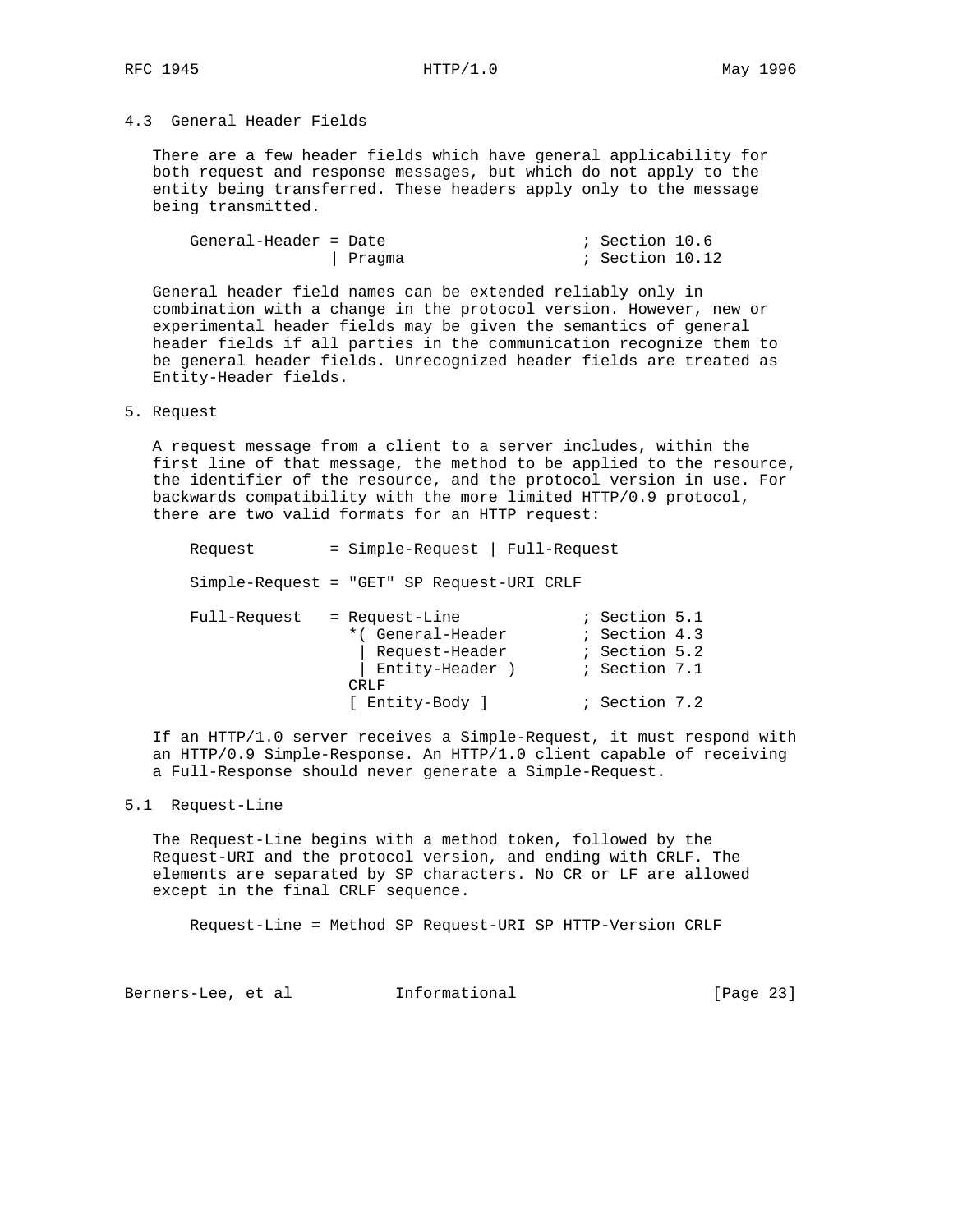## RFC 1945 HTTP/1.0 May 1996

# 4.3 General Header Fields

 There are a few header fields which have general applicability for both request and response messages, but which do not apply to the entity being transferred. These headers apply only to the message being transmitted.

| General-Header = Date |        | ; Section 10.6  |  |
|-----------------------|--------|-----------------|--|
|                       | Pragma | ; Section 10.12 |  |

 General header field names can be extended reliably only in combination with a change in the protocol version. However, new or experimental header fields may be given the semantics of general header fields if all parties in the communication recognize them to be general header fields. Unrecognized header fields are treated as Entity-Header fields.

## 5. Request

 A request message from a client to a server includes, within the first line of that message, the method to be applied to the resource, the identifier of the resource, and the protocol version in use. For backwards compatibility with the more limited HTTP/0.9 protocol, there are two valid formats for an HTTP request:

| Request      | = Simple-Request   Full-Request                                                   |                                                                  |  |
|--------------|-----------------------------------------------------------------------------------|------------------------------------------------------------------|--|
|              | Simple-Request = "GET" SP Request-URI CRLF                                        |                                                                  |  |
| Full-Request | $=$ Request-Line<br>*(General-Header<br>Request-Header<br>Entity-Header )<br>CRLF | ; Section 5.1<br>; Section 4.3<br>; Section 5.2<br>; Section 7.1 |  |
|              | [ Entity-Body ]                                                                   | ; Section 7.2                                                    |  |

 If an HTTP/1.0 server receives a Simple-Request, it must respond with an HTTP/0.9 Simple-Response. An HTTP/1.0 client capable of receiving a Full-Response should never generate a Simple-Request.

## 5.1 Request-Line

 The Request-Line begins with a method token, followed by the Request-URI and the protocol version, and ending with CRLF. The elements are separated by SP characters. No CR or LF are allowed except in the final CRLF sequence.

Request-Line = Method SP Request-URI SP HTTP-Version CRLF

Berners-Lee, et al Informational [Page 23]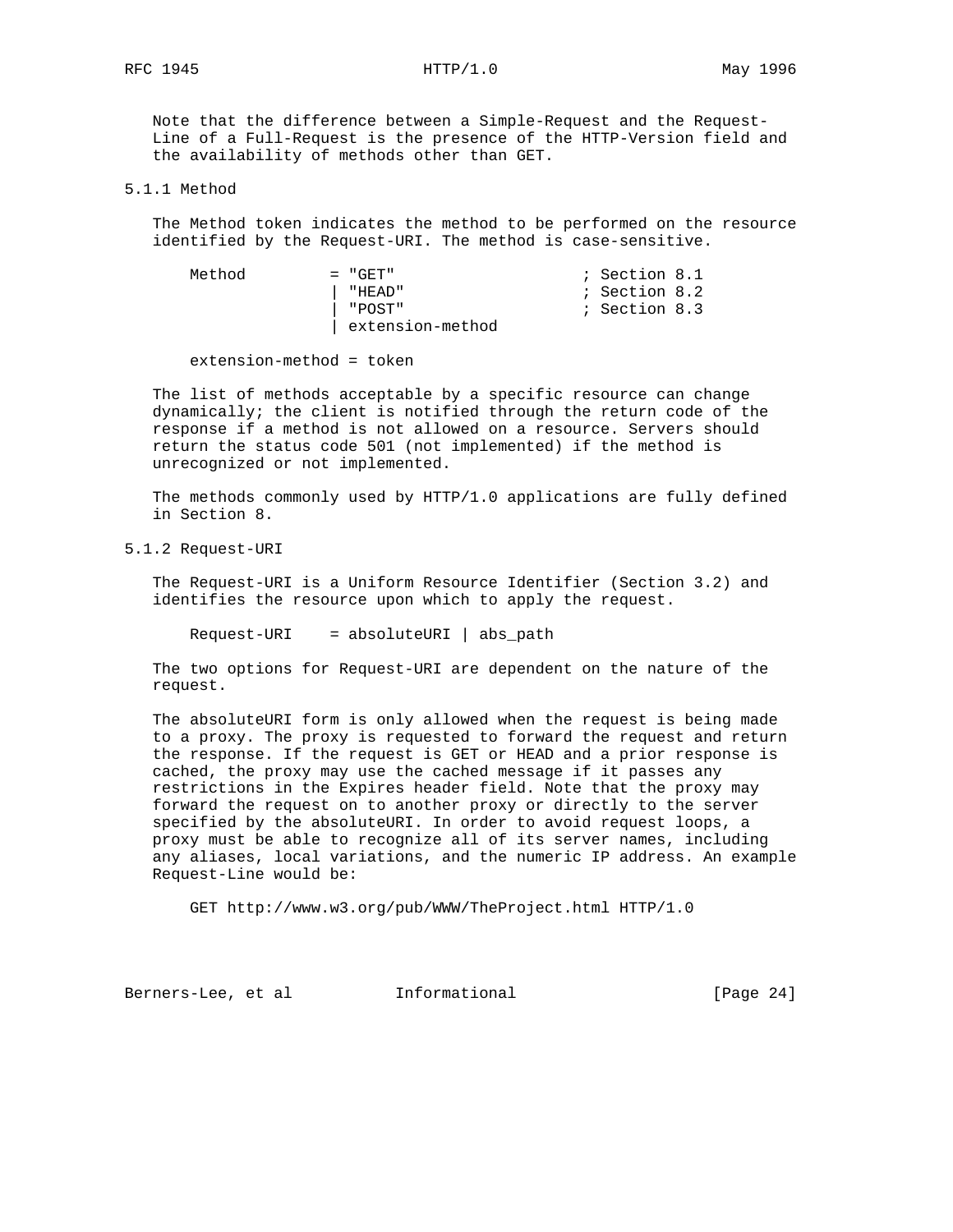Note that the difference between a Simple-Request and the Request- Line of a Full-Request is the presence of the HTTP-Version field and the availability of methods other than GET.

5.1.1 Method

 The Method token indicates the method to be performed on the resource identified by the Request-URI. The method is case-sensitive.

Method = "GET" ; Section 8.1<br>  $\vert$  "HEAD" ; Section 8.2 "HEAD" ; Section 8.2<br>"POST" ; Section 8.3 ; Section 8.3 | extension-method

extension-method = token

 The list of methods acceptable by a specific resource can change dynamically; the client is notified through the return code of the response if a method is not allowed on a resource. Servers should return the status code 501 (not implemented) if the method is unrecognized or not implemented.

 The methods commonly used by HTTP/1.0 applications are fully defined in Section 8.

5.1.2 Request-URI

 The Request-URI is a Uniform Resource Identifier (Section 3.2) and identifies the resource upon which to apply the request.

Request-URI = absoluteURI | abs\_path

 The two options for Request-URI are dependent on the nature of the request.

The absoluteURI form is only allowed when the request is being made to a proxy. The proxy is requested to forward the request and return the response. If the request is GET or HEAD and a prior response is cached, the proxy may use the cached message if it passes any restrictions in the Expires header field. Note that the proxy may forward the request on to another proxy or directly to the server specified by the absoluteURI. In order to avoid request loops, a proxy must be able to recognize all of its server names, including any aliases, local variations, and the numeric IP address. An example Request-Line would be:

GET http://www.w3.org/pub/WWW/TheProject.html HTTP/1.0

Berners-Lee, et al informational [Page 24]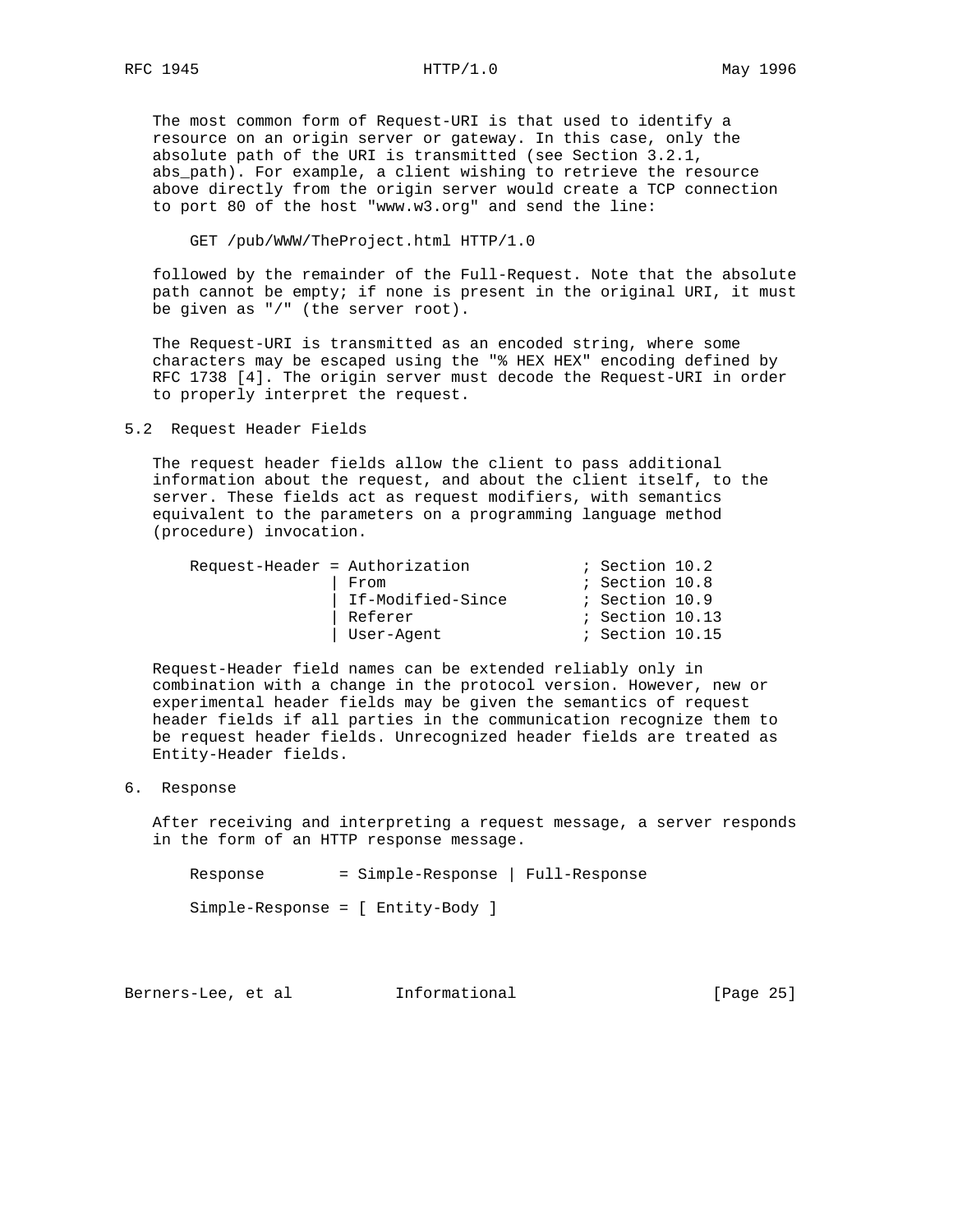The most common form of Request-URI is that used to identify a resource on an origin server or gateway. In this case, only the absolute path of the URI is transmitted (see Section 3.2.1, abs\_path). For example, a client wishing to retrieve the resource above directly from the origin server would create a TCP connection to port 80 of the host "www.w3.org" and send the line:

GET /pub/WWW/TheProject.html HTTP/1.0

 followed by the remainder of the Full-Request. Note that the absolute path cannot be empty; if none is present in the original URI, it must be given as "/" (the server root).

 The Request-URI is transmitted as an encoded string, where some characters may be escaped using the "% HEX HEX" encoding defined by RFC 1738 [4]. The origin server must decode the Request-URI in order to properly interpret the request.

5.2 Request Header Fields

 The request header fields allow the client to pass additional information about the request, and about the client itself, to the server. These fields act as request modifiers, with semantics equivalent to the parameters on a programming language method (procedure) invocation.

| Request-Header = Authorization |                   | ; Section 10.2    |  |
|--------------------------------|-------------------|-------------------|--|
|                                | From              | ; Section 10.8    |  |
|                                | If-Modified-Since | ; Section 10.9    |  |
|                                | Referer           | $:$ Section 10.13 |  |
|                                | User-Agent        | ; Section $10.15$ |  |

 Request-Header field names can be extended reliably only in combination with a change in the protocol version. However, new or experimental header fields may be given the semantics of request header fields if all parties in the communication recognize them to be request header fields. Unrecognized header fields are treated as Entity-Header fields.

6. Response

 After receiving and interpreting a request message, a server responds in the form of an HTTP response message.

| Response                          |  | = Simple-Response   Full-Response |  |
|-----------------------------------|--|-----------------------------------|--|
| Simple-Response = [ Entity-Body ] |  |                                   |  |

Berners-Lee, et al Informational [Page 25]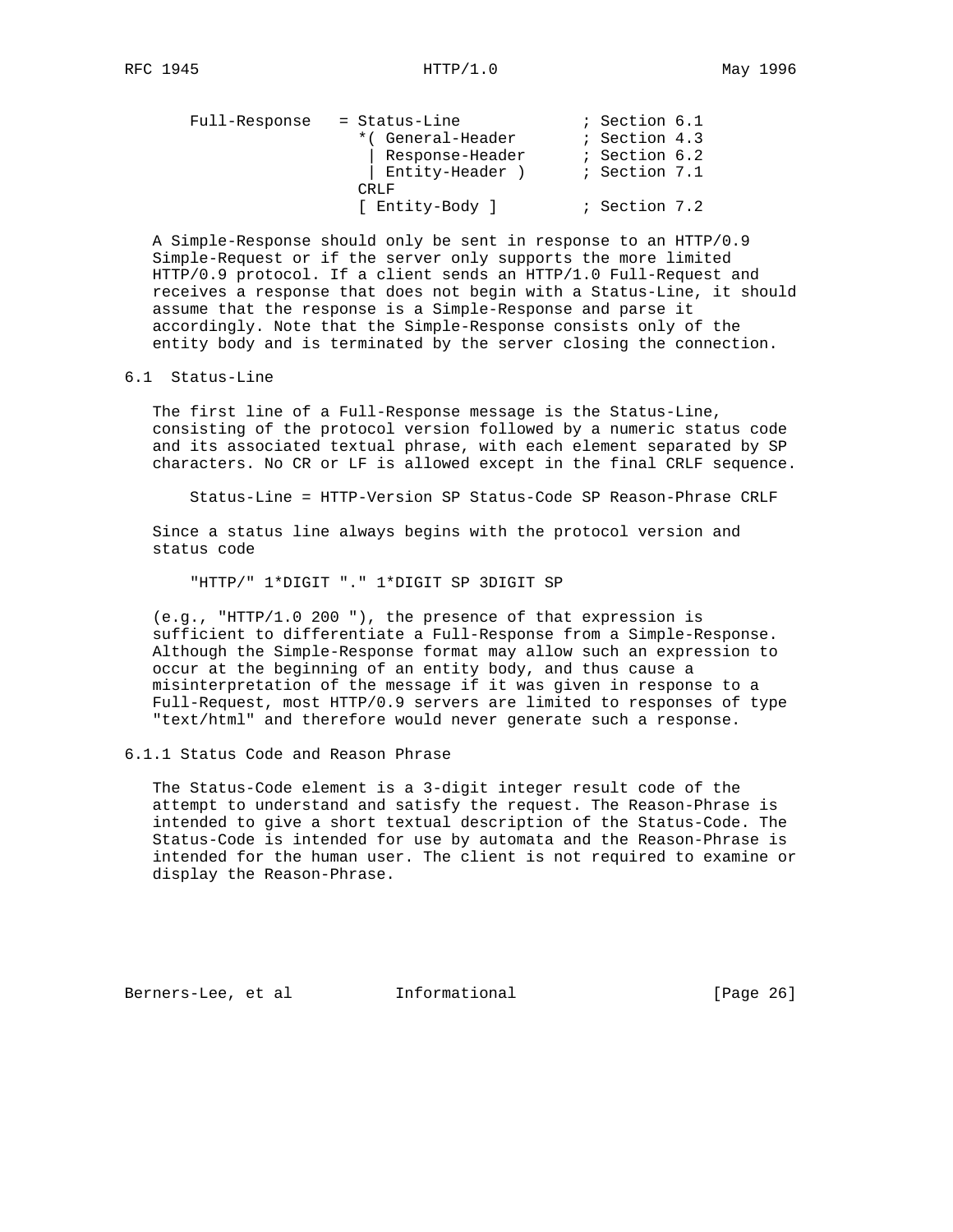| Full-Response | $=$ Status-Line   | ; Section 6.1 |
|---------------|-------------------|---------------|
|               | *( General-Header | ; Section 4.3 |
|               | Response-Header   | ; Section 6.2 |
|               | Entity-Header )   | ; Section 7.1 |
|               | CRLF              |               |
|               | [ Entity-Body ]   | ; Section 7.2 |

 A Simple-Response should only be sent in response to an HTTP/0.9 Simple-Request or if the server only supports the more limited HTTP/0.9 protocol. If a client sends an HTTP/1.0 Full-Request and receives a response that does not begin with a Status-Line, it should assume that the response is a Simple-Response and parse it accordingly. Note that the Simple-Response consists only of the entity body and is terminated by the server closing the connection.

### 6.1 Status-Line

 The first line of a Full-Response message is the Status-Line, consisting of the protocol version followed by a numeric status code and its associated textual phrase, with each element separated by SP characters. No CR or LF is allowed except in the final CRLF sequence.

Status-Line = HTTP-Version SP Status-Code SP Reason-Phrase CRLF

 Since a status line always begins with the protocol version and status code

"HTTP/" 1\*DIGIT "." 1\*DIGIT SP 3DIGIT SP

 (e.g., "HTTP/1.0 200 "), the presence of that expression is sufficient to differentiate a Full-Response from a Simple-Response. Although the Simple-Response format may allow such an expression to occur at the beginning of an entity body, and thus cause a misinterpretation of the message if it was given in response to a Full-Request, most HTTP/0.9 servers are limited to responses of type "text/html" and therefore would never generate such a response.

### 6.1.1 Status Code and Reason Phrase

 The Status-Code element is a 3-digit integer result code of the attempt to understand and satisfy the request. The Reason-Phrase is intended to give a short textual description of the Status-Code. The Status-Code is intended for use by automata and the Reason-Phrase is intended for the human user. The client is not required to examine or display the Reason-Phrase.

Berners-Lee, et al **Informational** [Page 26]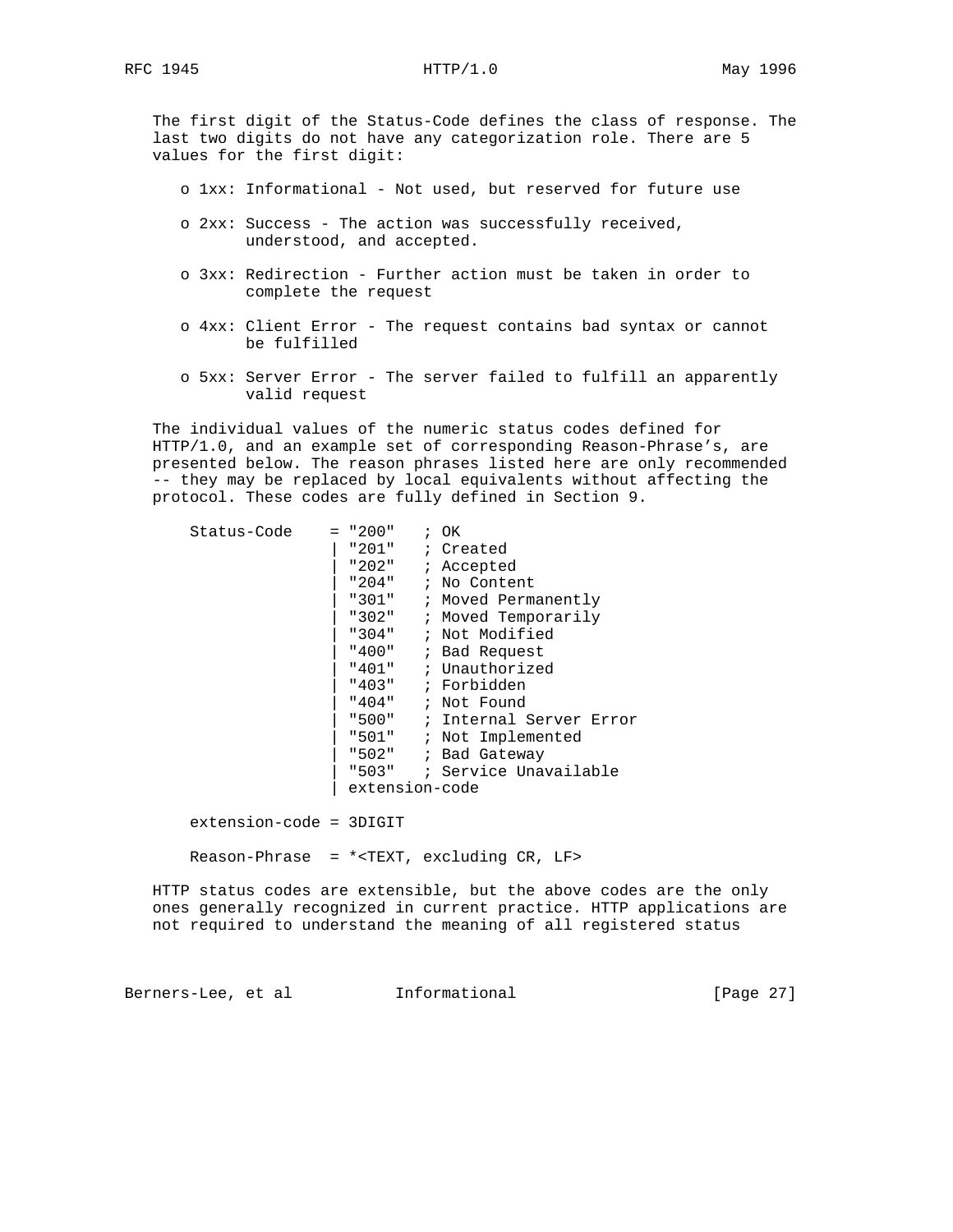### RFC 1945 HTTP/1.0 May 1996

 The first digit of the Status-Code defines the class of response. The last two digits do not have any categorization role. There are 5 values for the first digit:

o 1xx: Informational - Not used, but reserved for future use

- o 2xx: Success The action was successfully received, understood, and accepted.
- o 3xx: Redirection Further action must be taken in order to complete the request
- o 4xx: Client Error The request contains bad syntax or cannot be fulfilled
- o 5xx: Server Error The server failed to fulfill an apparently valid request

 The individual values of the numeric status codes defined for HTTP/1.0, and an example set of corresponding Reason-Phrase's, are presented below. The reason phrases listed here are only recommended -- they may be replaced by local equivalents without affecting the protocol. These codes are fully defined in Section 9.

| Status-Code | "200"          | ; OK                  |
|-------------|----------------|-----------------------|
|             | "201"          | ; Created             |
|             | "202"          | ; Accepted            |
|             | "204"          | ; No Content          |
|             | "301"          | ; Moved Permanently   |
|             | "302"          | ; Moved Temporarily   |
|             | "304"          | ; Not Modified        |
|             | "400"          | ; Bad Request         |
|             | "401"          | ; Unauthorized        |
|             | "403"          | ; Forbidden           |
|             | "404"          | ; Not Found           |
|             | "500"          | Internal Server Error |
|             | "501"          | ; Not Implemented     |
|             | "502"          | ; Bad Gateway         |
|             | "503"          | ; Service Unavailable |
|             | extension-code |                       |

extension-code = 3DIGIT

Reason-Phrase = \*<TEXT, excluding CR, LF>

 HTTP status codes are extensible, but the above codes are the only ones generally recognized in current practice. HTTP applications are not required to understand the meaning of all registered status

Berners-Lee, et al Informational [Page 27]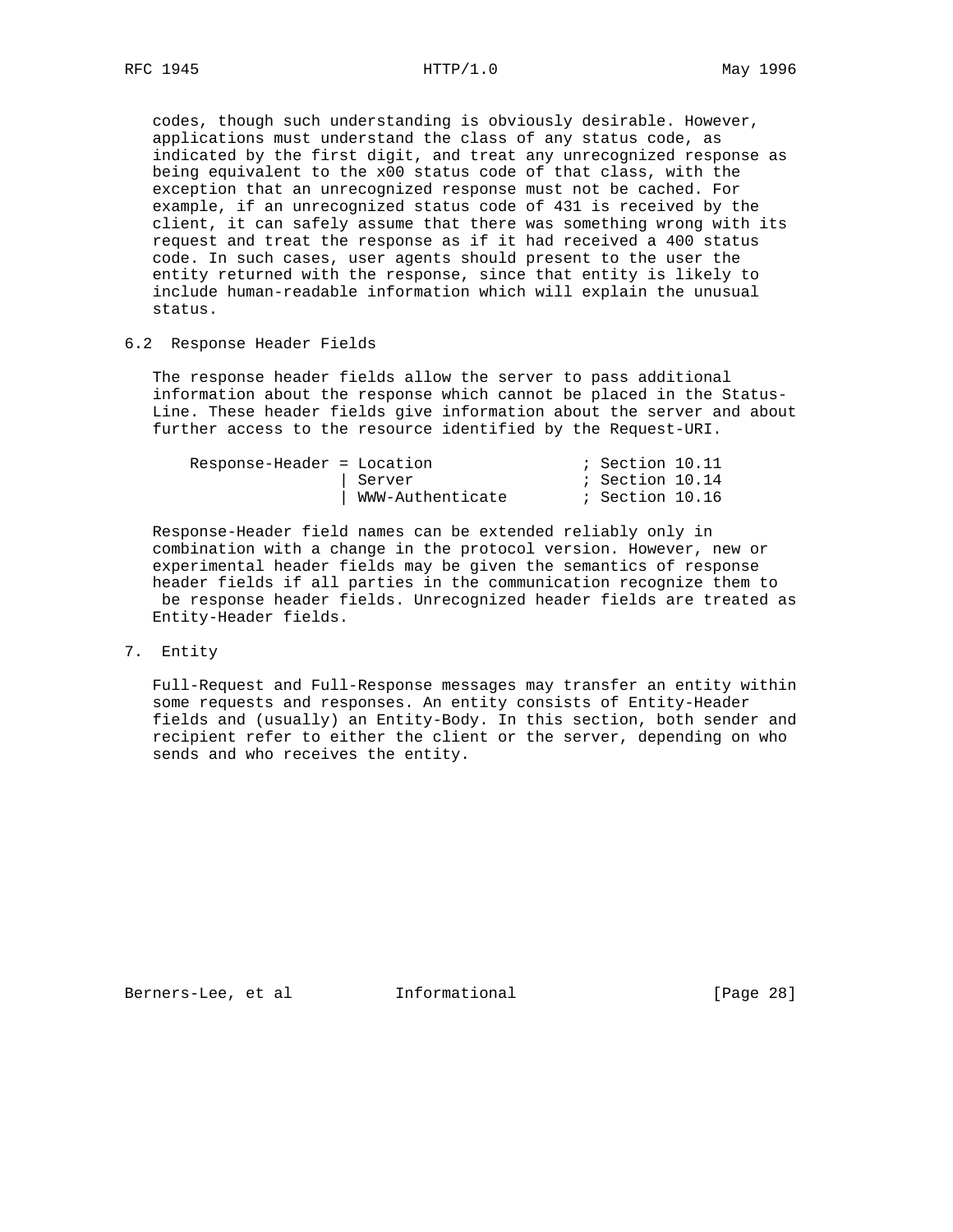codes, though such understanding is obviously desirable. However, applications must understand the class of any status code, as indicated by the first digit, and treat any unrecognized response as being equivalent to the x00 status code of that class, with the exception that an unrecognized response must not be cached. For example, if an unrecognized status code of 431 is received by the client, it can safely assume that there was something wrong with its request and treat the response as if it had received a 400 status code. In such cases, user agents should present to the user the entity returned with the response, since that entity is likely to include human-readable information which will explain the unusual status.

## 6.2 Response Header Fields

 The response header fields allow the server to pass additional information about the response which cannot be placed in the Status- Line. These header fields give information about the server and about further access to the resource identified by the Request-URI.

| Response-Header = Location |                  | ; Section 10.11 |  |
|----------------------------|------------------|-----------------|--|
|                            | Server           | ; Section 10.14 |  |
|                            | WWW-Authenticate | ; Section 10.16 |  |

 Response-Header field names can be extended reliably only in combination with a change in the protocol version. However, new or experimental header fields may be given the semantics of response header fields if all parties in the communication recognize them to be response header fields. Unrecognized header fields are treated as Entity-Header fields.

## 7. Entity

 Full-Request and Full-Response messages may transfer an entity within some requests and responses. An entity consists of Entity-Header fields and (usually) an Entity-Body. In this section, both sender and recipient refer to either the client or the server, depending on who sends and who receives the entity.

Berners-Lee, et al informational [Page 28]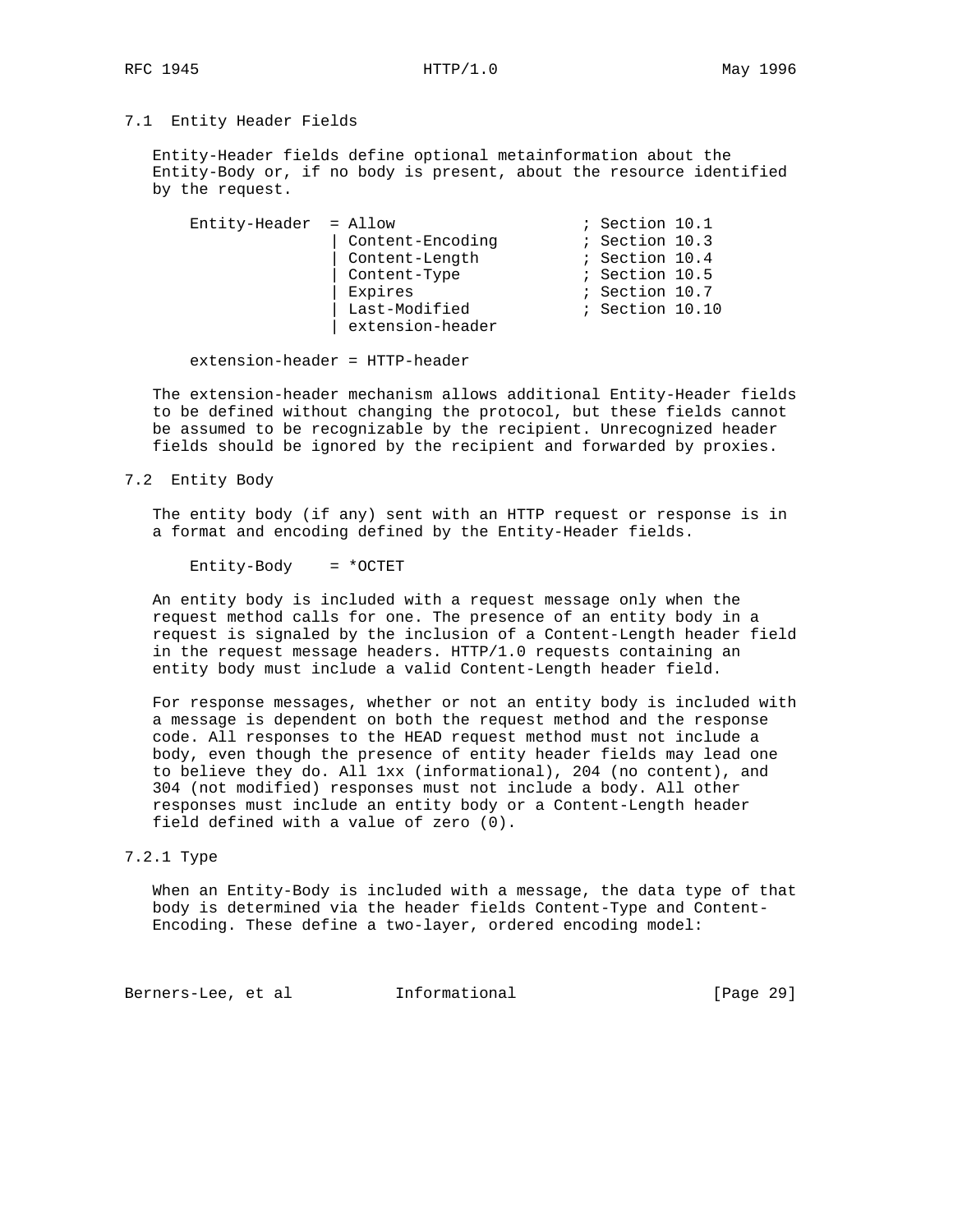7.1 Entity Header Fields

 Entity-Header fields define optional metainformation about the Entity-Body or, if no body is present, about the resource identified by the request.

| Entity-Header = Allow |                  | ; Section 10.1  |  |
|-----------------------|------------------|-----------------|--|
|                       | Content-Encoding | ; Section 10.3  |  |
|                       | Content-Length   | ; Section 10.4  |  |
|                       | Content-Type     | ; Section 10.5  |  |
|                       | Expires          | ; Section 10.7  |  |
|                       | Last-Modified    | ; Section 10.10 |  |
|                       | extension-header |                 |  |

extension-header = HTTP-header

 The extension-header mechanism allows additional Entity-Header fields to be defined without changing the protocol, but these fields cannot be assumed to be recognizable by the recipient. Unrecognized header fields should be ignored by the recipient and forwarded by proxies.

7.2 Entity Body

 The entity body (if any) sent with an HTTP request or response is in a format and encoding defined by the Entity-Header fields.

Entity-Body = \*OCTET

 An entity body is included with a request message only when the request method calls for one. The presence of an entity body in a request is signaled by the inclusion of a Content-Length header field in the request message headers. HTTP/1.0 requests containing an entity body must include a valid Content-Length header field.

 For response messages, whether or not an entity body is included with a message is dependent on both the request method and the response code. All responses to the HEAD request method must not include a body, even though the presence of entity header fields may lead one to believe they do. All 1xx (informational), 204 (no content), and 304 (not modified) responses must not include a body. All other responses must include an entity body or a Content-Length header field defined with a value of zero (0).

## 7.2.1 Type

 When an Entity-Body is included with a message, the data type of that body is determined via the header fields Content-Type and Content- Encoding. These define a two-layer, ordered encoding model:

Berners-Lee, et al informational informational [Page 29]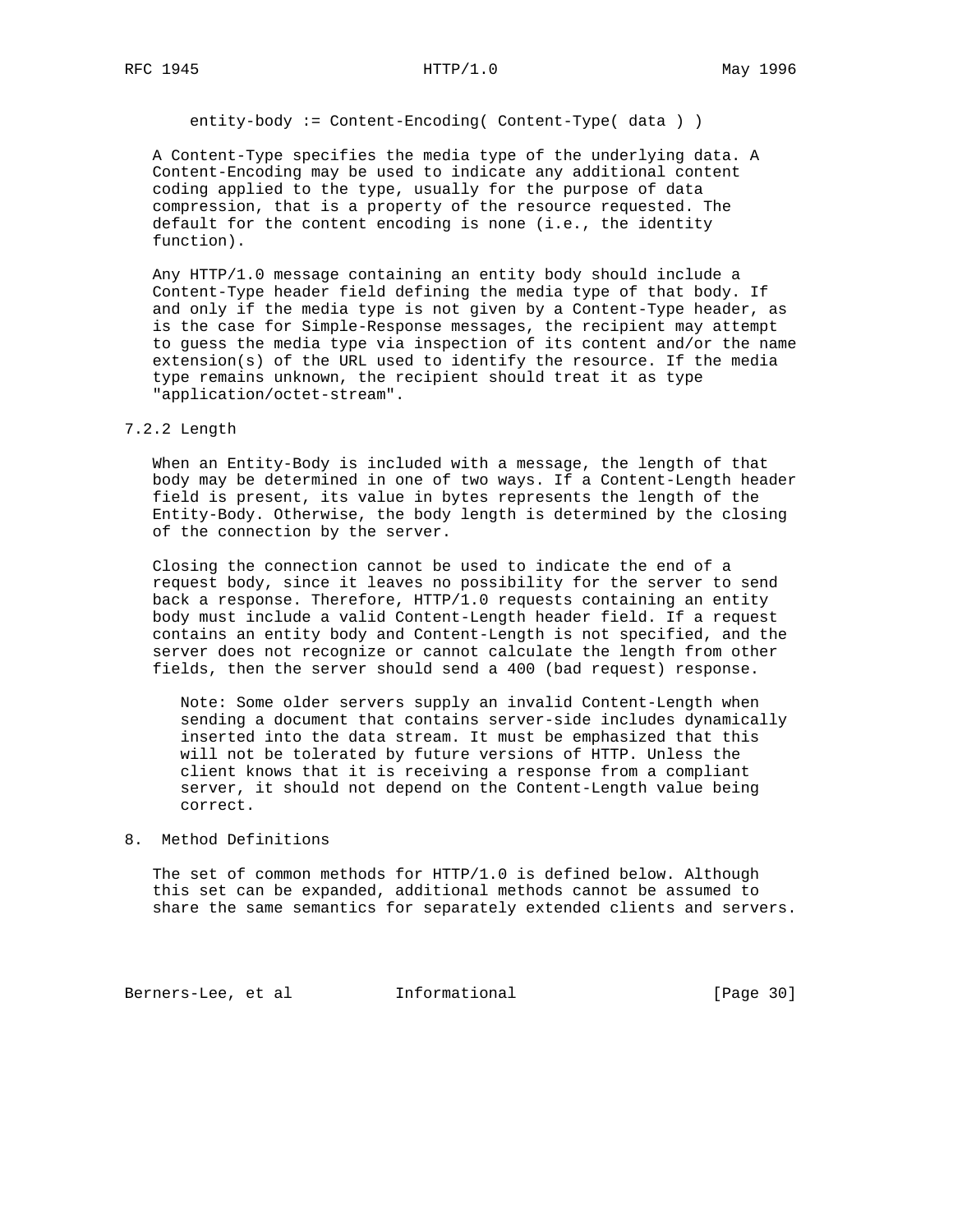entity-body := Content-Encoding( Content-Type( data ) )

 A Content-Type specifies the media type of the underlying data. A Content-Encoding may be used to indicate any additional content coding applied to the type, usually for the purpose of data compression, that is a property of the resource requested. The default for the content encoding is none (i.e., the identity function).

 Any HTTP/1.0 message containing an entity body should include a Content-Type header field defining the media type of that body. If and only if the media type is not given by a Content-Type header, as is the case for Simple-Response messages, the recipient may attempt to guess the media type via inspection of its content and/or the name extension(s) of the URL used to identify the resource. If the media type remains unknown, the recipient should treat it as type "application/octet-stream".

### 7.2.2 Length

 When an Entity-Body is included with a message, the length of that body may be determined in one of two ways. If a Content-Length header field is present, its value in bytes represents the length of the Entity-Body. Otherwise, the body length is determined by the closing of the connection by the server.

 Closing the connection cannot be used to indicate the end of a request body, since it leaves no possibility for the server to send back a response. Therefore, HTTP/1.0 requests containing an entity body must include a valid Content-Length header field. If a request contains an entity body and Content-Length is not specified, and the server does not recognize or cannot calculate the length from other fields, then the server should send a 400 (bad request) response.

 Note: Some older servers supply an invalid Content-Length when sending a document that contains server-side includes dynamically inserted into the data stream. It must be emphasized that this will not be tolerated by future versions of HTTP. Unless the client knows that it is receiving a response from a compliant server, it should not depend on the Content-Length value being correct.

## 8. Method Definitions

 The set of common methods for HTTP/1.0 is defined below. Although this set can be expanded, additional methods cannot be assumed to share the same semantics for separately extended clients and servers.

Berners-Lee, et al informational [Page 30]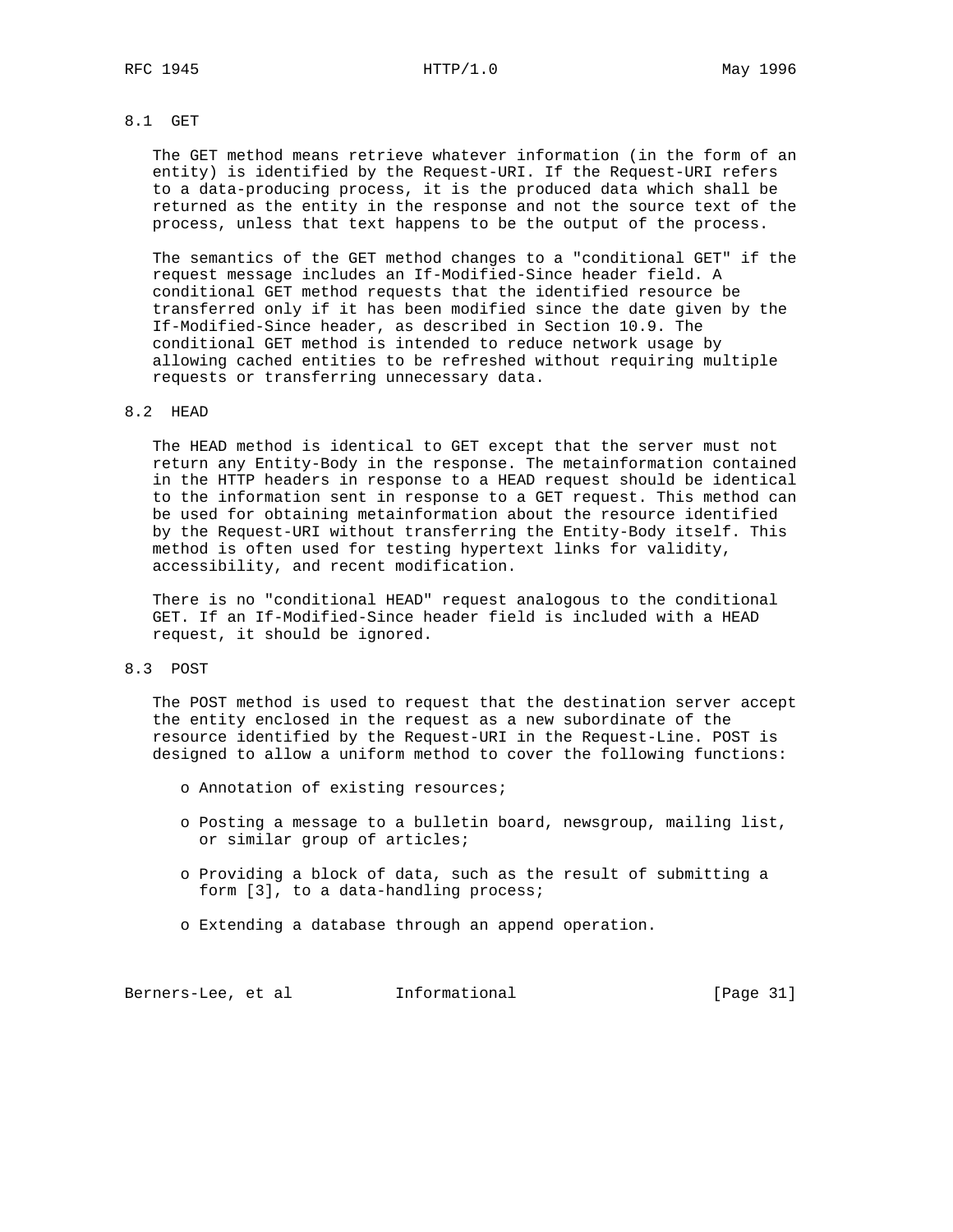# 8.1 GET

 The GET method means retrieve whatever information (in the form of an entity) is identified by the Request-URI. If the Request-URI refers to a data-producing process, it is the produced data which shall be returned as the entity in the response and not the source text of the process, unless that text happens to be the output of the process.

 The semantics of the GET method changes to a "conditional GET" if the request message includes an If-Modified-Since header field. A conditional GET method requests that the identified resource be transferred only if it has been modified since the date given by the If-Modified-Since header, as described in Section 10.9. The conditional GET method is intended to reduce network usage by allowing cached entities to be refreshed without requiring multiple requests or transferring unnecessary data.

# 8.2 HEAD

 The HEAD method is identical to GET except that the server must not return any Entity-Body in the response. The metainformation contained in the HTTP headers in response to a HEAD request should be identical to the information sent in response to a GET request. This method can be used for obtaining metainformation about the resource identified by the Request-URI without transferring the Entity-Body itself. This method is often used for testing hypertext links for validity, accessibility, and recent modification.

 There is no "conditional HEAD" request analogous to the conditional GET. If an If-Modified-Since header field is included with a HEAD request, it should be ignored.

# 8.3 POST

 The POST method is used to request that the destination server accept the entity enclosed in the request as a new subordinate of the resource identified by the Request-URI in the Request-Line. POST is designed to allow a uniform method to cover the following functions:

- o Annotation of existing resources;
- o Posting a message to a bulletin board, newsgroup, mailing list, or similar group of articles;
- o Providing a block of data, such as the result of submitting a form [3], to a data-handling process;
- o Extending a database through an append operation.

Berners-Lee, et al Informational [Page 31]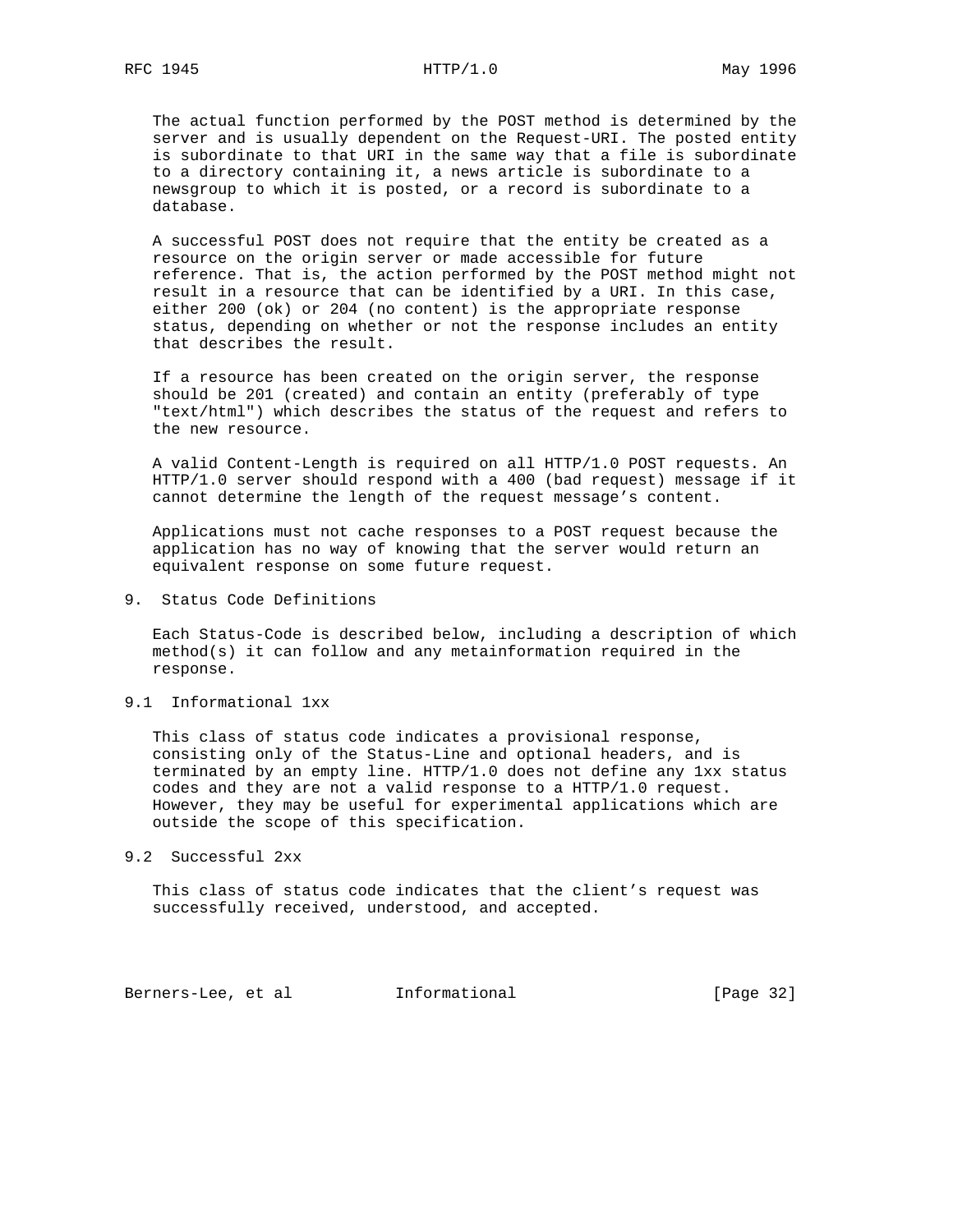The actual function performed by the POST method is determined by the server and is usually dependent on the Request-URI. The posted entity is subordinate to that URI in the same way that a file is subordinate to a directory containing it, a news article is subordinate to a newsgroup to which it is posted, or a record is subordinate to a database.

 A successful POST does not require that the entity be created as a resource on the origin server or made accessible for future reference. That is, the action performed by the POST method might not result in a resource that can be identified by a URI. In this case, either 200 (ok) or 204 (no content) is the appropriate response status, depending on whether or not the response includes an entity that describes the result.

 If a resource has been created on the origin server, the response should be 201 (created) and contain an entity (preferably of type "text/html") which describes the status of the request and refers to the new resource.

 A valid Content-Length is required on all HTTP/1.0 POST requests. An HTTP/1.0 server should respond with a 400 (bad request) message if it cannot determine the length of the request message's content.

 Applications must not cache responses to a POST request because the application has no way of knowing that the server would return an equivalent response on some future request.

9. Status Code Definitions

 Each Status-Code is described below, including a description of which method(s) it can follow and any metainformation required in the response.

## 9.1 Informational 1xx

 This class of status code indicates a provisional response, consisting only of the Status-Line and optional headers, and is terminated by an empty line. HTTP/1.0 does not define any 1xx status codes and they are not a valid response to a HTTP/1.0 request. However, they may be useful for experimental applications which are outside the scope of this specification.

9.2 Successful 2xx

 This class of status code indicates that the client's request was successfully received, understood, and accepted.

Berners-Lee, et al informational [Page 32]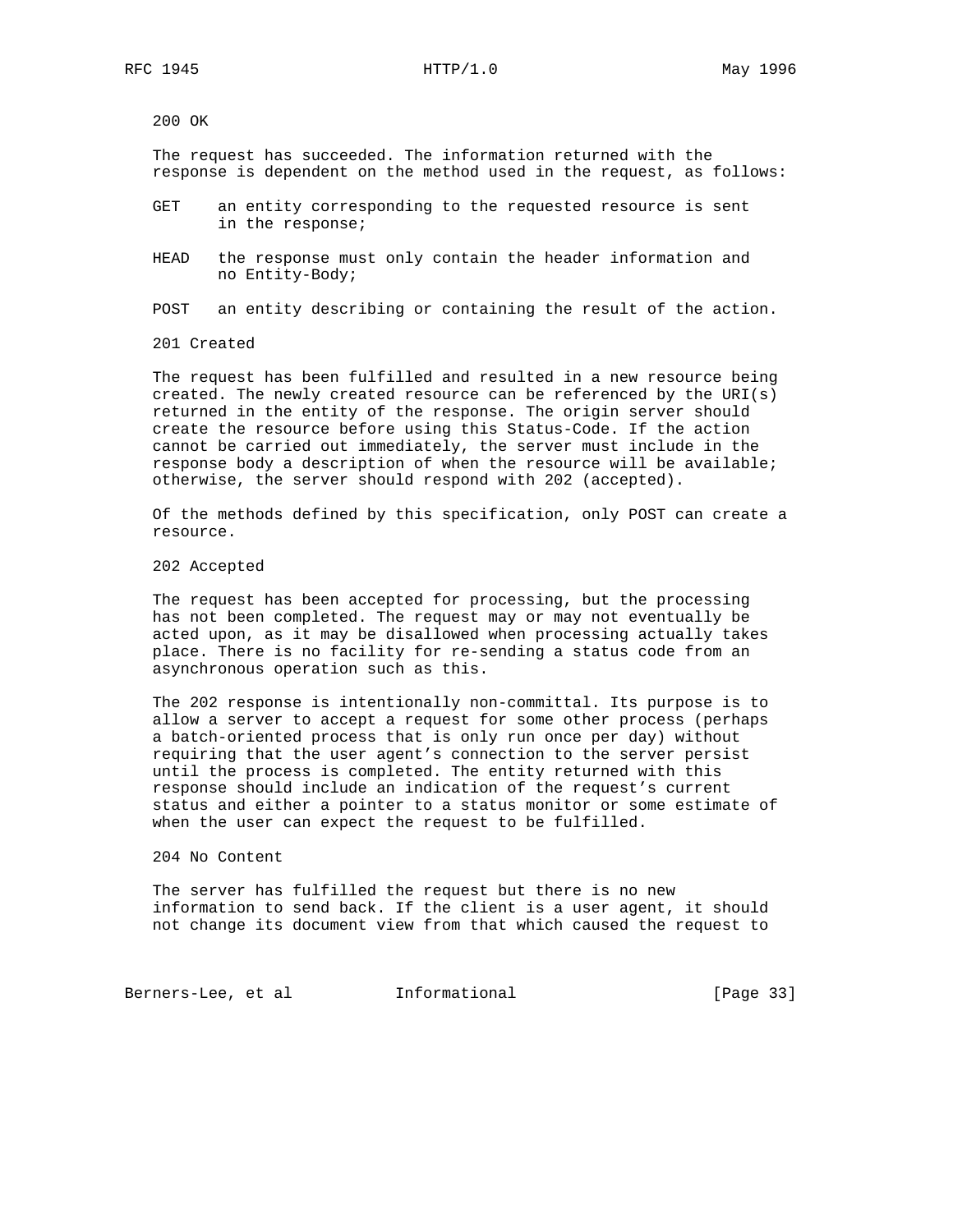200 OK

 The request has succeeded. The information returned with the response is dependent on the method used in the request, as follows:

- GET an entity corresponding to the requested resource is sent in the response;
- HEAD the response must only contain the header information and no Entity-Body;

POST an entity describing or containing the result of the action.

201 Created

 The request has been fulfilled and resulted in a new resource being created. The newly created resource can be referenced by the URI(s) returned in the entity of the response. The origin server should create the resource before using this Status-Code. If the action cannot be carried out immediately, the server must include in the response body a description of when the resource will be available; otherwise, the server should respond with 202 (accepted).

 Of the methods defined by this specification, only POST can create a resource.

202 Accepted

 The request has been accepted for processing, but the processing has not been completed. The request may or may not eventually be acted upon, as it may be disallowed when processing actually takes place. There is no facility for re-sending a status code from an asynchronous operation such as this.

 The 202 response is intentionally non-committal. Its purpose is to allow a server to accept a request for some other process (perhaps a batch-oriented process that is only run once per day) without requiring that the user agent's connection to the server persist until the process is completed. The entity returned with this response should include an indication of the request's current status and either a pointer to a status monitor or some estimate of when the user can expect the request to be fulfilled.

204 No Content

 The server has fulfilled the request but there is no new information to send back. If the client is a user agent, it should not change its document view from that which caused the request to

Berners-Lee, et al informational [Page 33]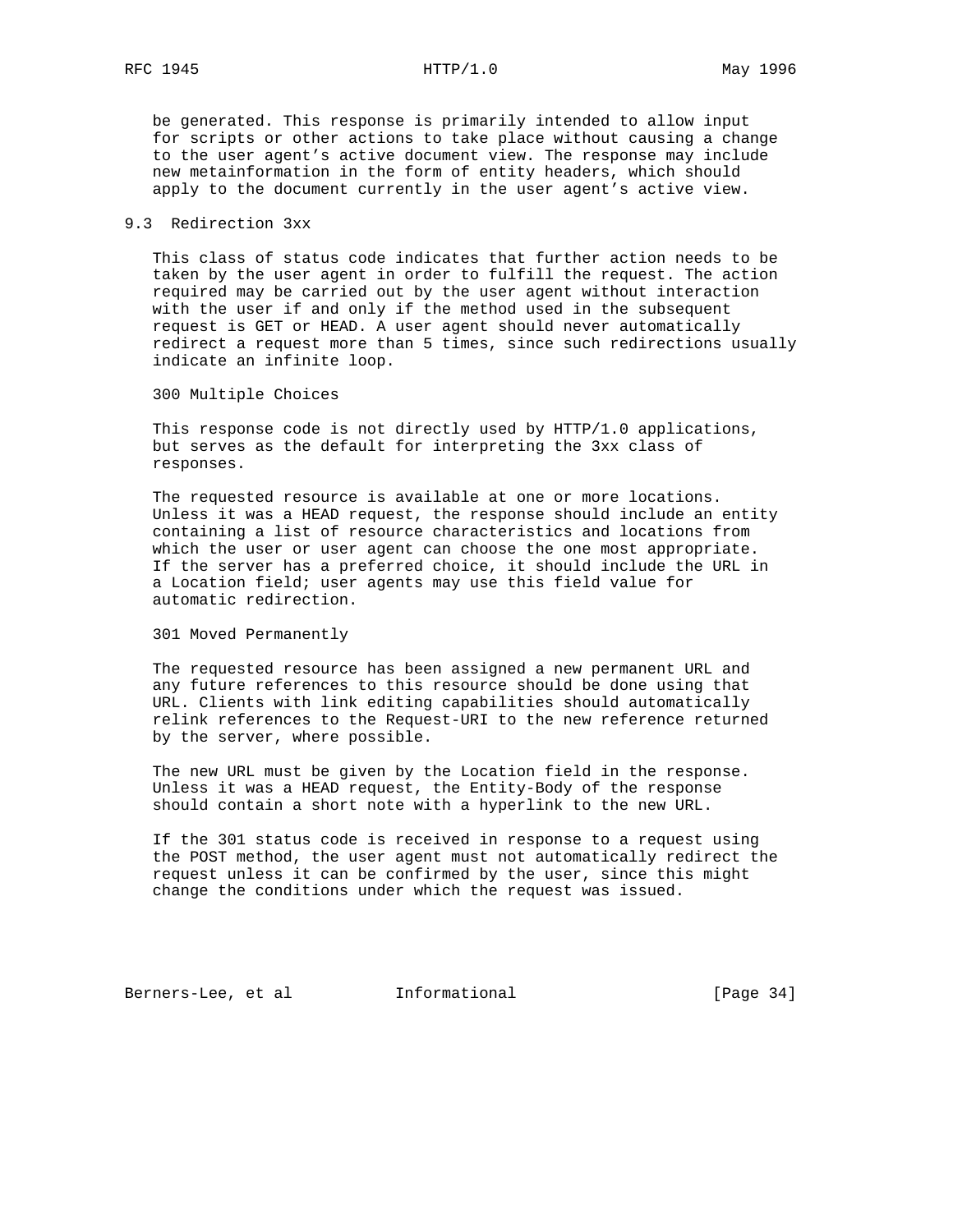be generated. This response is primarily intended to allow input for scripts or other actions to take place without causing a change to the user agent's active document view. The response may include new metainformation in the form of entity headers, which should apply to the document currently in the user agent's active view.

## 9.3 Redirection 3xx

 This class of status code indicates that further action needs to be taken by the user agent in order to fulfill the request. The action required may be carried out by the user agent without interaction with the user if and only if the method used in the subsequent request is GET or HEAD. A user agent should never automatically redirect a request more than 5 times, since such redirections usually indicate an infinite loop.

300 Multiple Choices

 This response code is not directly used by HTTP/1.0 applications, but serves as the default for interpreting the 3xx class of responses.

 The requested resource is available at one or more locations. Unless it was a HEAD request, the response should include an entity containing a list of resource characteristics and locations from which the user or user agent can choose the one most appropriate. If the server has a preferred choice, it should include the URL in a Location field; user agents may use this field value for automatic redirection.

## 301 Moved Permanently

 The requested resource has been assigned a new permanent URL and any future references to this resource should be done using that URL. Clients with link editing capabilities should automatically relink references to the Request-URI to the new reference returned by the server, where possible.

 The new URL must be given by the Location field in the response. Unless it was a HEAD request, the Entity-Body of the response should contain a short note with a hyperlink to the new URL.

 If the 301 status code is received in response to a request using the POST method, the user agent must not automatically redirect the request unless it can be confirmed by the user, since this might change the conditions under which the request was issued.

Berners-Lee, et al informational [Page 34]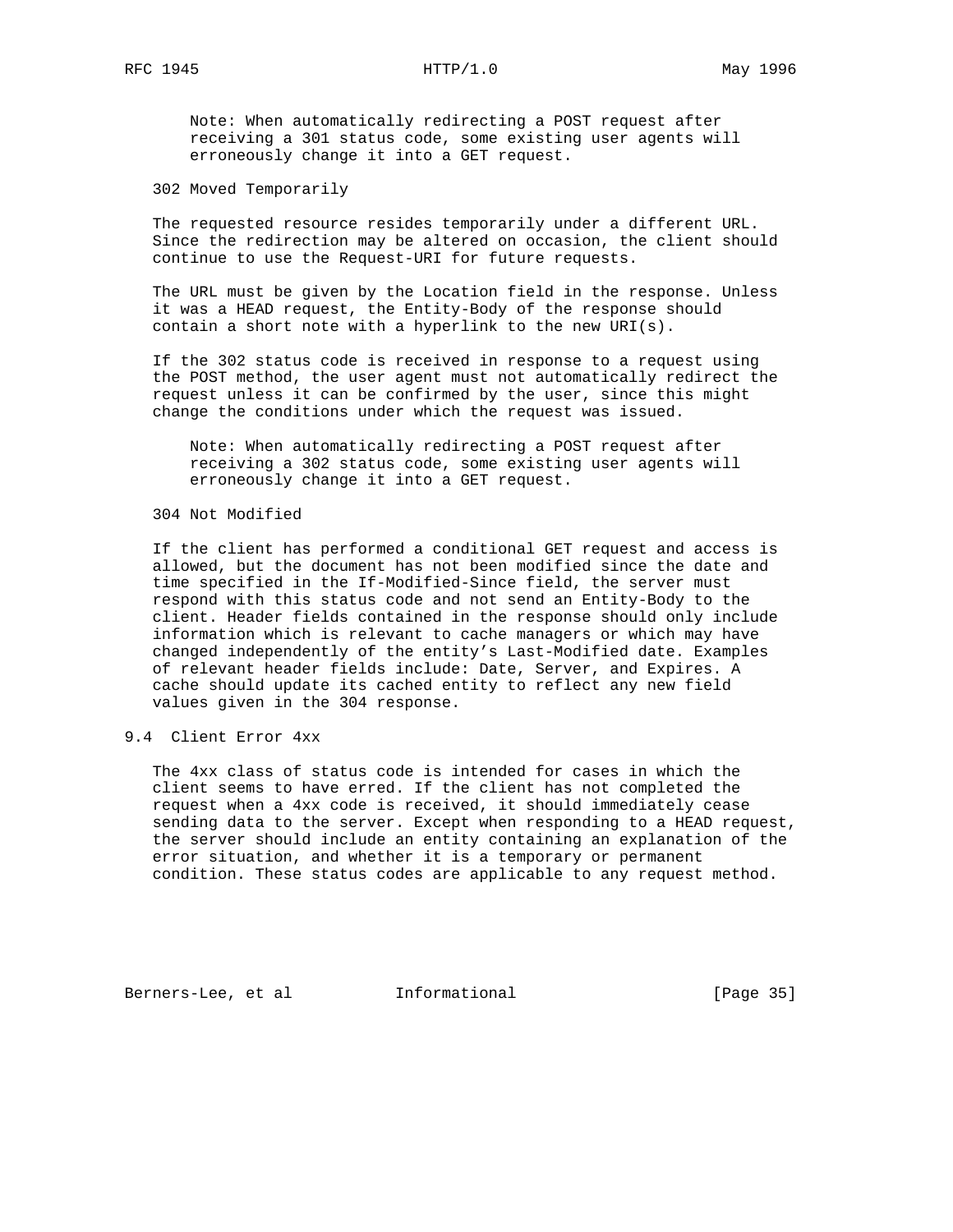Note: When automatically redirecting a POST request after receiving a 301 status code, some existing user agents will erroneously change it into a GET request.

302 Moved Temporarily

 The requested resource resides temporarily under a different URL. Since the redirection may be altered on occasion, the client should continue to use the Request-URI for future requests.

 The URL must be given by the Location field in the response. Unless it was a HEAD request, the Entity-Body of the response should contain a short note with a hyperlink to the new URI(s).

 If the 302 status code is received in response to a request using the POST method, the user agent must not automatically redirect the request unless it can be confirmed by the user, since this might change the conditions under which the request was issued.

 Note: When automatically redirecting a POST request after receiving a 302 status code, some existing user agents will erroneously change it into a GET request.

304 Not Modified

 If the client has performed a conditional GET request and access is allowed, but the document has not been modified since the date and time specified in the If-Modified-Since field, the server must respond with this status code and not send an Entity-Body to the client. Header fields contained in the response should only include information which is relevant to cache managers or which may have changed independently of the entity's Last-Modified date. Examples of relevant header fields include: Date, Server, and Expires. A cache should update its cached entity to reflect any new field values given in the 304 response.

9.4 Client Error 4xx

 The 4xx class of status code is intended for cases in which the client seems to have erred. If the client has not completed the request when a 4xx code is received, it should immediately cease sending data to the server. Except when responding to a HEAD request, the server should include an entity containing an explanation of the error situation, and whether it is a temporary or permanent condition. These status codes are applicable to any request method.

Berners-Lee, et al **Informational** [Page 35]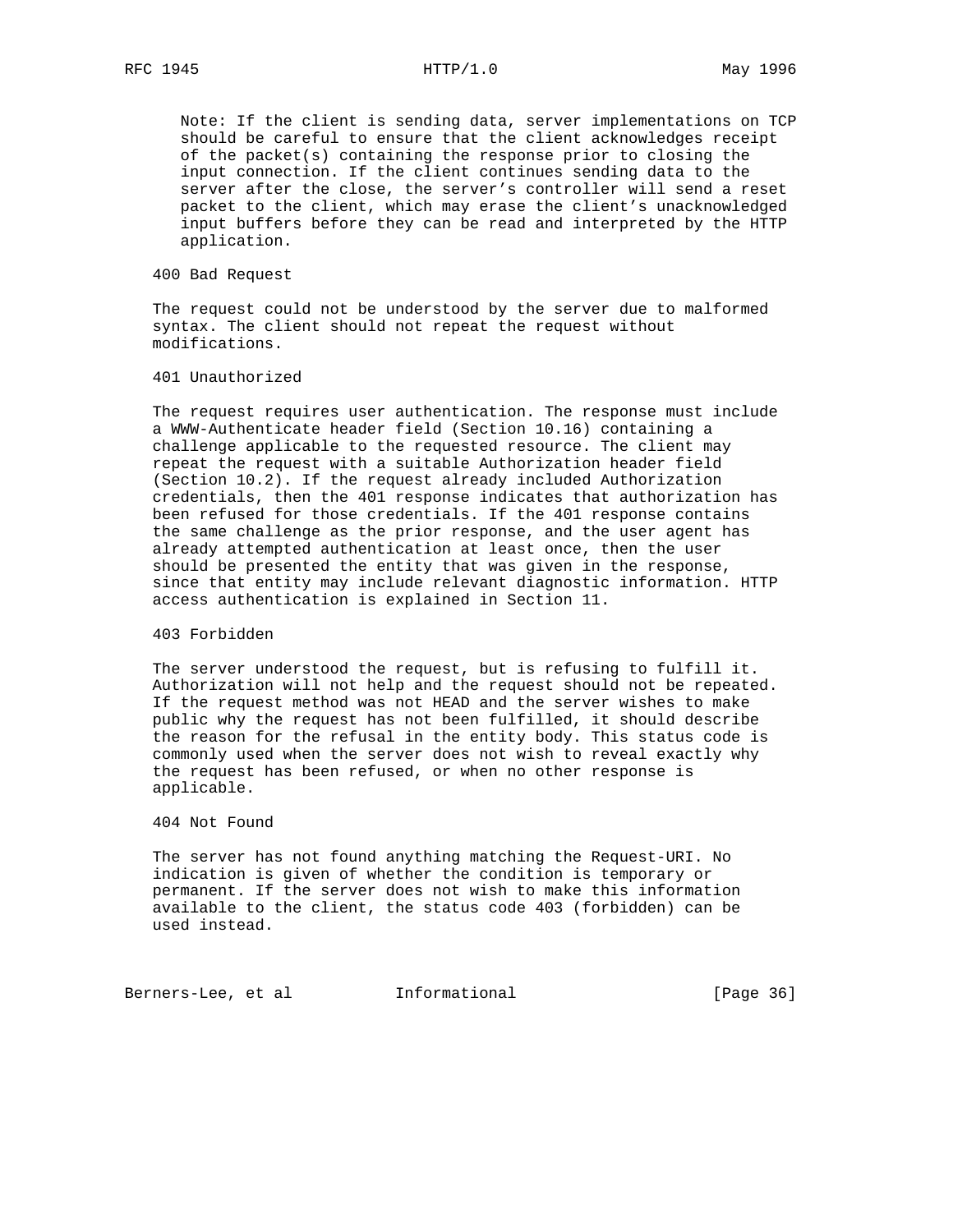Note: If the client is sending data, server implementations on TCP should be careful to ensure that the client acknowledges receipt of the packet(s) containing the response prior to closing the input connection. If the client continues sending data to the server after the close, the server's controller will send a reset packet to the client, which may erase the client's unacknowledged input buffers before they can be read and interpreted by the HTTP application.

400 Bad Request

 The request could not be understood by the server due to malformed syntax. The client should not repeat the request without modifications.

401 Unauthorized

 The request requires user authentication. The response must include a WWW-Authenticate header field (Section 10.16) containing a challenge applicable to the requested resource. The client may repeat the request with a suitable Authorization header field (Section 10.2). If the request already included Authorization credentials, then the 401 response indicates that authorization has been refused for those credentials. If the 401 response contains the same challenge as the prior response, and the user agent has already attempted authentication at least once, then the user should be presented the entity that was given in the response, since that entity may include relevant diagnostic information. HTTP access authentication is explained in Section 11.

403 Forbidden

 The server understood the request, but is refusing to fulfill it. Authorization will not help and the request should not be repeated. If the request method was not HEAD and the server wishes to make public why the request has not been fulfilled, it should describe the reason for the refusal in the entity body. This status code is commonly used when the server does not wish to reveal exactly why the request has been refused, or when no other response is applicable.

404 Not Found

 The server has not found anything matching the Request-URI. No indication is given of whether the condition is temporary or permanent. If the server does not wish to make this information available to the client, the status code 403 (forbidden) can be used instead.

Berners-Lee, et al **Informational** [Page 36]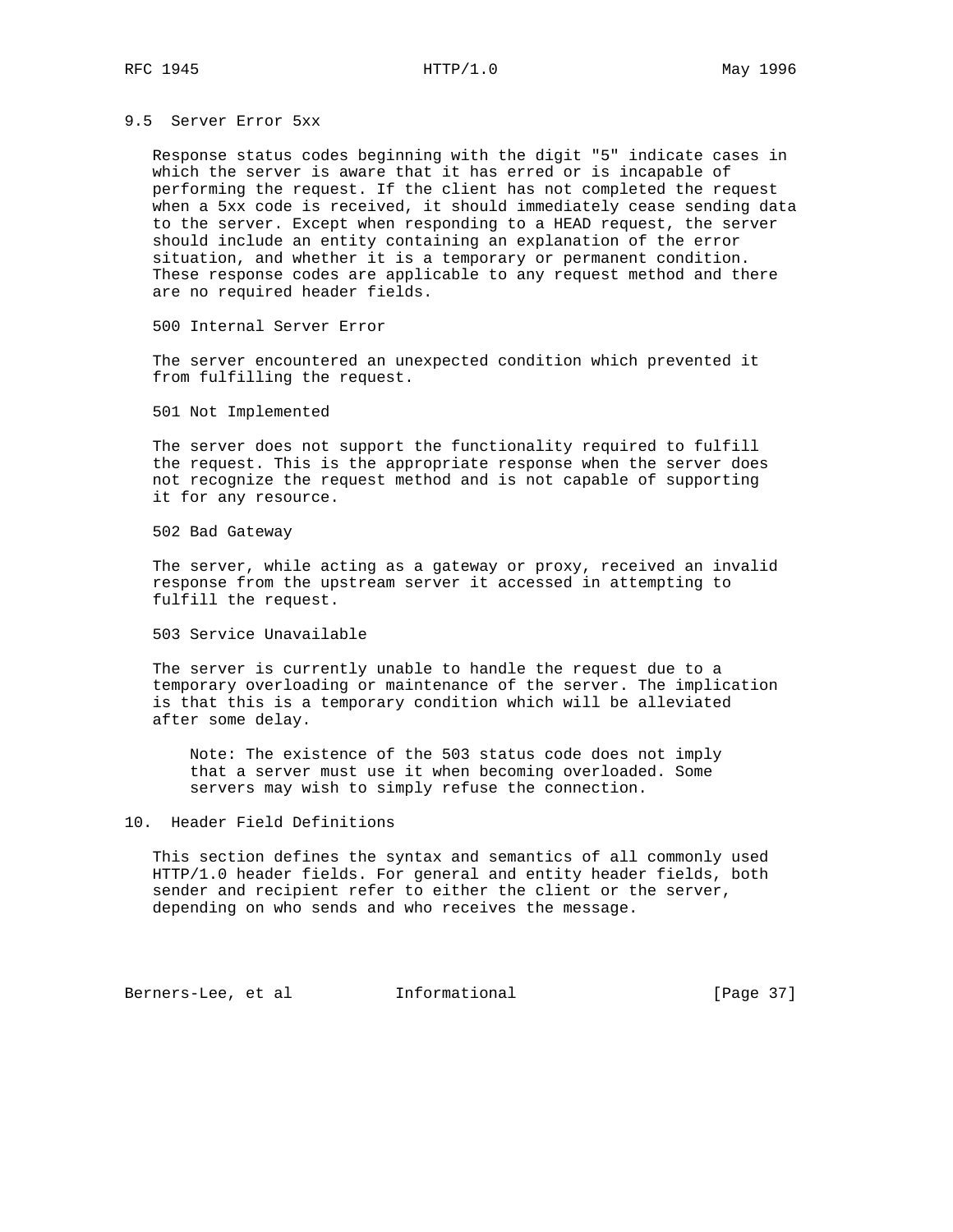## 9.5 Server Error 5xx

 Response status codes beginning with the digit "5" indicate cases in which the server is aware that it has erred or is incapable of performing the request. If the client has not completed the request when a 5xx code is received, it should immediately cease sending data to the server. Except when responding to a HEAD request, the server should include an entity containing an explanation of the error situation, and whether it is a temporary or permanent condition. These response codes are applicable to any request method and there are no required header fields.

500 Internal Server Error

 The server encountered an unexpected condition which prevented it from fulfilling the request.

501 Not Implemented

 The server does not support the functionality required to fulfill the request. This is the appropriate response when the server does not recognize the request method and is not capable of supporting it for any resource.

502 Bad Gateway

 The server, while acting as a gateway or proxy, received an invalid response from the upstream server it accessed in attempting to fulfill the request.

503 Service Unavailable

 The server is currently unable to handle the request due to a temporary overloading or maintenance of the server. The implication is that this is a temporary condition which will be alleviated after some delay.

 Note: The existence of the 503 status code does not imply that a server must use it when becoming overloaded. Some servers may wish to simply refuse the connection.

## 10. Header Field Definitions

 This section defines the syntax and semantics of all commonly used HTTP/1.0 header fields. For general and entity header fields, both sender and recipient refer to either the client or the server, depending on who sends and who receives the message.

Berners-Lee, et al Informational [Page 37]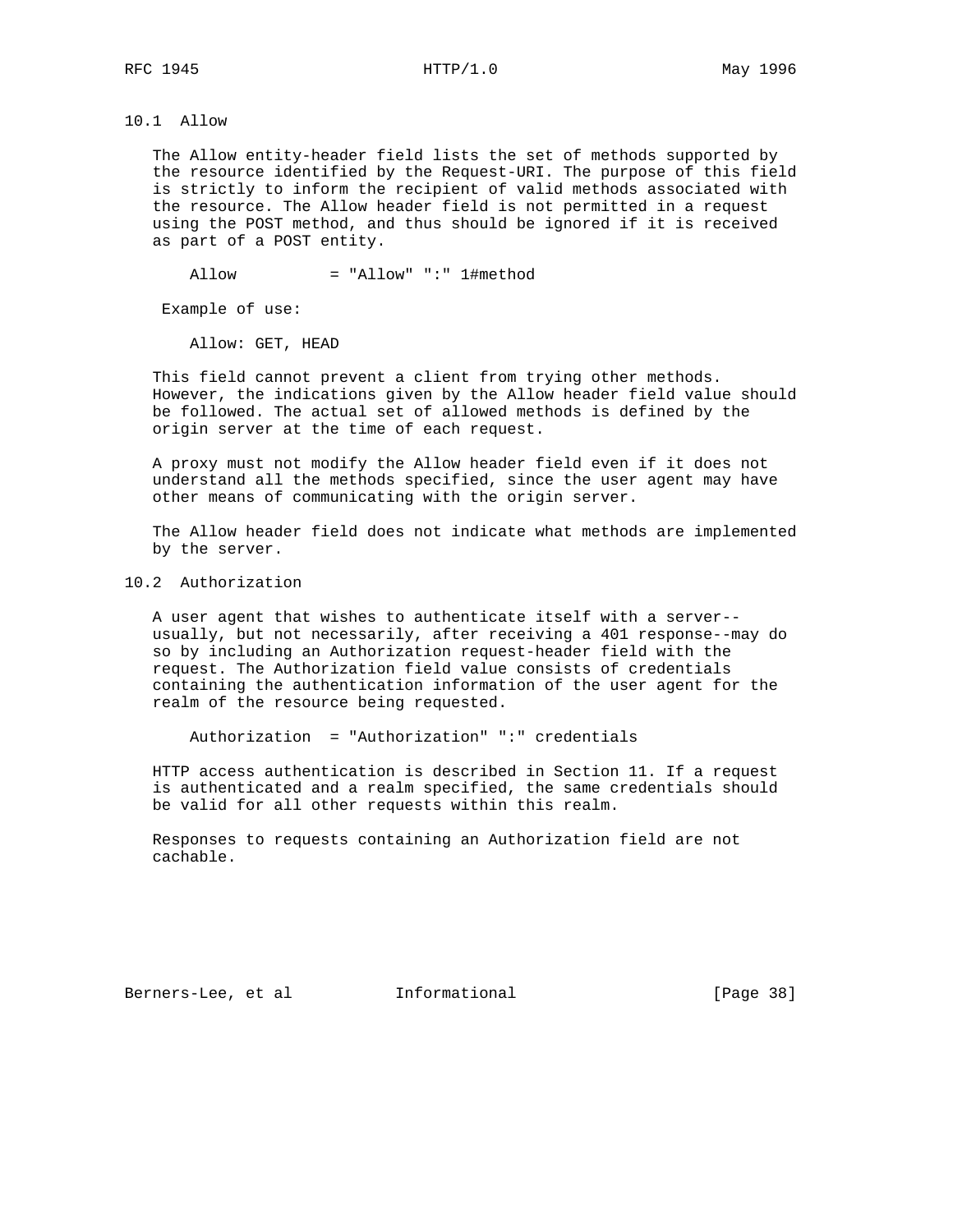10.1 Allow

 The Allow entity-header field lists the set of methods supported by the resource identified by the Request-URI. The purpose of this field is strictly to inform the recipient of valid methods associated with the resource. The Allow header field is not permitted in a request using the POST method, and thus should be ignored if it is received as part of a POST entity.

Allow = "Allow" ":" 1#method

Example of use:

Allow: GET, HEAD

 This field cannot prevent a client from trying other methods. However, the indications given by the Allow header field value should be followed. The actual set of allowed methods is defined by the origin server at the time of each request.

 A proxy must not modify the Allow header field even if it does not understand all the methods specified, since the user agent may have other means of communicating with the origin server.

 The Allow header field does not indicate what methods are implemented by the server.

10.2 Authorization

 A user agent that wishes to authenticate itself with a server- usually, but not necessarily, after receiving a 401 response--may do so by including an Authorization request-header field with the request. The Authorization field value consists of credentials containing the authentication information of the user agent for the realm of the resource being requested.

Authorization = "Authorization" ":" credentials

 HTTP access authentication is described in Section 11. If a request is authenticated and a realm specified, the same credentials should be valid for all other requests within this realm.

 Responses to requests containing an Authorization field are not cachable.

Berners-Lee, et al informational [Page 38]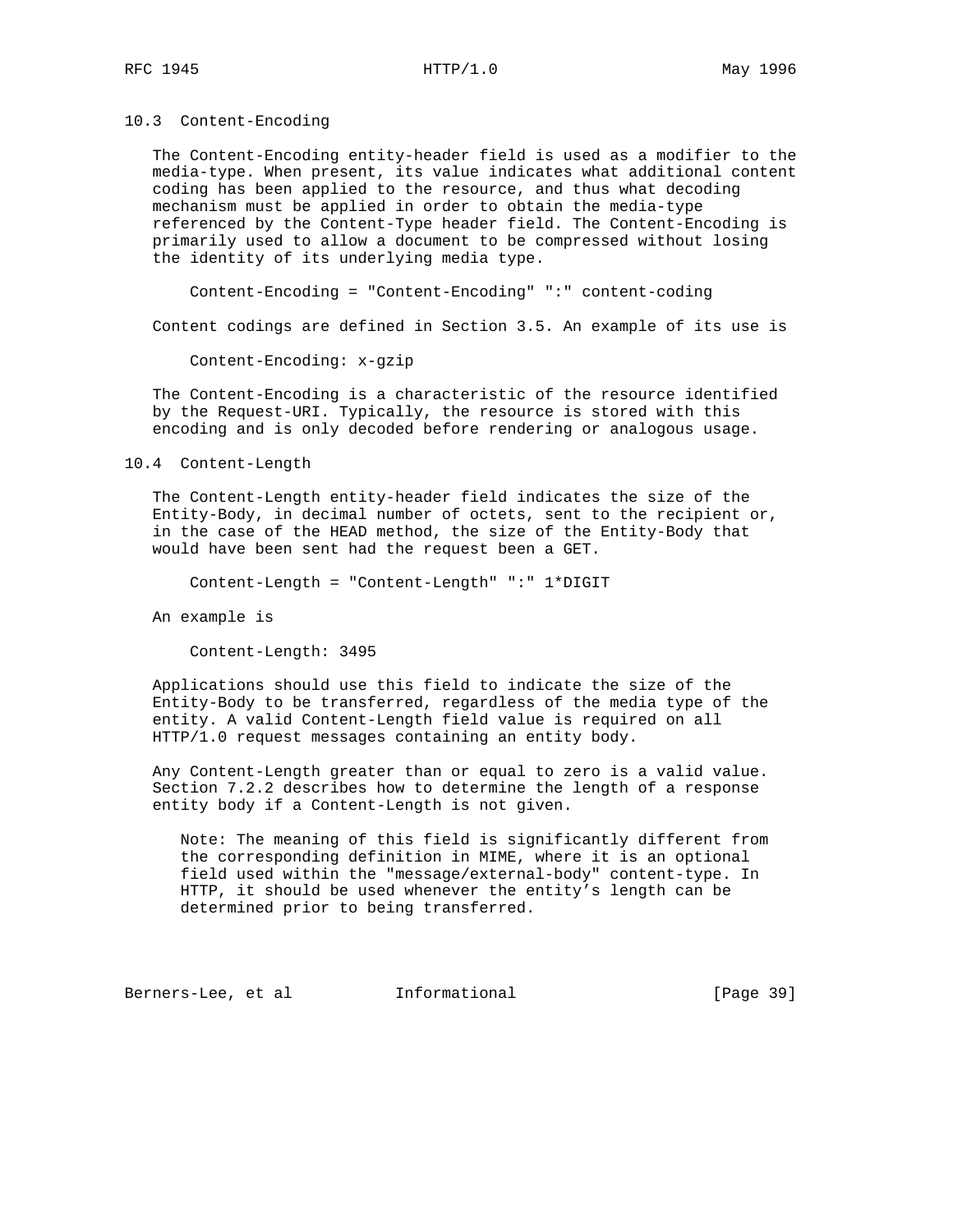10.3 Content-Encoding

 The Content-Encoding entity-header field is used as a modifier to the media-type. When present, its value indicates what additional content coding has been applied to the resource, and thus what decoding mechanism must be applied in order to obtain the media-type referenced by the Content-Type header field. The Content-Encoding is primarily used to allow a document to be compressed without losing the identity of its underlying media type.

Content-Encoding = "Content-Encoding" ":" content-coding

Content codings are defined in Section 3.5. An example of its use is

Content-Encoding: x-gzip

 The Content-Encoding is a characteristic of the resource identified by the Request-URI. Typically, the resource is stored with this encoding and is only decoded before rendering or analogous usage.

10.4 Content-Length

 The Content-Length entity-header field indicates the size of the Entity-Body, in decimal number of octets, sent to the recipient or, in the case of the HEAD method, the size of the Entity-Body that would have been sent had the request been a GET.

Content-Length = "Content-Length" ":" 1\*DIGIT

An example is

Content-Length: 3495

 Applications should use this field to indicate the size of the Entity-Body to be transferred, regardless of the media type of the entity. A valid Content-Length field value is required on all HTTP/1.0 request messages containing an entity body.

 Any Content-Length greater than or equal to zero is a valid value. Section 7.2.2 describes how to determine the length of a response entity body if a Content-Length is not given.

 Note: The meaning of this field is significantly different from the corresponding definition in MIME, where it is an optional field used within the "message/external-body" content-type. In HTTP, it should be used whenever the entity's length can be determined prior to being transferred.

Berners-Lee, et al Informational [Page 39]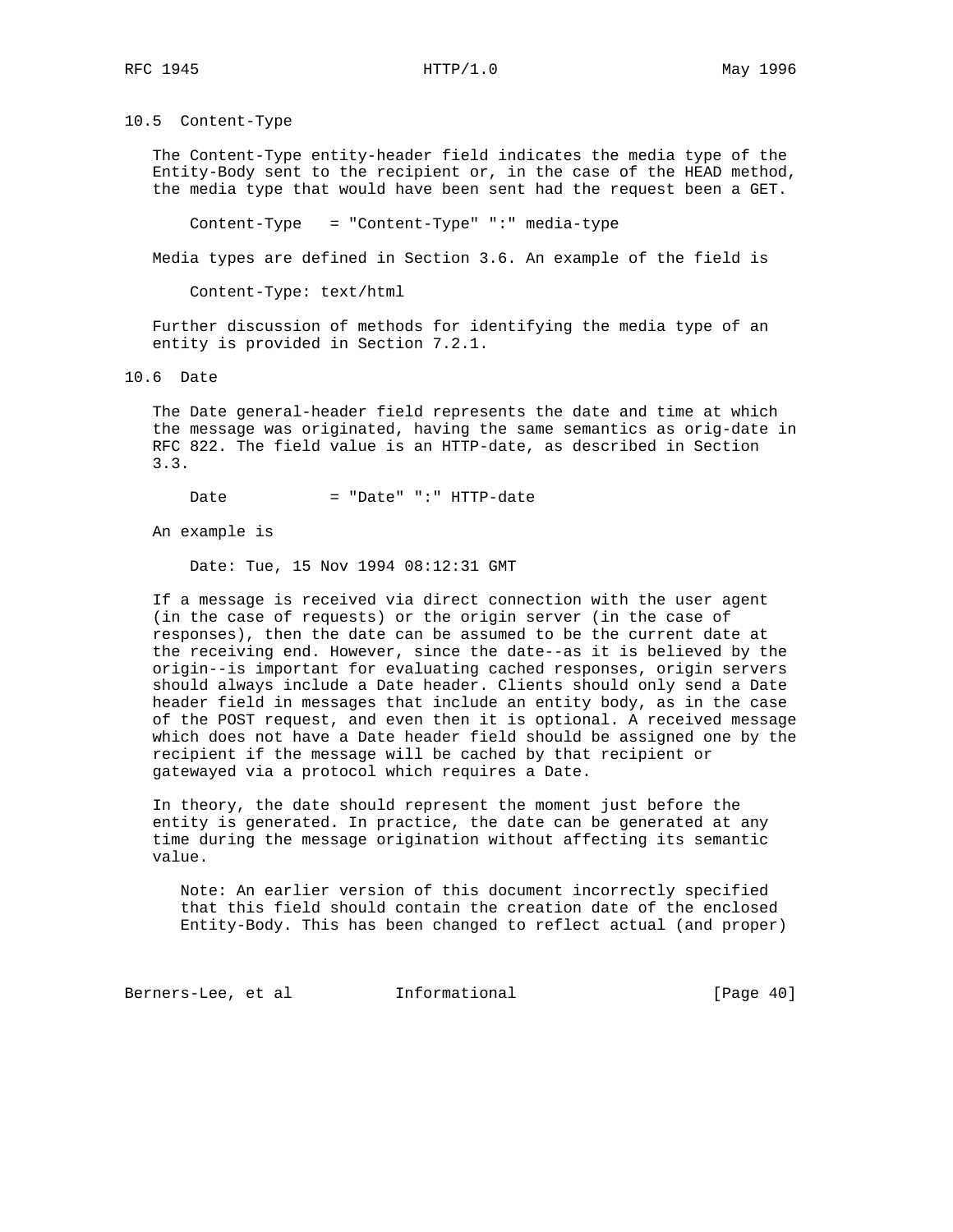10.5 Content-Type

 The Content-Type entity-header field indicates the media type of the Entity-Body sent to the recipient or, in the case of the HEAD method, the media type that would have been sent had the request been a GET.

Content-Type = "Content-Type" ":" media-type

Media types are defined in Section 3.6. An example of the field is

Content-Type: text/html

 Further discussion of methods for identifying the media type of an entity is provided in Section 7.2.1.

10.6 Date

 The Date general-header field represents the date and time at which the message was originated, having the same semantics as orig-date in RFC 822. The field value is an HTTP-date, as described in Section 3.3.

Date = "Date" ":" HTTP-date

An example is

Date: Tue, 15 Nov 1994 08:12:31 GMT

 If a message is received via direct connection with the user agent (in the case of requests) or the origin server (in the case of responses), then the date can be assumed to be the current date at the receiving end. However, since the date--as it is believed by the origin--is important for evaluating cached responses, origin servers should always include a Date header. Clients should only send a Date header field in messages that include an entity body, as in the case of the POST request, and even then it is optional. A received message which does not have a Date header field should be assigned one by the recipient if the message will be cached by that recipient or gatewayed via a protocol which requires a Date.

 In theory, the date should represent the moment just before the entity is generated. In practice, the date can be generated at any time during the message origination without affecting its semantic value.

 Note: An earlier version of this document incorrectly specified that this field should contain the creation date of the enclosed Entity-Body. This has been changed to reflect actual (and proper)

Berners-Lee, et al informational [Page 40]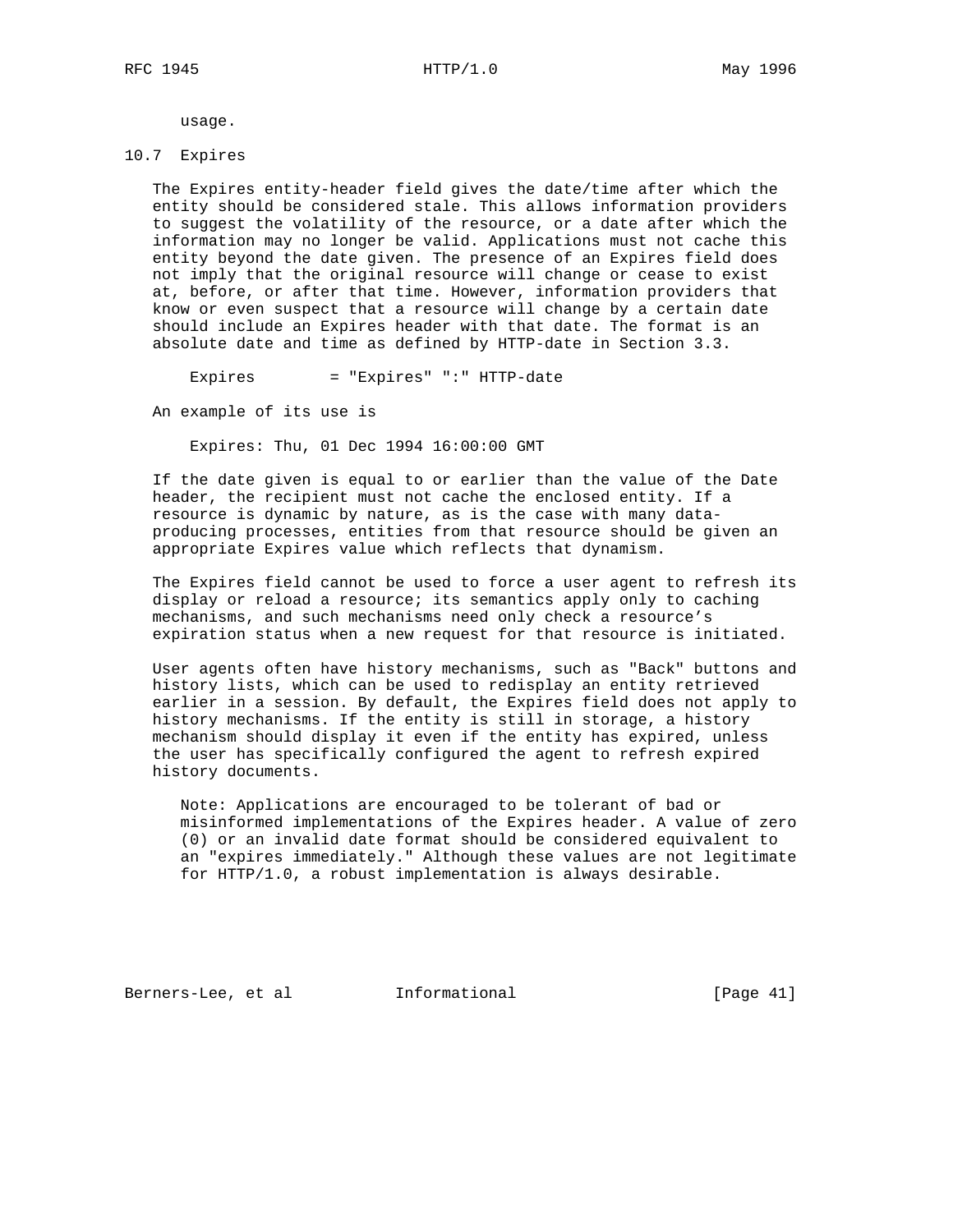usage.

### 10.7 Expires

 The Expires entity-header field gives the date/time after which the entity should be considered stale. This allows information providers to suggest the volatility of the resource, or a date after which the information may no longer be valid. Applications must not cache this entity beyond the date given. The presence of an Expires field does not imply that the original resource will change or cease to exist at, before, or after that time. However, information providers that know or even suspect that a resource will change by a certain date should include an Expires header with that date. The format is an absolute date and time as defined by HTTP-date in Section 3.3.

Expires = "Expires" ":" HTTP-date

An example of its use is

Expires: Thu, 01 Dec 1994 16:00:00 GMT

 If the date given is equal to or earlier than the value of the Date header, the recipient must not cache the enclosed entity. If a resource is dynamic by nature, as is the case with many data producing processes, entities from that resource should be given an appropriate Expires value which reflects that dynamism.

 The Expires field cannot be used to force a user agent to refresh its display or reload a resource; its semantics apply only to caching mechanisms, and such mechanisms need only check a resource's expiration status when a new request for that resource is initiated.

 User agents often have history mechanisms, such as "Back" buttons and history lists, which can be used to redisplay an entity retrieved earlier in a session. By default, the Expires field does not apply to history mechanisms. If the entity is still in storage, a history mechanism should display it even if the entity has expired, unless the user has specifically configured the agent to refresh expired history documents.

 Note: Applications are encouraged to be tolerant of bad or misinformed implementations of the Expires header. A value of zero (0) or an invalid date format should be considered equivalent to an "expires immediately." Although these values are not legitimate for HTTP/1.0, a robust implementation is always desirable.

Berners-Lee, et al Informational [Page 41]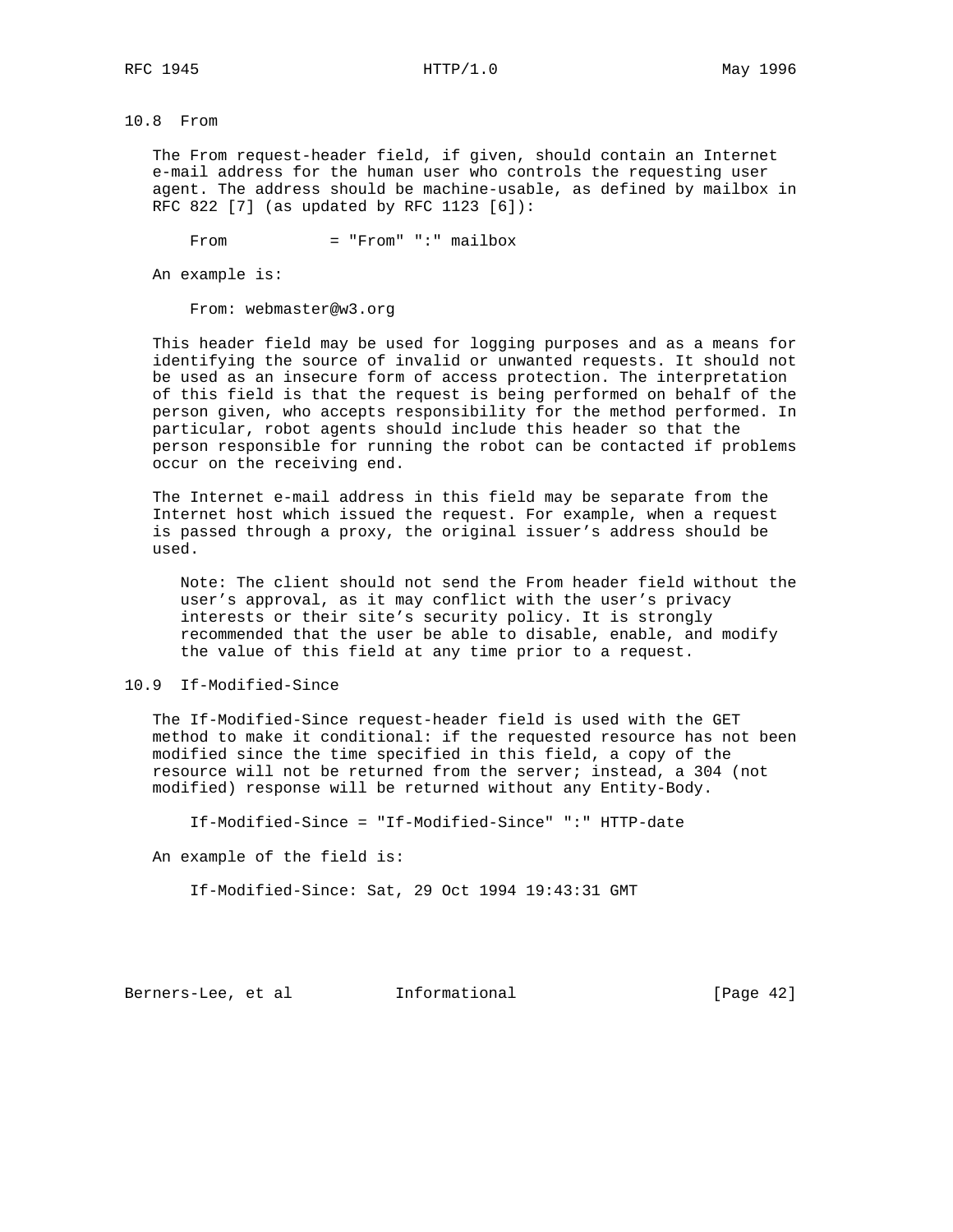## 10.8 From

 The From request-header field, if given, should contain an Internet e-mail address for the human user who controls the requesting user agent. The address should be machine-usable, as defined by mailbox in RFC 822 [7] (as updated by RFC 1123 [6]):

From = "From" ":" mailbox

An example is:

From: webmaster@w3.org

 This header field may be used for logging purposes and as a means for identifying the source of invalid or unwanted requests. It should not be used as an insecure form of access protection. The interpretation of this field is that the request is being performed on behalf of the person given, who accepts responsibility for the method performed. In particular, robot agents should include this header so that the person responsible for running the robot can be contacted if problems occur on the receiving end.

 The Internet e-mail address in this field may be separate from the Internet host which issued the request. For example, when a request is passed through a proxy, the original issuer's address should be used.

 Note: The client should not send the From header field without the user's approval, as it may conflict with the user's privacy interests or their site's security policy. It is strongly recommended that the user be able to disable, enable, and modify the value of this field at any time prior to a request.

## 10.9 If-Modified-Since

 The If-Modified-Since request-header field is used with the GET method to make it conditional: if the requested resource has not been modified since the time specified in this field, a copy of the resource will not be returned from the server; instead, a 304 (not modified) response will be returned without any Entity-Body.

If-Modified-Since = "If-Modified-Since" ":" HTTP-date

An example of the field is:

If-Modified-Since: Sat, 29 Oct 1994 19:43:31 GMT

Berners-Lee, et al Informational [Page 42]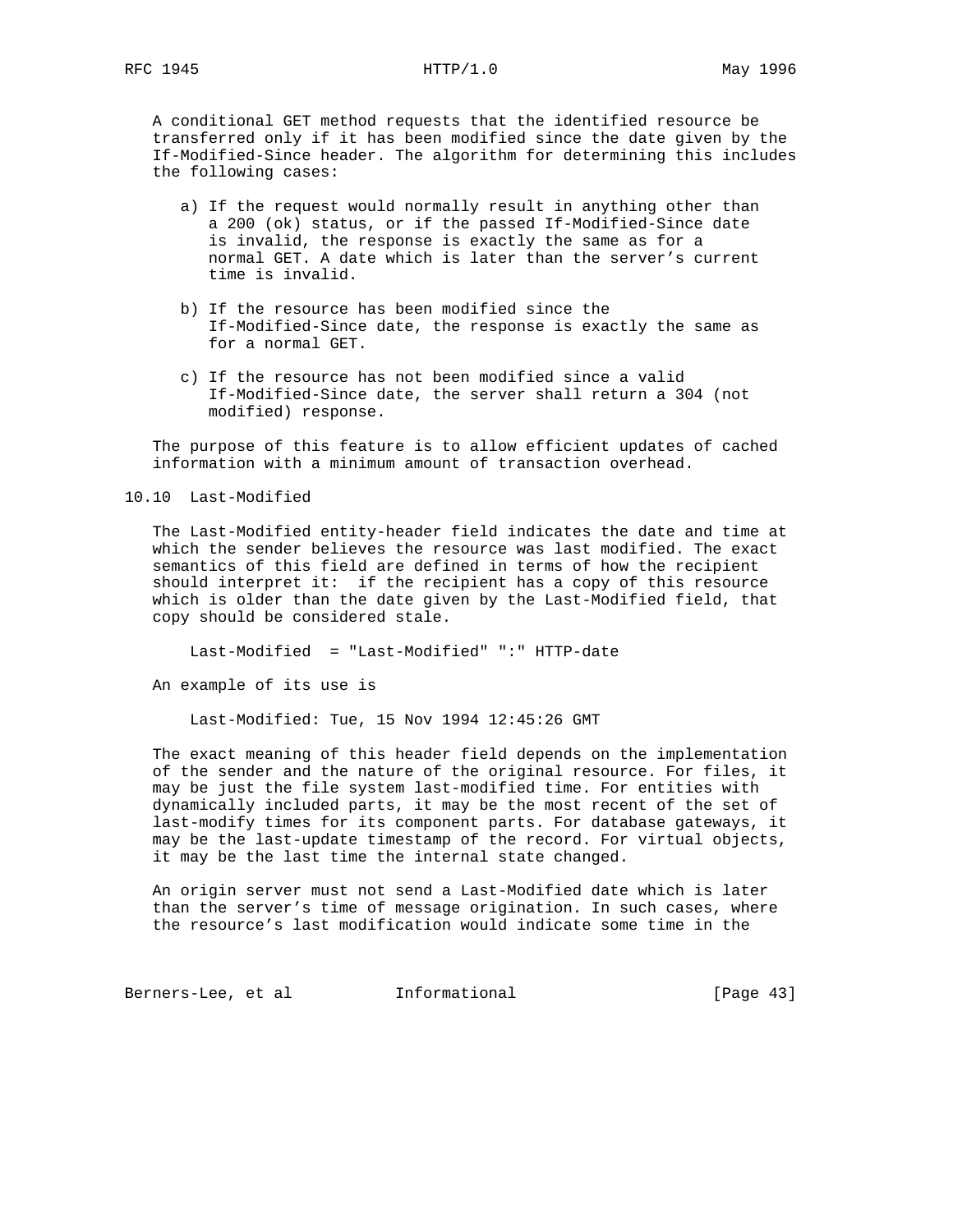A conditional GET method requests that the identified resource be transferred only if it has been modified since the date given by the If-Modified-Since header. The algorithm for determining this includes the following cases:

- a) If the request would normally result in anything other than a 200 (ok) status, or if the passed If-Modified-Since date is invalid, the response is exactly the same as for a normal GET. A date which is later than the server's current time is invalid.
- b) If the resource has been modified since the If-Modified-Since date, the response is exactly the same as for a normal GET.
- c) If the resource has not been modified since a valid If-Modified-Since date, the server shall return a 304 (not modified) response.

 The purpose of this feature is to allow efficient updates of cached information with a minimum amount of transaction overhead.

10.10 Last-Modified

 The Last-Modified entity-header field indicates the date and time at which the sender believes the resource was last modified. The exact semantics of this field are defined in terms of how the recipient should interpret it: if the recipient has a copy of this resource which is older than the date given by the Last-Modified field, that copy should be considered stale.

Last-Modified = "Last-Modified" ":" HTTP-date

An example of its use is

Last-Modified: Tue, 15 Nov 1994 12:45:26 GMT

 The exact meaning of this header field depends on the implementation of the sender and the nature of the original resource. For files, it may be just the file system last-modified time. For entities with dynamically included parts, it may be the most recent of the set of last-modify times for its component parts. For database gateways, it may be the last-update timestamp of the record. For virtual objects, it may be the last time the internal state changed.

 An origin server must not send a Last-Modified date which is later than the server's time of message origination. In such cases, where the resource's last modification would indicate some time in the

Berners-Lee, et al informational [Page 43]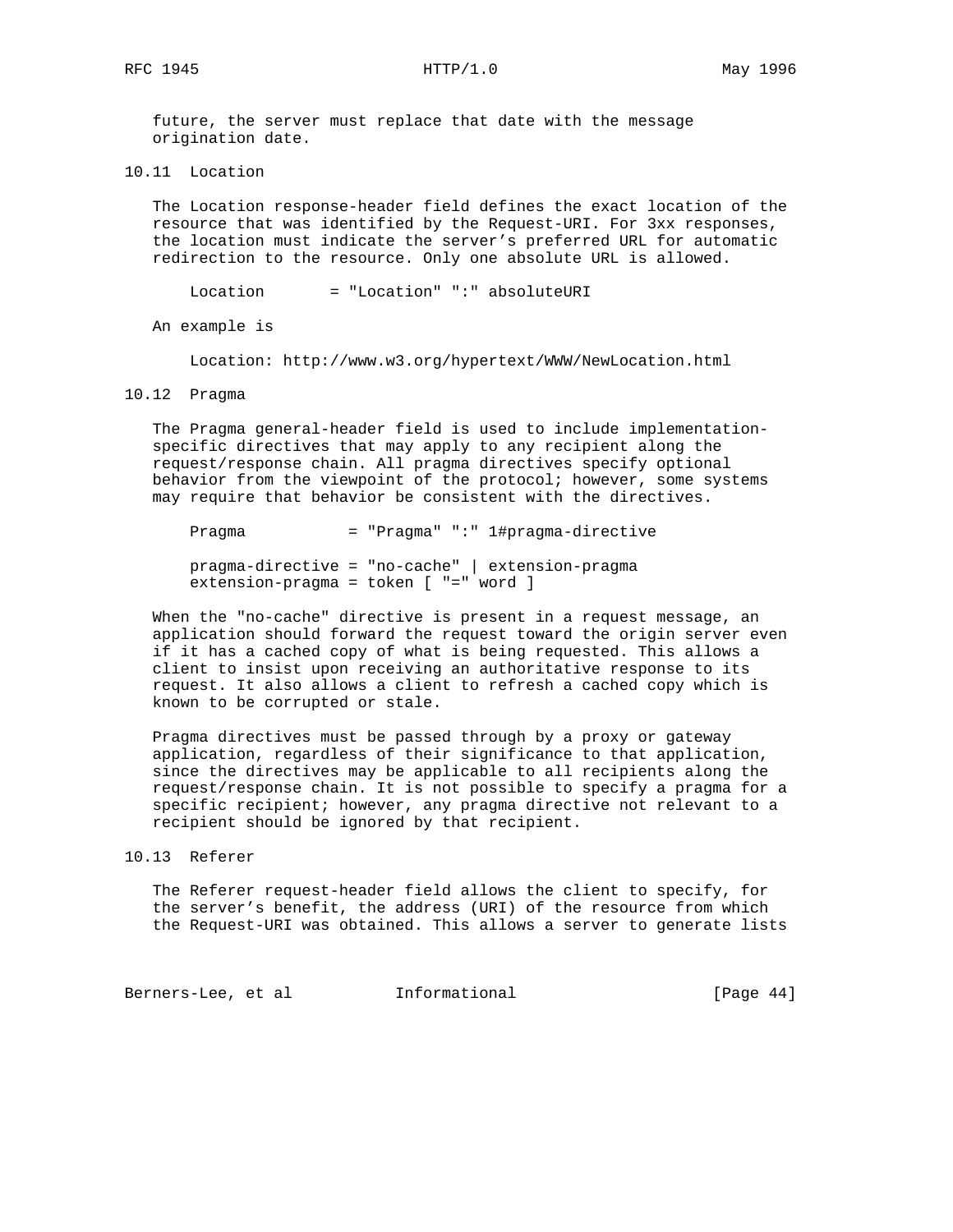future, the server must replace that date with the message origination date.

10.11 Location

 The Location response-header field defines the exact location of the resource that was identified by the Request-URI. For 3xx responses, the location must indicate the server's preferred URL for automatic redirection to the resource. Only one absolute URL is allowed.

Location = "Location" ":" absoluteURI

An example is

Location: http://www.w3.org/hypertext/WWW/NewLocation.html

## 10.12 Pragma

 The Pragma general-header field is used to include implementation specific directives that may apply to any recipient along the request/response chain. All pragma directives specify optional behavior from the viewpoint of the protocol; however, some systems may require that behavior be consistent with the directives.

Pragma = "Pragma" ": " 1#pragma-directive

 pragma-directive = "no-cache" | extension-pragma extension-pragma = token [ "=" word ]

When the "no-cache" directive is present in a request message, an application should forward the request toward the origin server even if it has a cached copy of what is being requested. This allows a client to insist upon receiving an authoritative response to its request. It also allows a client to refresh a cached copy which is known to be corrupted or stale.

 Pragma directives must be passed through by a proxy or gateway application, regardless of their significance to that application, since the directives may be applicable to all recipients along the request/response chain. It is not possible to specify a pragma for a specific recipient; however, any pragma directive not relevant to a recipient should be ignored by that recipient.

## 10.13 Referer

 The Referer request-header field allows the client to specify, for the server's benefit, the address (URI) of the resource from which the Request-URI was obtained. This allows a server to generate lists

Berners-Lee, et al informational [Page 44]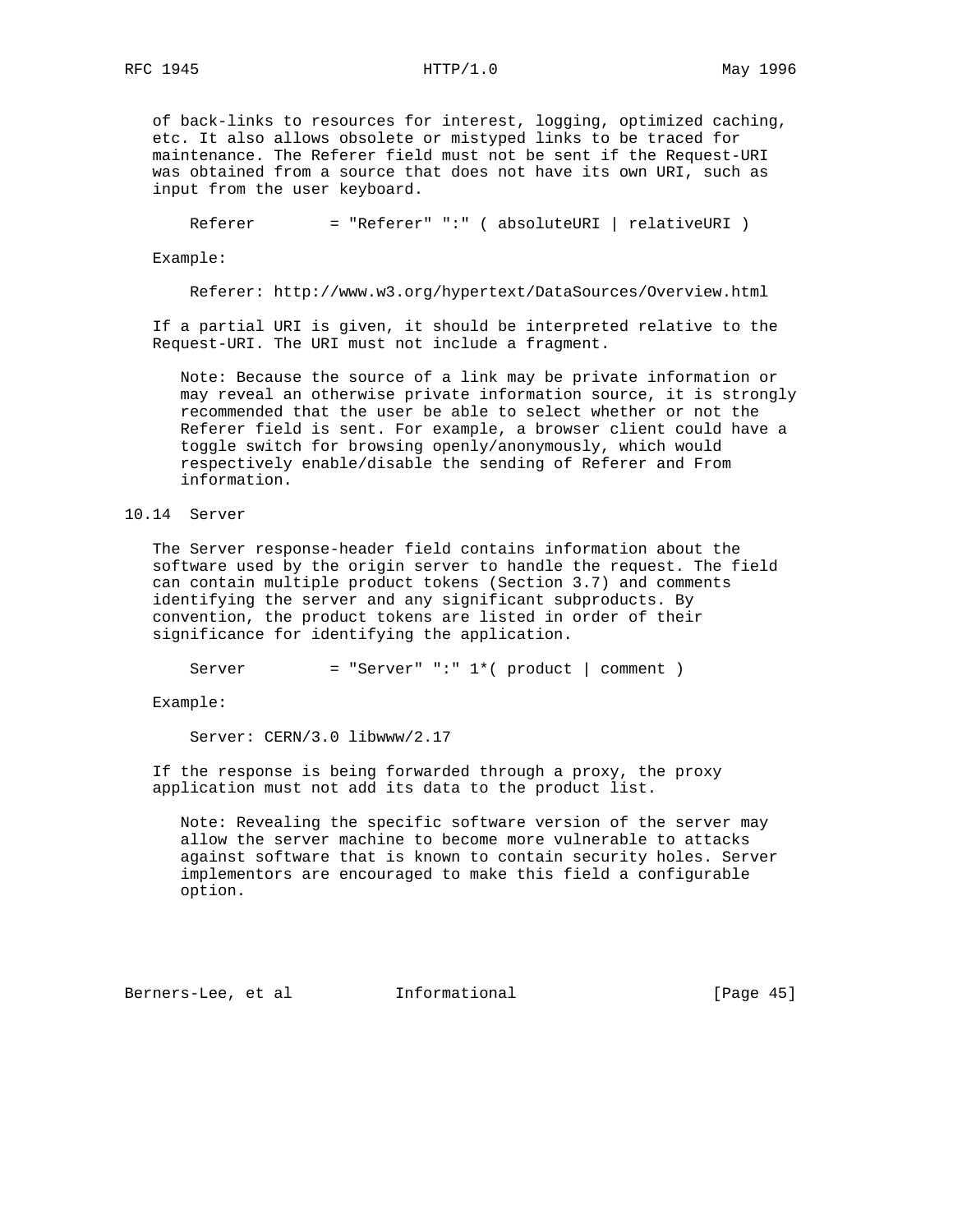### RFC 1945 HTTP/1.0 May 1996

 of back-links to resources for interest, logging, optimized caching, etc. It also allows obsolete or mistyped links to be traced for maintenance. The Referer field must not be sent if the Request-URI was obtained from a source that does not have its own URI, such as input from the user keyboard.

Referer = "Referer" ":" ( absoluteURI | relativeURI )

Example:

Referer: http://www.w3.org/hypertext/DataSources/Overview.html

 If a partial URI is given, it should be interpreted relative to the Request-URI. The URI must not include a fragment.

 Note: Because the source of a link may be private information or may reveal an otherwise private information source, it is strongly recommended that the user be able to select whether or not the Referer field is sent. For example, a browser client could have a toggle switch for browsing openly/anonymously, which would respectively enable/disable the sending of Referer and From information.

10.14 Server

 The Server response-header field contains information about the software used by the origin server to handle the request. The field can contain multiple product tokens (Section 3.7) and comments identifying the server and any significant subproducts. By convention, the product tokens are listed in order of their significance for identifying the application.

Server = "Server" ":" 1\*( product | comment )

Example:

Server: CERN/3.0 libwww/2.17

 If the response is being forwarded through a proxy, the proxy application must not add its data to the product list.

 Note: Revealing the specific software version of the server may allow the server machine to become more vulnerable to attacks against software that is known to contain security holes. Server implementors are encouraged to make this field a configurable option.

Berners-Lee, et al informational [Page 45]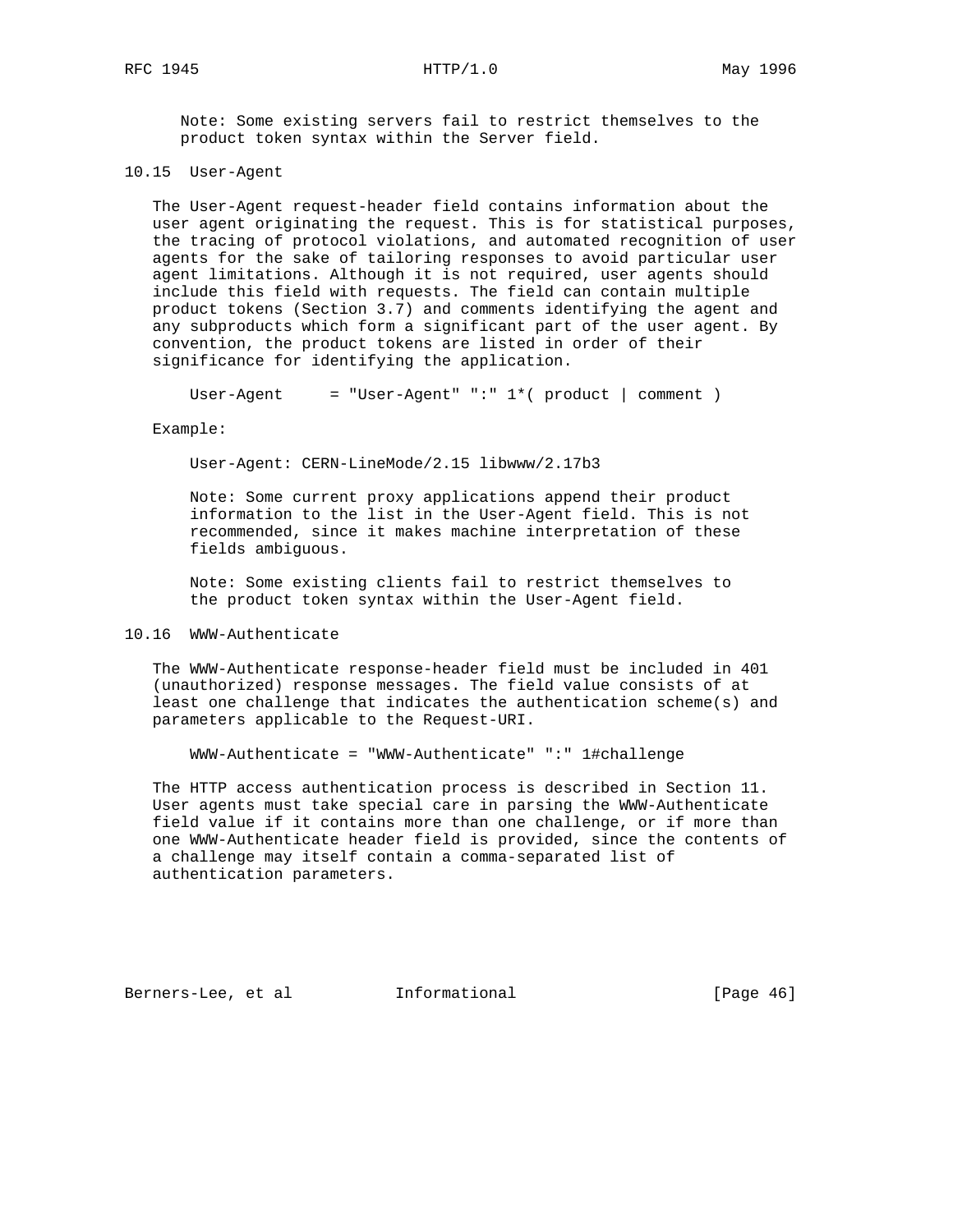Note: Some existing servers fail to restrict themselves to the product token syntax within the Server field.

## 10.15 User-Agent

 The User-Agent request-header field contains information about the user agent originating the request. This is for statistical purposes, the tracing of protocol violations, and automated recognition of user agents for the sake of tailoring responses to avoid particular user agent limitations. Although it is not required, user agents should include this field with requests. The field can contain multiple product tokens (Section 3.7) and comments identifying the agent and any subproducts which form a significant part of the user agent. By convention, the product tokens are listed in order of their significance for identifying the application.

User-Agent = "User-Agent" ":"  $1*($  product | comment )

Example:

User-Agent: CERN-LineMode/2.15 libwww/2.17b3

 Note: Some current proxy applications append their product information to the list in the User-Agent field. This is not recommended, since it makes machine interpretation of these fields ambiguous.

 Note: Some existing clients fail to restrict themselves to the product token syntax within the User-Agent field.

# 10.16 WWW-Authenticate

 The WWW-Authenticate response-header field must be included in 401 (unauthorized) response messages. The field value consists of at least one challenge that indicates the authentication scheme(s) and parameters applicable to the Request-URI.

WWW-Authenticate = "WWW-Authenticate" ":" 1#challenge

 The HTTP access authentication process is described in Section 11. User agents must take special care in parsing the WWW-Authenticate field value if it contains more than one challenge, or if more than one WWW-Authenticate header field is provided, since the contents of a challenge may itself contain a comma-separated list of authentication parameters.

Berners-Lee, et al **Informational** [Page 46]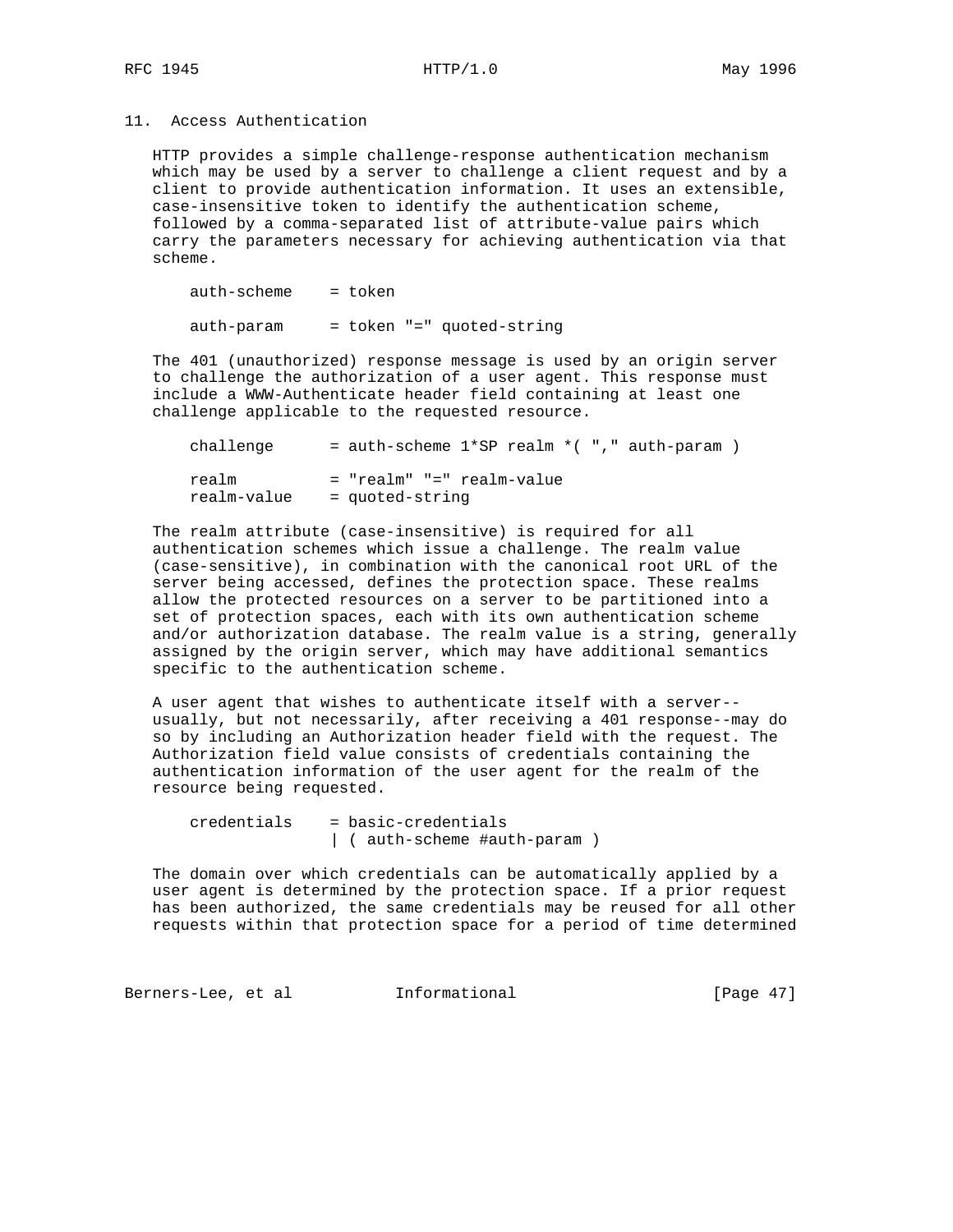# 11. Access Authentication

 HTTP provides a simple challenge-response authentication mechanism which may be used by a server to challenge a client request and by a client to provide authentication information. It uses an extensible, case-insensitive token to identify the authentication scheme, followed by a comma-separated list of attribute-value pairs which carry the parameters necessary for achieving authentication via that scheme.

 auth-scheme = token auth-param = token "=" quoted-string

 The 401 (unauthorized) response message is used by an origin server to challenge the authorization of a user agent. This response must include a WWW-Authenticate header field containing at least one challenge applicable to the requested resource.

| challenge            | $=$ auth-scheme $1*SP$ realm $*($ "," auth-param) |  |  |  |
|----------------------|---------------------------------------------------|--|--|--|
| realm<br>realm-value | = "realm" "=" realm-value<br>= quoted-string      |  |  |  |

 The realm attribute (case-insensitive) is required for all authentication schemes which issue a challenge. The realm value (case-sensitive), in combination with the canonical root URL of the server being accessed, defines the protection space. These realms allow the protected resources on a server to be partitioned into a set of protection spaces, each with its own authentication scheme and/or authorization database. The realm value is a string, generally assigned by the origin server, which may have additional semantics specific to the authentication scheme.

 A user agent that wishes to authenticate itself with a server- usually, but not necessarily, after receiving a 401 response--may do so by including an Authorization header field with the request. The Authorization field value consists of credentials containing the authentication information of the user agent for the realm of the resource being requested.

 credentials = basic-credentials | ( auth-scheme #auth-param )

 The domain over which credentials can be automatically applied by a user agent is determined by the protection space. If a prior request has been authorized, the same credentials may be reused for all other requests within that protection space for a period of time determined

Berners-Lee, et al informational [Page 47]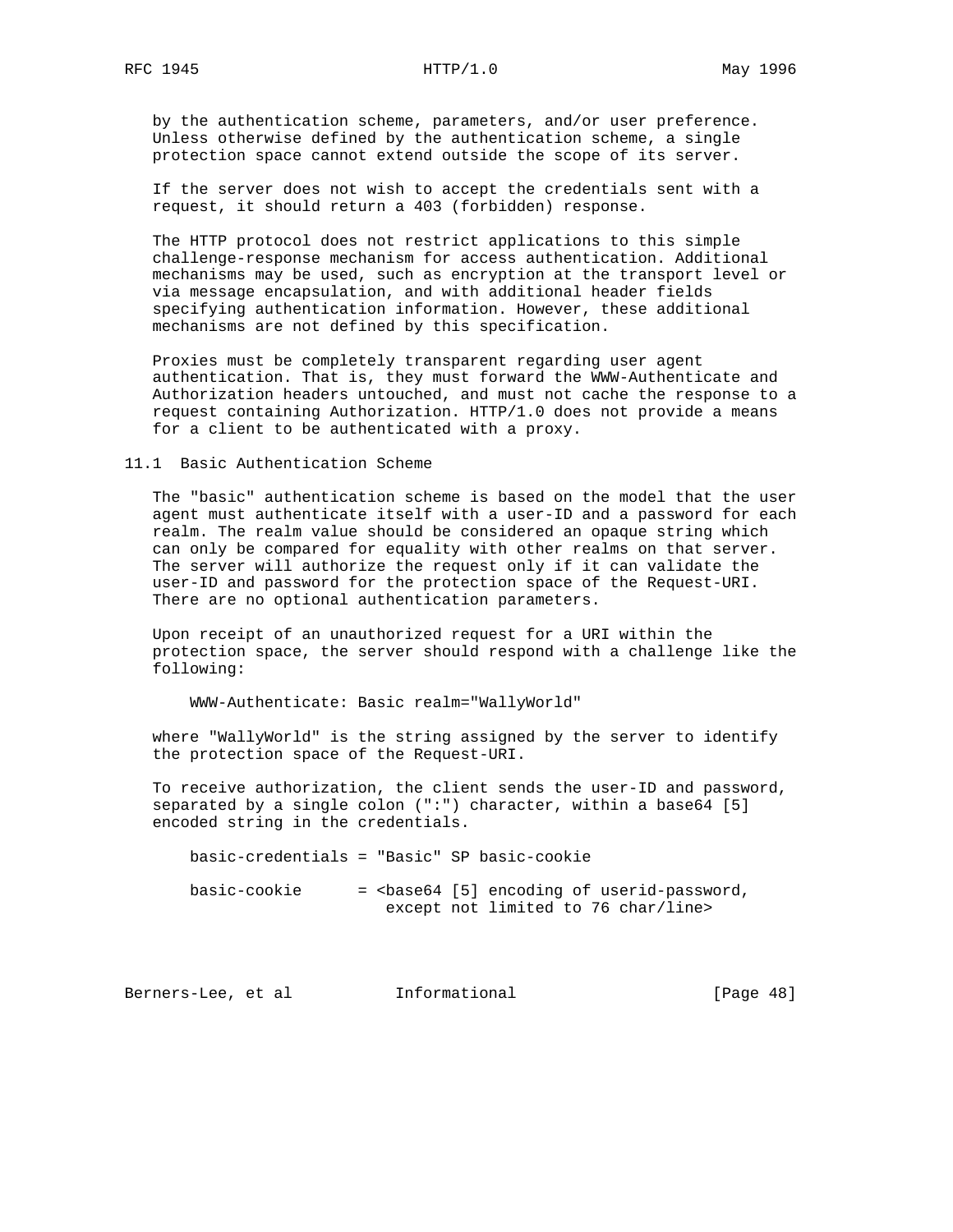by the authentication scheme, parameters, and/or user preference. Unless otherwise defined by the authentication scheme, a single protection space cannot extend outside the scope of its server.

 If the server does not wish to accept the credentials sent with a request, it should return a 403 (forbidden) response.

 The HTTP protocol does not restrict applications to this simple challenge-response mechanism for access authentication. Additional mechanisms may be used, such as encryption at the transport level or via message encapsulation, and with additional header fields specifying authentication information. However, these additional mechanisms are not defined by this specification.

 Proxies must be completely transparent regarding user agent authentication. That is, they must forward the WWW-Authenticate and Authorization headers untouched, and must not cache the response to a request containing Authorization. HTTP/1.0 does not provide a means for a client to be authenticated with a proxy.

### 11.1 Basic Authentication Scheme

 The "basic" authentication scheme is based on the model that the user agent must authenticate itself with a user-ID and a password for each realm. The realm value should be considered an opaque string which can only be compared for equality with other realms on that server. The server will authorize the request only if it can validate the user-ID and password for the protection space of the Request-URI. There are no optional authentication parameters.

 Upon receipt of an unauthorized request for a URI within the protection space, the server should respond with a challenge like the following:

WWW-Authenticate: Basic realm="WallyWorld"

 where "WallyWorld" is the string assigned by the server to identify the protection space of the Request-URI.

 To receive authorization, the client sends the user-ID and password, separated by a single colon (":") character, within a base64 [5] encoded string in the credentials.

basic-credentials = "Basic" SP basic-cookie

 basic-cookie = <base64 [5] encoding of userid-password, except not limited to 76 char/line>

Berners-Lee, et al informational [Page 48]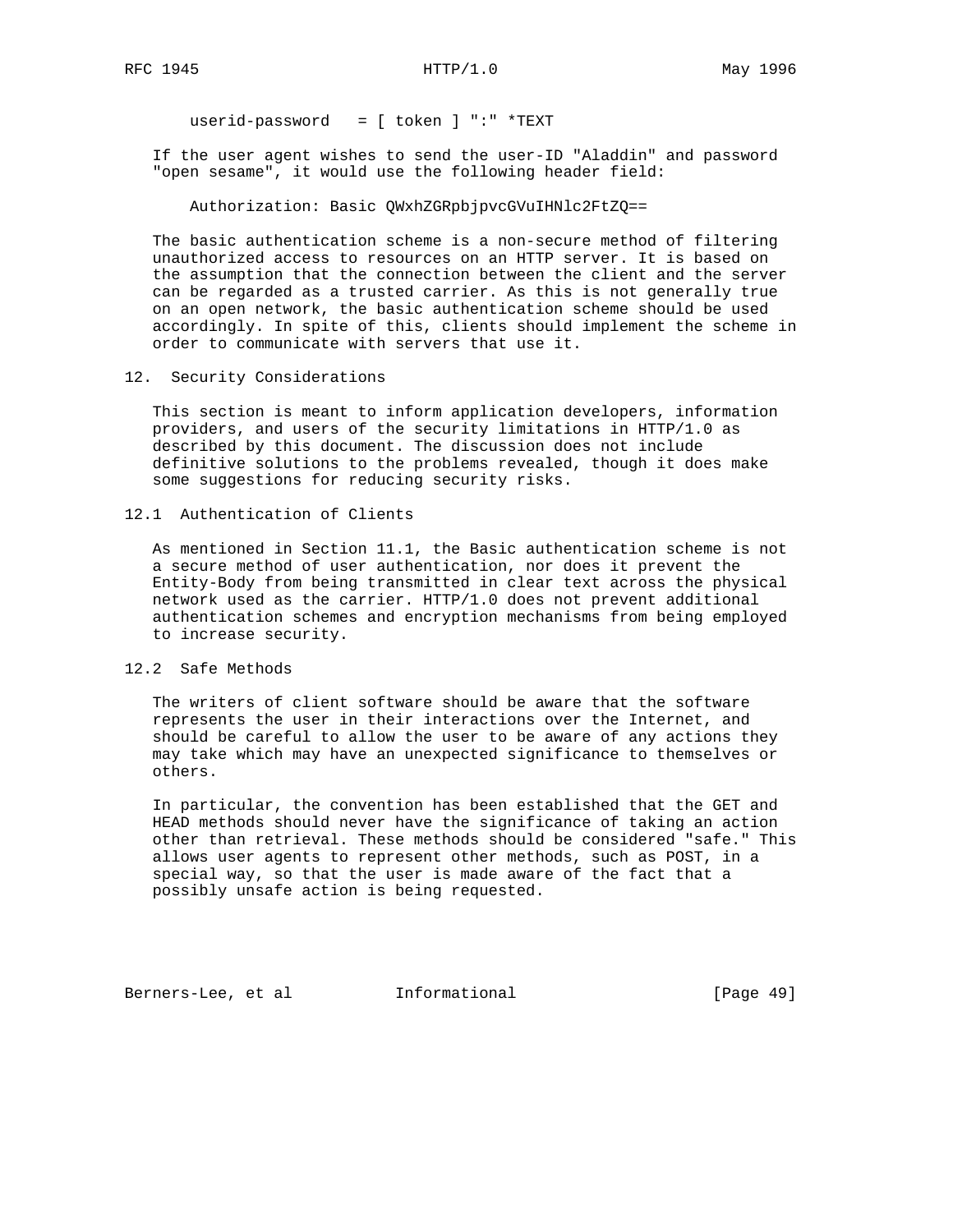userid-password = [ token ] ":" \*TEXT

 If the user agent wishes to send the user-ID "Aladdin" and password "open sesame", it would use the following header field:

Authorization: Basic QWxhZGRpbjpvcGVuIHNlc2FtZQ==

 The basic authentication scheme is a non-secure method of filtering unauthorized access to resources on an HTTP server. It is based on the assumption that the connection between the client and the server can be regarded as a trusted carrier. As this is not generally true on an open network, the basic authentication scheme should be used accordingly. In spite of this, clients should implement the scheme in order to communicate with servers that use it.

### 12. Security Considerations

 This section is meant to inform application developers, information providers, and users of the security limitations in HTTP/1.0 as described by this document. The discussion does not include definitive solutions to the problems revealed, though it does make some suggestions for reducing security risks.

12.1 Authentication of Clients

 As mentioned in Section 11.1, the Basic authentication scheme is not a secure method of user authentication, nor does it prevent the Entity-Body from being transmitted in clear text across the physical network used as the carrier. HTTP/1.0 does not prevent additional authentication schemes and encryption mechanisms from being employed to increase security.

## 12.2 Safe Methods

 The writers of client software should be aware that the software represents the user in their interactions over the Internet, and should be careful to allow the user to be aware of any actions they may take which may have an unexpected significance to themselves or others.

 In particular, the convention has been established that the GET and HEAD methods should never have the significance of taking an action other than retrieval. These methods should be considered "safe." This allows user agents to represent other methods, such as POST, in a special way, so that the user is made aware of the fact that a possibly unsafe action is being requested.

Berners-Lee, et al Informational [Page 49]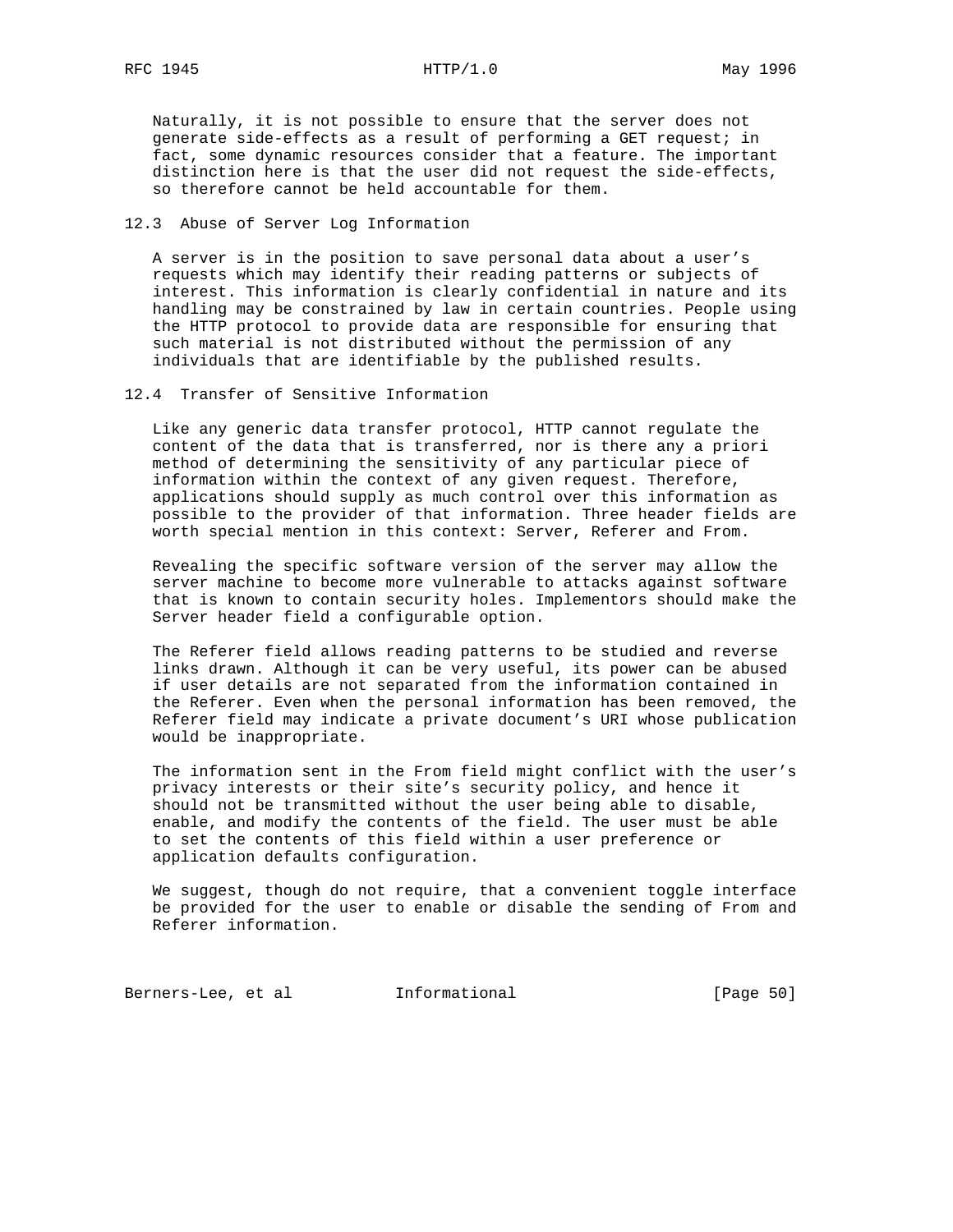Naturally, it is not possible to ensure that the server does not generate side-effects as a result of performing a GET request; in fact, some dynamic resources consider that a feature. The important distinction here is that the user did not request the side-effects, so therefore cannot be held accountable for them.

## 12.3 Abuse of Server Log Information

 A server is in the position to save personal data about a user's requests which may identify their reading patterns or subjects of interest. This information is clearly confidential in nature and its handling may be constrained by law in certain countries. People using the HTTP protocol to provide data are responsible for ensuring that such material is not distributed without the permission of any individuals that are identifiable by the published results.

12.4 Transfer of Sensitive Information

 Like any generic data transfer protocol, HTTP cannot regulate the content of the data that is transferred, nor is there any a priori method of determining the sensitivity of any particular piece of information within the context of any given request. Therefore, applications should supply as much control over this information as possible to the provider of that information. Three header fields are worth special mention in this context: Server, Referer and From.

 Revealing the specific software version of the server may allow the server machine to become more vulnerable to attacks against software that is known to contain security holes. Implementors should make the Server header field a configurable option.

 The Referer field allows reading patterns to be studied and reverse links drawn. Although it can be very useful, its power can be abused if user details are not separated from the information contained in the Referer. Even when the personal information has been removed, the Referer field may indicate a private document's URI whose publication would be inappropriate.

 The information sent in the From field might conflict with the user's privacy interests or their site's security policy, and hence it should not be transmitted without the user being able to disable, enable, and modify the contents of the field. The user must be able to set the contents of this field within a user preference or application defaults configuration.

 We suggest, though do not require, that a convenient toggle interface be provided for the user to enable or disable the sending of From and Referer information.

Berners-Lee, et al informational [Page 50]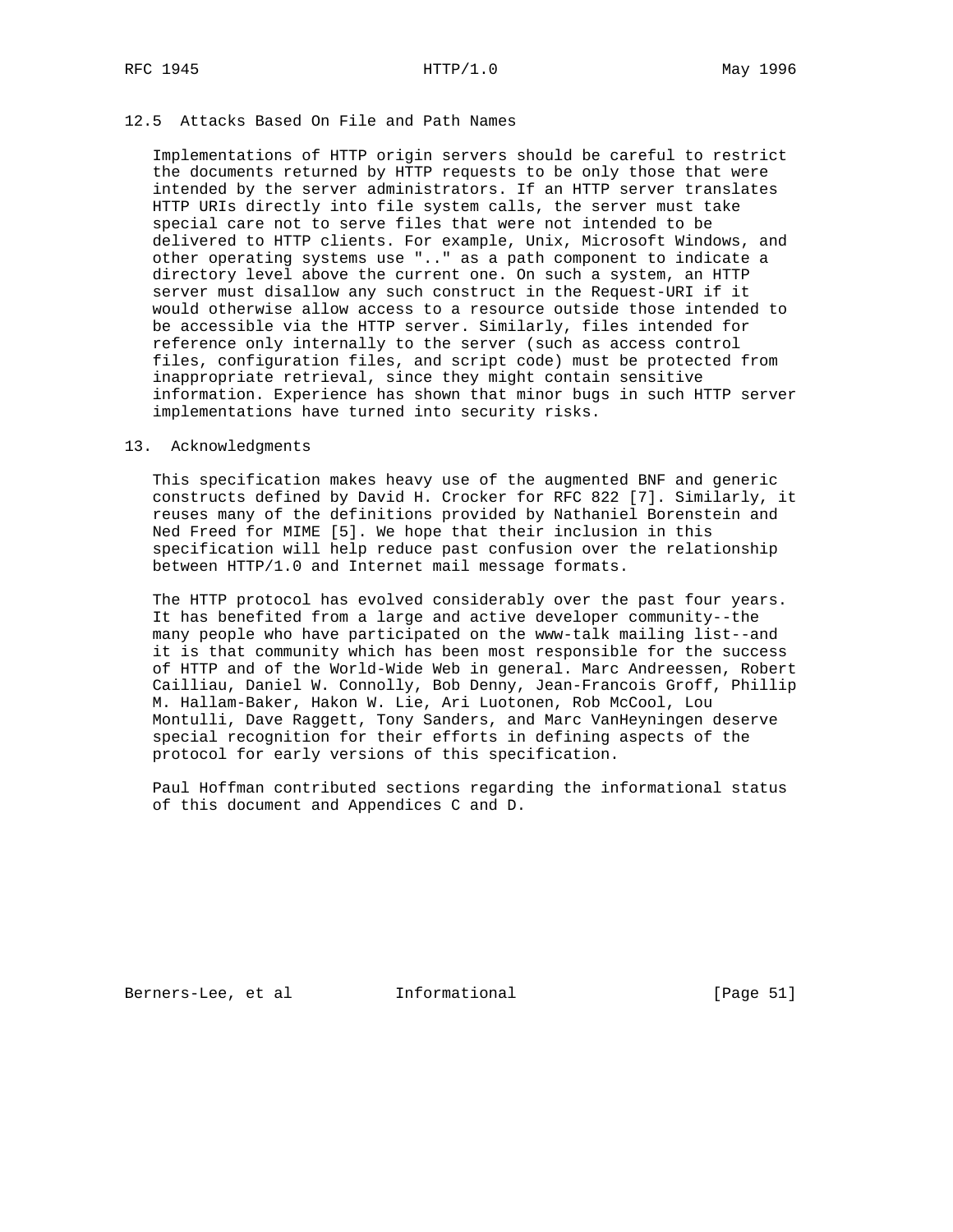# 12.5 Attacks Based On File and Path Names

 Implementations of HTTP origin servers should be careful to restrict the documents returned by HTTP requests to be only those that were intended by the server administrators. If an HTTP server translates HTTP URIs directly into file system calls, the server must take special care not to serve files that were not intended to be delivered to HTTP clients. For example, Unix, Microsoft Windows, and other operating systems use ".." as a path component to indicate a directory level above the current one. On such a system, an HTTP server must disallow any such construct in the Request-URI if it would otherwise allow access to a resource outside those intended to be accessible via the HTTP server. Similarly, files intended for reference only internally to the server (such as access control files, configuration files, and script code) must be protected from inappropriate retrieval, since they might contain sensitive information. Experience has shown that minor bugs in such HTTP server implementations have turned into security risks.

### 13. Acknowledgments

 This specification makes heavy use of the augmented BNF and generic constructs defined by David H. Crocker for RFC 822 [7]. Similarly, it reuses many of the definitions provided by Nathaniel Borenstein and Ned Freed for MIME [5]. We hope that their inclusion in this specification will help reduce past confusion over the relationship between HTTP/1.0 and Internet mail message formats.

 The HTTP protocol has evolved considerably over the past four years. It has benefited from a large and active developer community--the many people who have participated on the www-talk mailing list--and it is that community which has been most responsible for the success of HTTP and of the World-Wide Web in general. Marc Andreessen, Robert Cailliau, Daniel W. Connolly, Bob Denny, Jean-Francois Groff, Phillip M. Hallam-Baker, Hakon W. Lie, Ari Luotonen, Rob McCool, Lou Montulli, Dave Raggett, Tony Sanders, and Marc VanHeyningen deserve special recognition for their efforts in defining aspects of the protocol for early versions of this specification.

 Paul Hoffman contributed sections regarding the informational status of this document and Appendices C and D.

Berners-Lee, et al Informational [Page 51]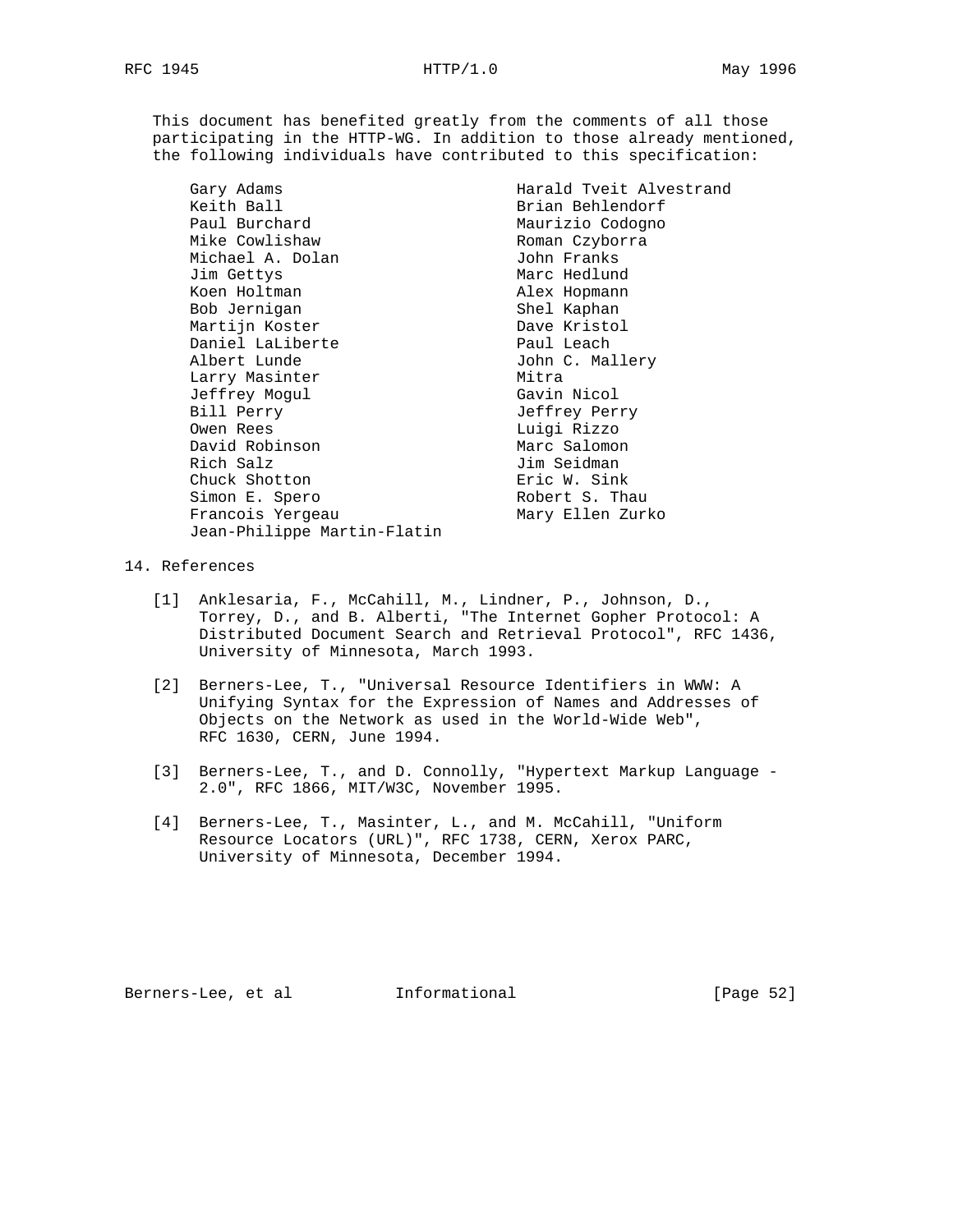This document has benefited greatly from the comments of all those participating in the HTTP-WG. In addition to those already mentioned, the following individuals have contributed to this specification:

| Gary Adams                  | Haral |
|-----------------------------|-------|
| Keith Ball                  | Brian |
| Paul Burchard               | Mauri |
| Mike Cowlishaw              | Roman |
| Michael A. Dolan            | John  |
| Jim Gettys                  | Marc  |
| Koen Holtman                | Alex  |
| Bob Jernigan                | Shel  |
| Martijn Koster              | Dave  |
| Daniel LaLiberte            | Paul  |
| Albert Lunde                | John  |
| Larry Masinter              | Mitra |
| Jeffrey Mogul               | Gavin |
| Bill Perry                  | Jeffr |
| Owen Rees                   | Luigi |
| David Robinson              | Marc  |
| Rich Salz                   | Jim S |
| Chuck Shotton               | Eric  |
| Simon E. Spero              | Rober |
| Francois Yergeau            | Mary  |
| Jean-Philippe Martin-Flatin |       |
|                             |       |

Harald Tveit Alvestrand Brian Behlendorf Maurizio Codogno Roman Czyborra John Franks Marc Hedlund Alex Hopmann Shel Kaphan Dave Kristol Paul Leach John C. Mallery Gavin Nicol Jeffrey Perry Luigi Rizzo Marc Salomon Jim Seidman Eric W. Sink Robert S. Thau Mary Ellen Zurko

### 14. References

- [1] Anklesaria, F., McCahill, M., Lindner, P., Johnson, D., Torrey, D., and B. Alberti, "The Internet Gopher Protocol: A Distributed Document Search and Retrieval Protocol", RFC 1436, University of Minnesota, March 1993.
- [2] Berners-Lee, T., "Universal Resource Identifiers in WWW: A Unifying Syntax for the Expression of Names and Addresses of Objects on the Network as used in the World-Wide Web", RFC 1630, CERN, June 1994.
- [3] Berners-Lee, T., and D. Connolly, "Hypertext Markup Language 2.0", RFC 1866, MIT/W3C, November 1995.
- [4] Berners-Lee, T., Masinter, L., and M. McCahill, "Uniform Resource Locators (URL)", RFC 1738, CERN, Xerox PARC, University of Minnesota, December 1994.

Berners-Lee, et al informational [Page 52]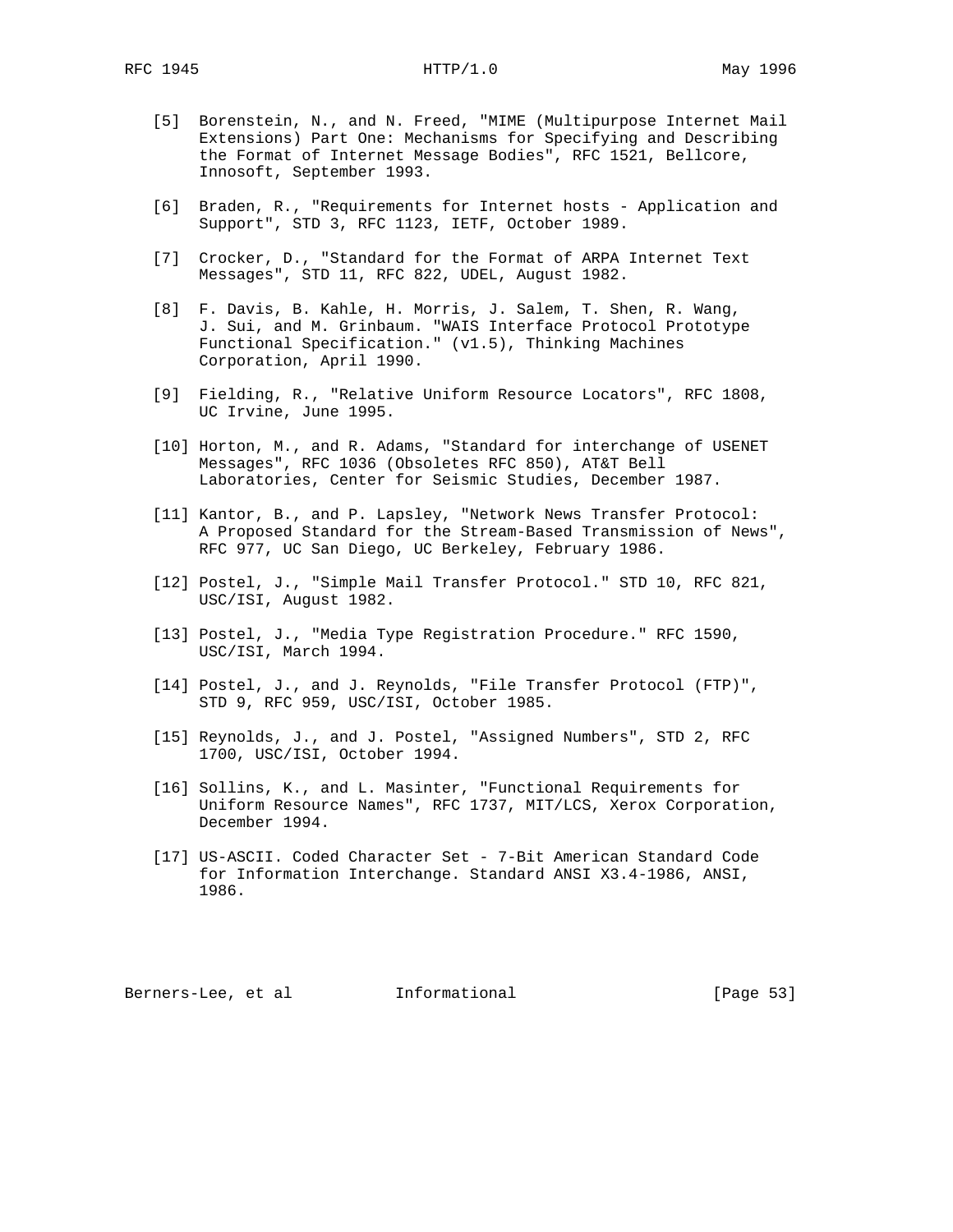- [5] Borenstein, N., and N. Freed, "MIME (Multipurpose Internet Mail Extensions) Part One: Mechanisms for Specifying and Describing the Format of Internet Message Bodies", RFC 1521, Bellcore, Innosoft, September 1993.
- [6] Braden, R., "Requirements for Internet hosts Application and Support", STD 3, RFC 1123, IETF, October 1989.
- [7] Crocker, D., "Standard for the Format of ARPA Internet Text Messages", STD 11, RFC 822, UDEL, August 1982.
- [8] F. Davis, B. Kahle, H. Morris, J. Salem, T. Shen, R. Wang, J. Sui, and M. Grinbaum. "WAIS Interface Protocol Prototype Functional Specification." (v1.5), Thinking Machines Corporation, April 1990.
- [9] Fielding, R., "Relative Uniform Resource Locators", RFC 1808, UC Irvine, June 1995.
- [10] Horton, M., and R. Adams, "Standard for interchange of USENET Messages", RFC 1036 (Obsoletes RFC 850), AT&T Bell Laboratories, Center for Seismic Studies, December 1987.
- [11] Kantor, B., and P. Lapsley, "Network News Transfer Protocol: A Proposed Standard for the Stream-Based Transmission of News", RFC 977, UC San Diego, UC Berkeley, February 1986.
- [12] Postel, J., "Simple Mail Transfer Protocol." STD 10, RFC 821, USC/ISI, August 1982.
- [13] Postel, J., "Media Type Registration Procedure." RFC 1590, USC/ISI, March 1994.
- [14] Postel, J., and J. Reynolds, "File Transfer Protocol (FTP)", STD 9, RFC 959, USC/ISI, October 1985.
- [15] Reynolds, J., and J. Postel, "Assigned Numbers", STD 2, RFC 1700, USC/ISI, October 1994.
- [16] Sollins, K., and L. Masinter, "Functional Requirements for Uniform Resource Names", RFC 1737, MIT/LCS, Xerox Corporation, December 1994.
- [17] US-ASCII. Coded Character Set 7-Bit American Standard Code for Information Interchange. Standard ANSI X3.4-1986, ANSI, 1986.

Berners-Lee, et al informational [Page 53]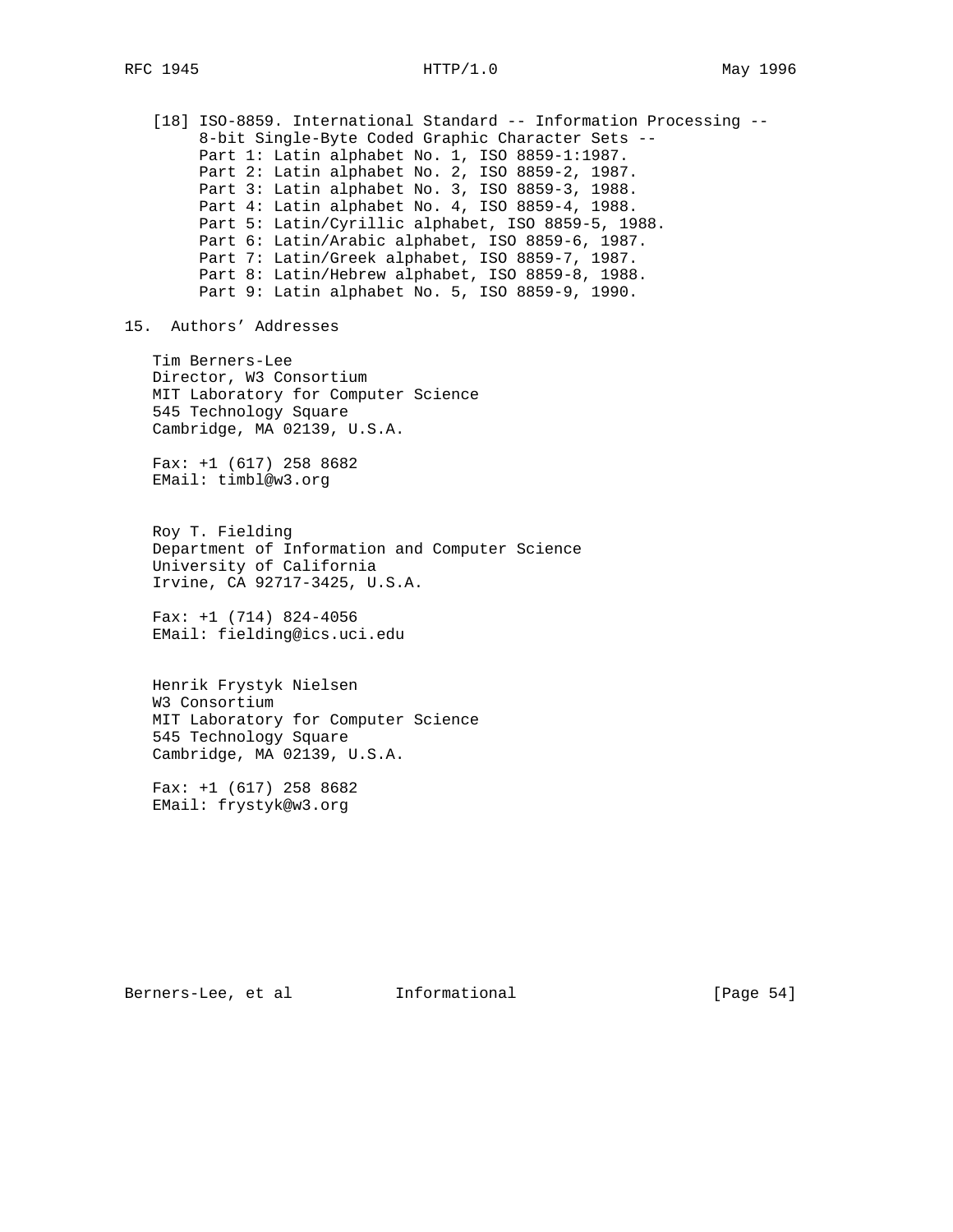[18] ISO-8859. International Standard -- Information Processing -- 8-bit Single-Byte Coded Graphic Character Sets -- Part 1: Latin alphabet No. 1, ISO 8859-1:1987. Part 2: Latin alphabet No. 2, ISO 8859-2, 1987. Part 3: Latin alphabet No. 3, ISO 8859-3, 1988. Part 4: Latin alphabet No. 4, ISO 8859-4, 1988. Part 5: Latin/Cyrillic alphabet, ISO 8859-5, 1988. Part 6: Latin/Arabic alphabet, ISO 8859-6, 1987. Part 7: Latin/Greek alphabet, ISO 8859-7, 1987. Part 8: Latin/Hebrew alphabet, ISO 8859-8, 1988. Part 9: Latin alphabet No. 5, ISO 8859-9, 1990. 15. Authors' Addresses Tim Berners-Lee Director, W3 Consortium MIT Laboratory for Computer Science 545 Technology Square Cambridge, MA 02139, U.S.A. Fax: +1 (617) 258 8682 EMail: timbl@w3.org Roy T. Fielding Department of Information and Computer Science University of California Irvine, CA 92717-3425, U.S.A. Fax: +1 (714) 824-4056 EMail: fielding@ics.uci.edu Henrik Frystyk Nielsen W3 Consortium MIT Laboratory for Computer Science 545 Technology Square Cambridge, MA 02139, U.S.A.

 Fax: +1 (617) 258 8682 EMail: frystyk@w3.org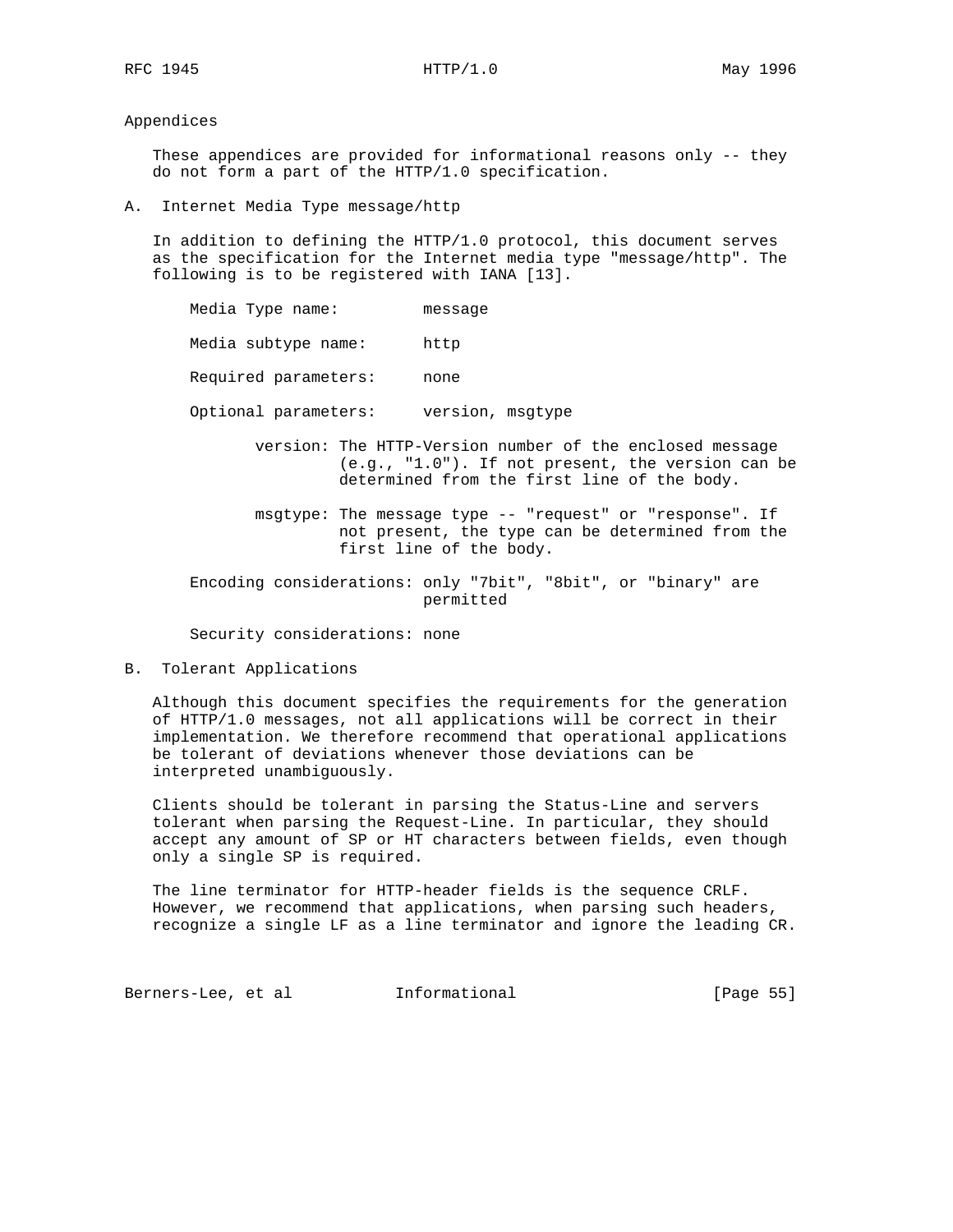Appendices

 These appendices are provided for informational reasons only -- they do not form a part of the HTTP/1.0 specification.

A. Internet Media Type message/http

 In addition to defining the HTTP/1.0 protocol, this document serves as the specification for the Internet media type "message/http". The following is to be registered with IANA [13].

 Media Type name: message Media subtype name: http Required parameters: none Optional parameters: version, msgtype version: The HTTP-Version number of the enclosed message (e.g., "1.0"). If not present, the version can be determined from the first line of the body. msgtype: The message type -- "request" or "response". If not present, the type can be determined from the first line of the body.

 Encoding considerations: only "7bit", "8bit", or "binary" are permitted

Security considerations: none

B. Tolerant Applications

 Although this document specifies the requirements for the generation of HTTP/1.0 messages, not all applications will be correct in their implementation. We therefore recommend that operational applications be tolerant of deviations whenever those deviations can be interpreted unambiguously.

 Clients should be tolerant in parsing the Status-Line and servers tolerant when parsing the Request-Line. In particular, they should accept any amount of SP or HT characters between fields, even though only a single SP is required.

 The line terminator for HTTP-header fields is the sequence CRLF. However, we recommend that applications, when parsing such headers, recognize a single LF as a line terminator and ignore the leading CR.

Berners-Lee, et al Informational [Page 55]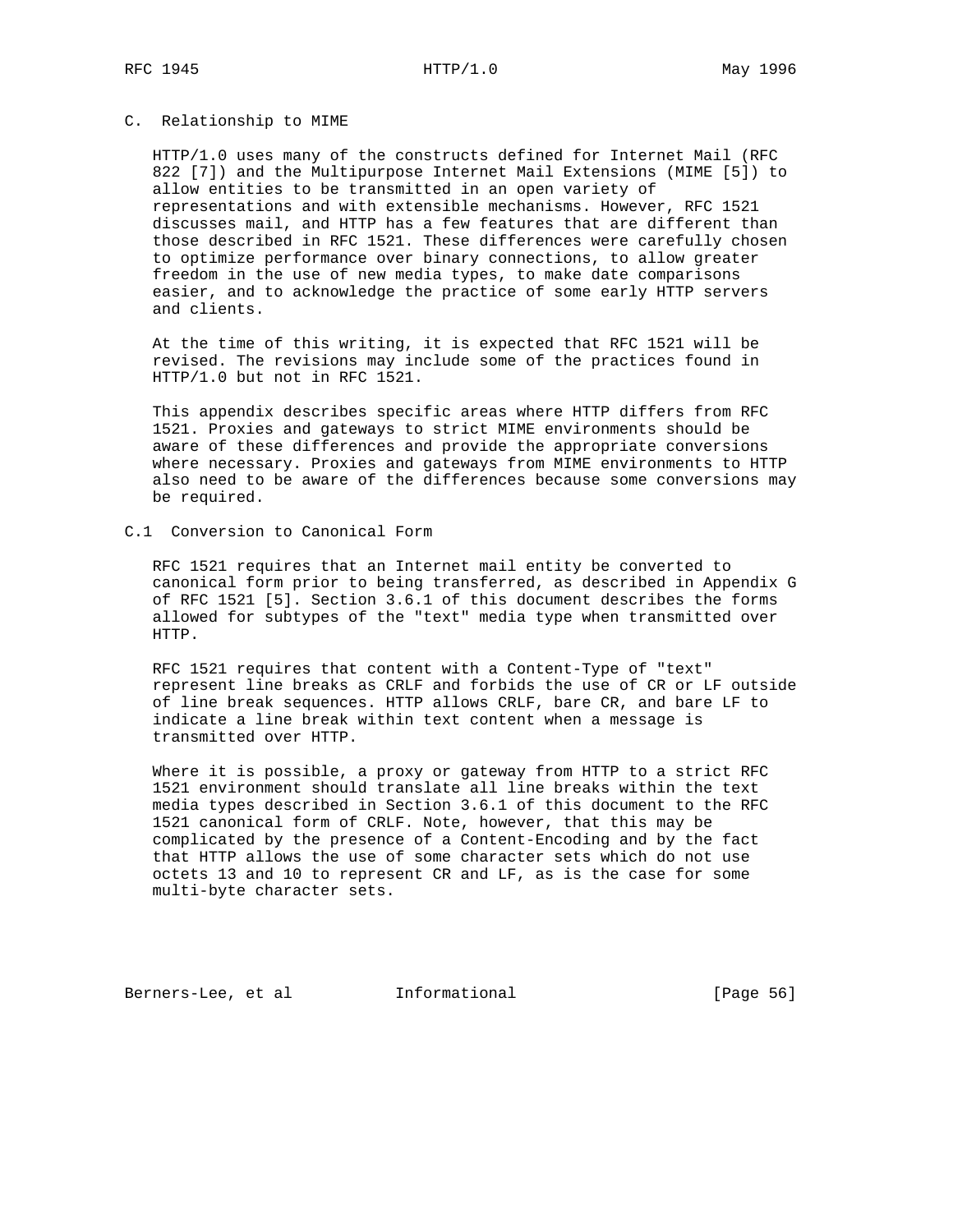### RFC 1945 HTTP/1.0 May 1996

## C. Relationship to MIME

 HTTP/1.0 uses many of the constructs defined for Internet Mail (RFC 822 [7]) and the Multipurpose Internet Mail Extensions (MIME [5]) to allow entities to be transmitted in an open variety of representations and with extensible mechanisms. However, RFC 1521 discusses mail, and HTTP has a few features that are different than those described in RFC 1521. These differences were carefully chosen to optimize performance over binary connections, to allow greater freedom in the use of new media types, to make date comparisons easier, and to acknowledge the practice of some early HTTP servers and clients.

 At the time of this writing, it is expected that RFC 1521 will be revised. The revisions may include some of the practices found in HTTP/1.0 but not in RFC 1521.

 This appendix describes specific areas where HTTP differs from RFC 1521. Proxies and gateways to strict MIME environments should be aware of these differences and provide the appropriate conversions where necessary. Proxies and gateways from MIME environments to HTTP also need to be aware of the differences because some conversions may be required.

## C.1 Conversion to Canonical Form

 RFC 1521 requires that an Internet mail entity be converted to canonical form prior to being transferred, as described in Appendix G of RFC 1521 [5]. Section 3.6.1 of this document describes the forms allowed for subtypes of the "text" media type when transmitted over HTTP.

 RFC 1521 requires that content with a Content-Type of "text" represent line breaks as CRLF and forbids the use of CR or LF outside of line break sequences. HTTP allows CRLF, bare CR, and bare LF to indicate a line break within text content when a message is transmitted over HTTP.

 Where it is possible, a proxy or gateway from HTTP to a strict RFC 1521 environment should translate all line breaks within the text media types described in Section 3.6.1 of this document to the RFC 1521 canonical form of CRLF. Note, however, that this may be complicated by the presence of a Content-Encoding and by the fact that HTTP allows the use of some character sets which do not use octets 13 and 10 to represent CR and LF, as is the case for some multi-byte character sets.

Berners-Lee, et al Informational [Page 56]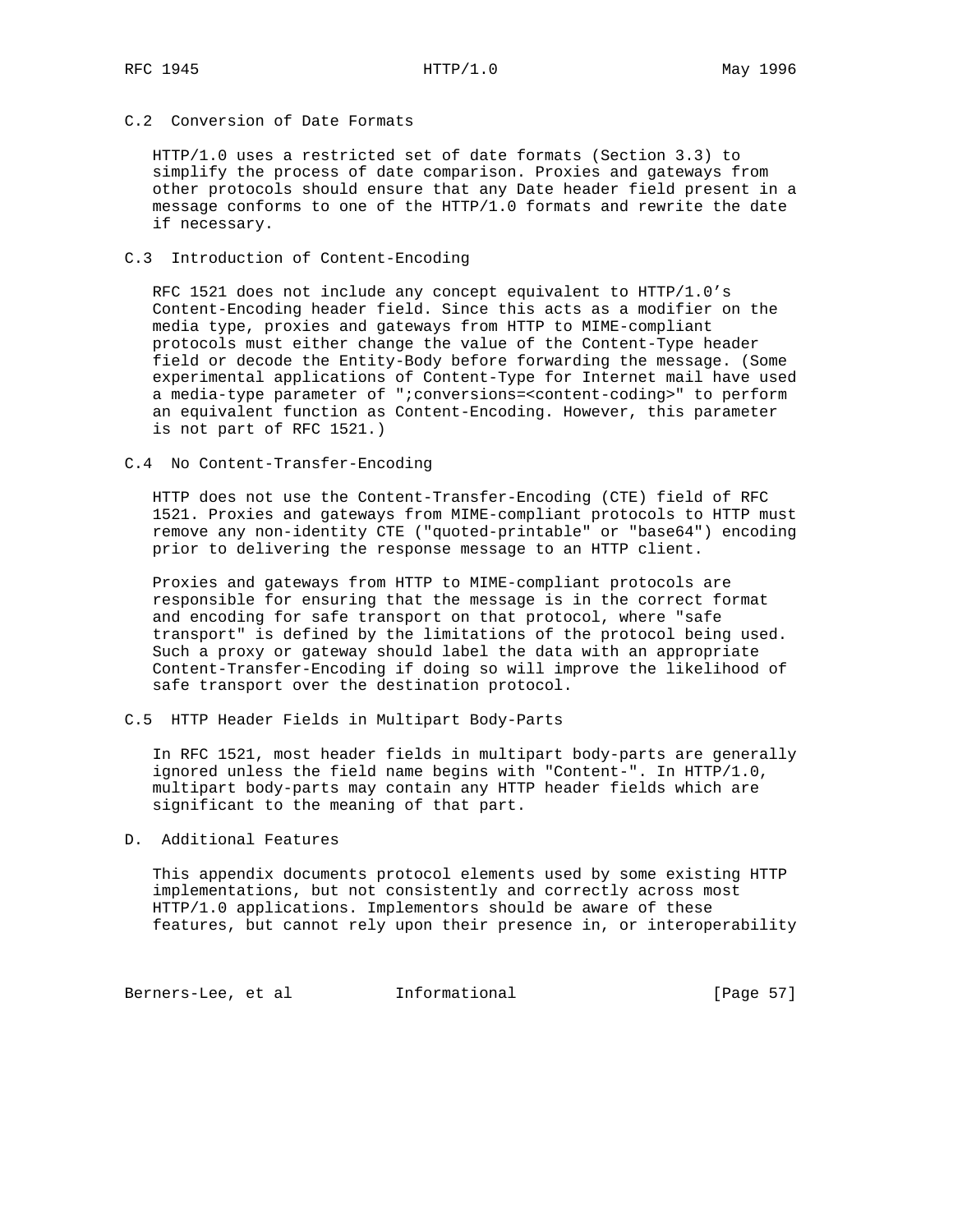# C.2 Conversion of Date Formats

 HTTP/1.0 uses a restricted set of date formats (Section 3.3) to simplify the process of date comparison. Proxies and gateways from other protocols should ensure that any Date header field present in a message conforms to one of the HTTP/1.0 formats and rewrite the date if necessary.

## C.3 Introduction of Content-Encoding

 RFC 1521 does not include any concept equivalent to HTTP/1.0's Content-Encoding header field. Since this acts as a modifier on the media type, proxies and gateways from HTTP to MIME-compliant protocols must either change the value of the Content-Type header field or decode the Entity-Body before forwarding the message. (Some experimental applications of Content-Type for Internet mail have used a media-type parameter of ";conversions=<content-coding>" to perform an equivalent function as Content-Encoding. However, this parameter is not part of RFC 1521.)

### C.4 No Content-Transfer-Encoding

 HTTP does not use the Content-Transfer-Encoding (CTE) field of RFC 1521. Proxies and gateways from MIME-compliant protocols to HTTP must remove any non-identity CTE ("quoted-printable" or "base64") encoding prior to delivering the response message to an HTTP client.

 Proxies and gateways from HTTP to MIME-compliant protocols are responsible for ensuring that the message is in the correct format and encoding for safe transport on that protocol, where "safe transport" is defined by the limitations of the protocol being used. Such a proxy or gateway should label the data with an appropriate Content-Transfer-Encoding if doing so will improve the likelihood of safe transport over the destination protocol.

C.5 HTTP Header Fields in Multipart Body-Parts

 In RFC 1521, most header fields in multipart body-parts are generally ignored unless the field name begins with "Content-". In HTTP/1.0, multipart body-parts may contain any HTTP header fields which are significant to the meaning of that part.

## D. Additional Features

 This appendix documents protocol elements used by some existing HTTP implementations, but not consistently and correctly across most HTTP/1.0 applications. Implementors should be aware of these features, but cannot rely upon their presence in, or interoperability

Berners-Lee, et al **Informational** [Page 57]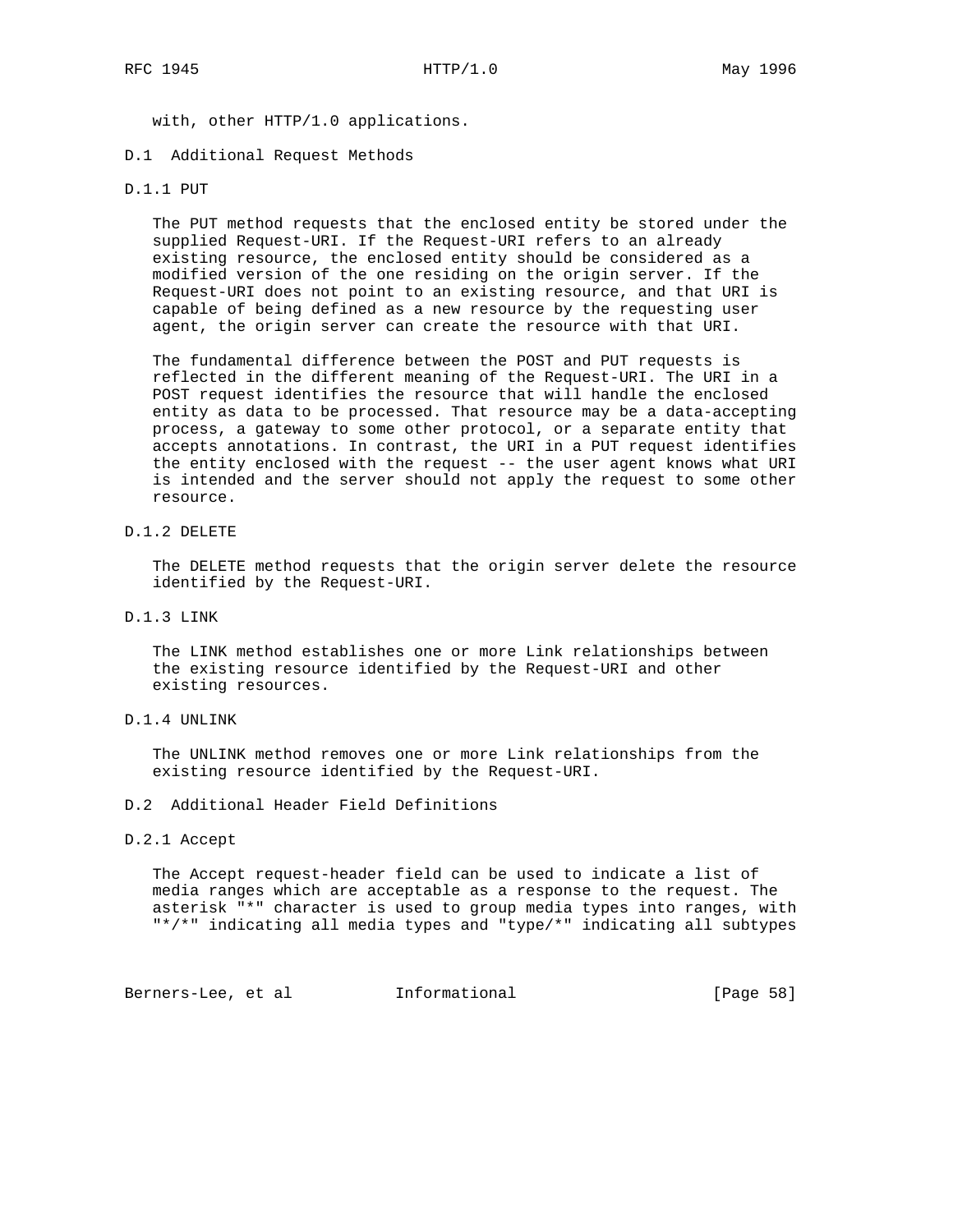with, other HTTP/1.0 applications.

D.1 Additional Request Methods

### D.1.1 PUT

 The PUT method requests that the enclosed entity be stored under the supplied Request-URI. If the Request-URI refers to an already existing resource, the enclosed entity should be considered as a modified version of the one residing on the origin server. If the Request-URI does not point to an existing resource, and that URI is capable of being defined as a new resource by the requesting user agent, the origin server can create the resource with that URI.

 The fundamental difference between the POST and PUT requests is reflected in the different meaning of the Request-URI. The URI in a POST request identifies the resource that will handle the enclosed entity as data to be processed. That resource may be a data-accepting process, a gateway to some other protocol, or a separate entity that accepts annotations. In contrast, the URI in a PUT request identifies the entity enclosed with the request -- the user agent knows what URI is intended and the server should not apply the request to some other resource.

D.1.2 DELETE

 The DELETE method requests that the origin server delete the resource identified by the Request-URI.

D.1.3 LINK

 The LINK method establishes one or more Link relationships between the existing resource identified by the Request-URI and other existing resources.

D.1.4 UNLINK

 The UNLINK method removes one or more Link relationships from the existing resource identified by the Request-URI.

D.2 Additional Header Field Definitions

### D.2.1 Accept

 The Accept request-header field can be used to indicate a list of media ranges which are acceptable as a response to the request. The asterisk "\*" character is used to group media types into ranges, with "\*/\*" indicating all media types and "type/\*" indicating all subtypes

Berners-Lee, et al informational [Page 58]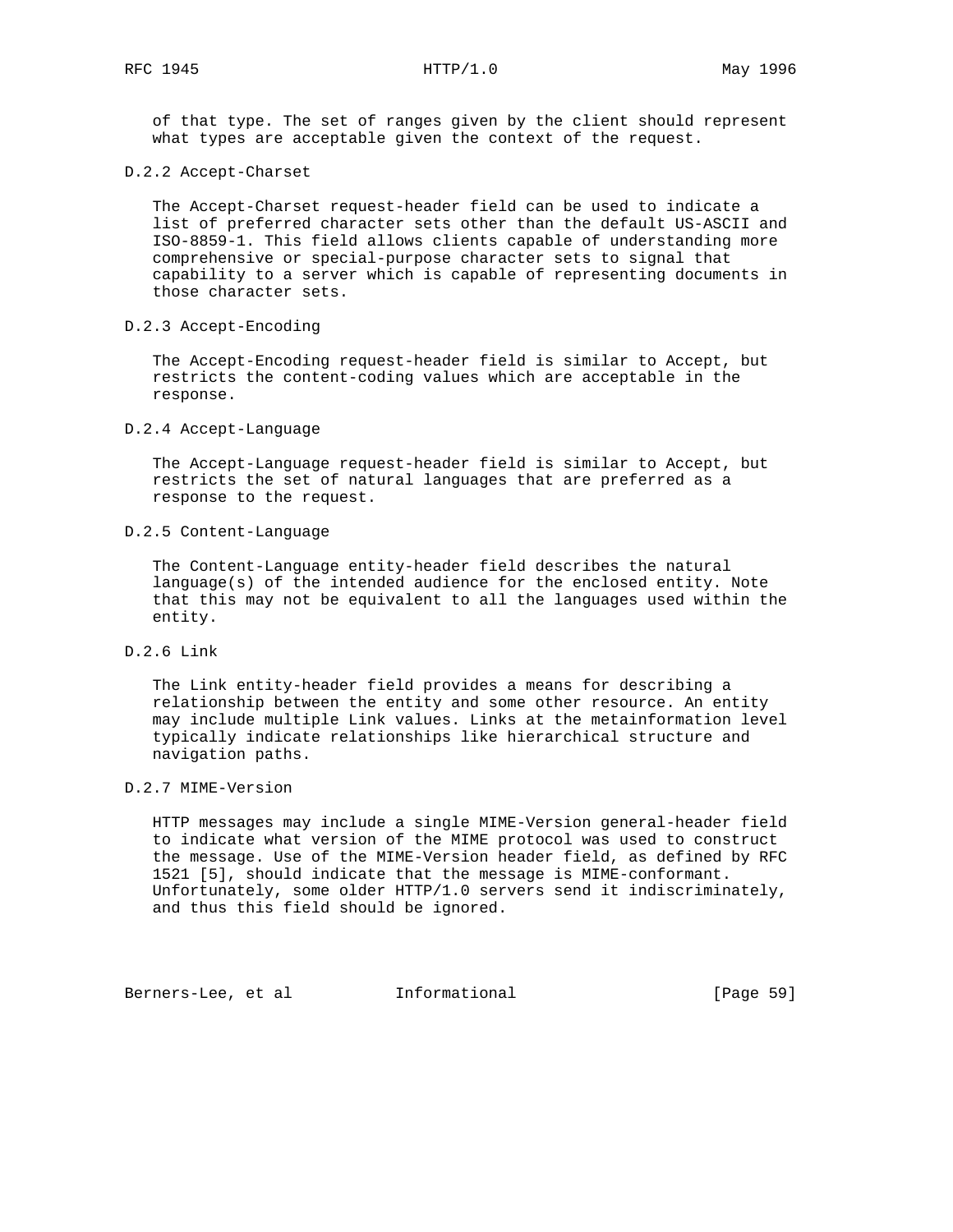of that type. The set of ranges given by the client should represent what types are acceptable given the context of the request.

D.2.2 Accept-Charset

 The Accept-Charset request-header field can be used to indicate a list of preferred character sets other than the default US-ASCII and ISO-8859-1. This field allows clients capable of understanding more comprehensive or special-purpose character sets to signal that capability to a server which is capable of representing documents in those character sets.

D.2.3 Accept-Encoding

 The Accept-Encoding request-header field is similar to Accept, but restricts the content-coding values which are acceptable in the response.

D.2.4 Accept-Language

 The Accept-Language request-header field is similar to Accept, but restricts the set of natural languages that are preferred as a response to the request.

D.2.5 Content-Language

 The Content-Language entity-header field describes the natural language(s) of the intended audience for the enclosed entity. Note that this may not be equivalent to all the languages used within the entity.

D.2.6 Link

 The Link entity-header field provides a means for describing a relationship between the entity and some other resource. An entity may include multiple Link values. Links at the metainformation level typically indicate relationships like hierarchical structure and navigation paths.

## D.2.7 MIME-Version

 HTTP messages may include a single MIME-Version general-header field to indicate what version of the MIME protocol was used to construct the message. Use of the MIME-Version header field, as defined by RFC 1521 [5], should indicate that the message is MIME-conformant. Unfortunately, some older HTTP/1.0 servers send it indiscriminately, and thus this field should be ignored.

Berners-Lee, et al **Informational** [Page 59]